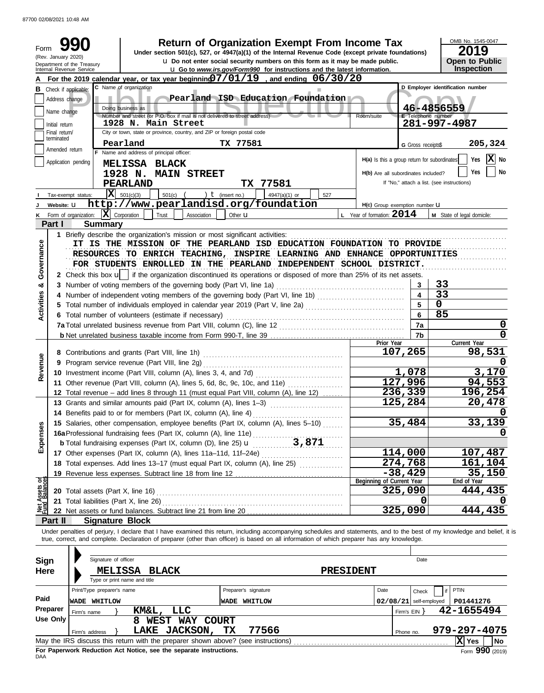87700 02/08/2021 10:48 AM

| Form              | (Rev. January 2020) | <b>Return of Organization Exempt From Income Tax</b><br>Under section 501(c), 527, or 4947(a)(1) of the Internal Revenue Code (except private foundations)<br><b>u</b> Do not enter social security numbers on this form as it may be made public.                                                                                               |                                              |                          | OMB No. 1545-0047<br>2019<br><b>Open to Public</b> |
|-------------------|---------------------|--------------------------------------------------------------------------------------------------------------------------------------------------------------------------------------------------------------------------------------------------------------------------------------------------------------------------------------------------|----------------------------------------------|--------------------------|----------------------------------------------------|
|                   |                     | Department of the Treasury<br>Internal Revenue Service<br><b>u</b> Go to www.irs.gov/Form990 for instructions and the latest information.                                                                                                                                                                                                        |                                              |                          | Inspection                                         |
|                   |                     | For the 2019 calendar year, or tax year beginning $07/01/19$ , and ending $06/30/20$                                                                                                                                                                                                                                                             |                                              |                          |                                                    |
|                   |                     | C Name of organization<br><b>B</b> Check if applicable:                                                                                                                                                                                                                                                                                          |                                              |                          | D Employer identification number                   |
|                   | Address change      | Pearland ISD Education Foundation                                                                                                                                                                                                                                                                                                                |                                              |                          |                                                    |
|                   | Name change         | Doing business as                                                                                                                                                                                                                                                                                                                                |                                              |                          | 46-4856559                                         |
|                   | Initial return      | Number and street (or P.O. box if mail is not delivered to street address)<br>1928 N. Main Street                                                                                                                                                                                                                                                | Room/suite                                   | E Telephone number       | 281-997-4987                                       |
|                   | Final return/       | City or town, state or province, country, and ZIP or foreign postal code                                                                                                                                                                                                                                                                         |                                              |                          |                                                    |
|                   | terminated          | Pearland<br>TX 77581                                                                                                                                                                                                                                                                                                                             |                                              | G Gross receipts\$       | 205,324                                            |
|                   | Amended return      | F Name and address of principal officer:                                                                                                                                                                                                                                                                                                         |                                              |                          |                                                    |
|                   |                     | Application pending<br>MELISSA BLACK                                                                                                                                                                                                                                                                                                             | H(a) Is this a group return for subordinates |                          | $ \mathbf{X} $ No<br>Yes                           |
|                   |                     | 1928 N. MAIN STREET                                                                                                                                                                                                                                                                                                                              | H(b) Are all subordinates included?          |                          | Yes<br>No                                          |
|                   |                     | TX 77581<br>PEARLAND                                                                                                                                                                                                                                                                                                                             |                                              |                          | If "No," attach a list. (see instructions)         |
|                   |                     | $ \mathbf{X} $ 501(c)(3)<br>) $t$ (insert no.)<br>$501(c)$ (<br>4947(a)(1) or<br>527<br>Tax-exempt status:                                                                                                                                                                                                                                       |                                              |                          |                                                    |
|                   | Website: U          | http://www.pearlandisd.org/foundation                                                                                                                                                                                                                                                                                                            | H(c) Group exemption number <b>U</b>         |                          |                                                    |
| Κ                 |                     | $ \mathbf{X} $ Corporation<br>Trust<br>Form of organization:<br>Association<br>Other $\mathbf u$                                                                                                                                                                                                                                                 | L Year of formation: $2014$                  |                          | M State of legal domicile:                         |
|                   | Part I              | Summary                                                                                                                                                                                                                                                                                                                                          |                                              |                          |                                                    |
|                   |                     | 1 Briefly describe the organization's mission or most significant activities:                                                                                                                                                                                                                                                                    |                                              |                          |                                                    |
| Governance        |                     | IT IS THE MISSION OF THE PEARLAND ISD EDUCATION FOUNDATION TO PROVIDE<br>RESOURCES TO ENRICH TEACHING, INSPIRE LEARNING AND ENHANCE OPPORTUNITIES<br>FOR STUDENTS ENROLLED IN THE PEARLAND INDEPENDENT SCHOOL DISTRICT.                                                                                                                          |                                              |                          |                                                    |
|                   |                     | 2 Check this box $\mathbf{u}$   if the organization discontinued its operations or disposed of more than 25% of its net assets.                                                                                                                                                                                                                  |                                              |                          |                                                    |
| න්                |                     | 3 Number of voting members of the governing body (Part VI, line 1a)                                                                                                                                                                                                                                                                              |                                              | 3                        | 33                                                 |
| <b>Activities</b> |                     | 4 Number of independent voting members of the governing body (Part VI, line 1b) [11] [11] Number of independent voting members of the governing body (Part VI, line 1b)                                                                                                                                                                          |                                              |                          | 33                                                 |
|                   |                     | 5 Total number of individuals employed in calendar year 2019 (Part V, line 2a) [[[[[[[[[[[[[[[[[[[[[[[[[[[[[[                                                                                                                                                                                                                                    |                                              | 5                        | $\mathbf 0$                                        |
|                   |                     | 6 Total number of volunteers (estimate if necessary)                                                                                                                                                                                                                                                                                             |                                              | 6                        | 85                                                 |
|                   |                     |                                                                                                                                                                                                                                                                                                                                                  |                                              | 7a                       | 0                                                  |
|                   |                     |                                                                                                                                                                                                                                                                                                                                                  | Prior Year                                   | 7b                       | $\mathbf 0$<br>Current Year                        |
|                   |                     |                                                                                                                                                                                                                                                                                                                                                  |                                              | 107,265                  | 98,531                                             |
| Revenue           |                     |                                                                                                                                                                                                                                                                                                                                                  |                                              |                          | $\Omega$                                           |
|                   |                     | 10 Investment income (Part VIII, column (A), lines 3, 4, and 7d)                                                                                                                                                                                                                                                                                 |                                              | 1,078                    | 3,170                                              |
|                   |                     |                                                                                                                                                                                                                                                                                                                                                  |                                              | 127,996                  | 94,553                                             |
|                   |                     | 12 Total revenue - add lines 8 through 11 (must equal Part VIII, column (A), line 12)                                                                                                                                                                                                                                                            |                                              | 236,339                  | 196,254                                            |
|                   |                     | 13 Grants and similar amounts paid (Part IX, column (A), lines 1-3)                                                                                                                                                                                                                                                                              |                                              | 125,284                  | 20,478                                             |
|                   |                     | 14 Benefits paid to or for members (Part IX, column (A), line 4)                                                                                                                                                                                                                                                                                 |                                              |                          | 0                                                  |
|                   |                     | 15 Salaries, other compensation, employee benefits (Part IX, column (A), lines 5-10)                                                                                                                                                                                                                                                             |                                              | 35,484                   | 33,139                                             |
| Expenses          |                     |                                                                                                                                                                                                                                                                                                                                                  |                                              |                          |                                                    |
|                   |                     |                                                                                                                                                                                                                                                                                                                                                  |                                              |                          |                                                    |
|                   |                     |                                                                                                                                                                                                                                                                                                                                                  |                                              | 114,000                  | 107,487                                            |
|                   |                     |                                                                                                                                                                                                                                                                                                                                                  |                                              | 274,768                  | <u>161,104</u>                                     |
|                   |                     |                                                                                                                                                                                                                                                                                                                                                  |                                              | $-38,429$                | 35,150                                             |
|                   |                     |                                                                                                                                                                                                                                                                                                                                                  | Beginning of Current Year                    |                          | End of Year                                        |
| Assets or         |                     |                                                                                                                                                                                                                                                                                                                                                  |                                              | 325,090                  | 444,435                                            |
|                   |                     | 21 Total liabilities (Part X, line 26)                                                                                                                                                                                                                                                                                                           |                                              | 0                        |                                                    |
|                   |                     |                                                                                                                                                                                                                                                                                                                                                  |                                              | 325,090                  | 444,435                                            |
|                   | Part II             | <b>Signature Block</b>                                                                                                                                                                                                                                                                                                                           |                                              |                          |                                                    |
|                   |                     | Under penalties of perjury, I declare that I have examined this return, including accompanying schedules and statements, and to the best of my knowledge and belief, it is<br>true, correct, and complete. Declaration of preparer (other than officer) is based on all information of which preparer has any knowledge.<br>Signature of officer |                                              |                          |                                                    |
| Sign              |                     |                                                                                                                                                                                                                                                                                                                                                  |                                              | Date                     |                                                    |
| <b>Here</b>       |                     | MELISSA BLACK<br><b>PRESIDENT</b><br>Type or print name and title                                                                                                                                                                                                                                                                                |                                              |                          |                                                    |
|                   |                     |                                                                                                                                                                                                                                                                                                                                                  |                                              |                          |                                                    |
| Paid              |                     | Print/Type preparer's name<br>Preparer's signature                                                                                                                                                                                                                                                                                               | Date                                         | Check                    | PTIN                                               |
|                   |                     | <b>WADE WHITLOW</b><br>WADE WHITLOW                                                                                                                                                                                                                                                                                                              |                                              | $02/08/21$ self-employed | P01441276                                          |
|                   | Preparer            | KM&L,<br><b>LLC</b><br>Firm's name                                                                                                                                                                                                                                                                                                               |                                              | Firm's EIN }             | 42-1655494                                         |
|                   | <b>Use Only</b>     | 8 WEST WAY COURT                                                                                                                                                                                                                                                                                                                                 |                                              |                          |                                                    |
|                   |                     | LAKE JACKSON, TX<br>77566<br>Firm's address                                                                                                                                                                                                                                                                                                      |                                              | Phone no.                | 979-297-4075                                       |
|                   |                     |                                                                                                                                                                                                                                                                                                                                                  |                                              |                          | X Yes<br><b>No</b>                                 |

| LAKE JACKSON, TX<br>77566<br>Firm's address                                       | Phone no. | 979-297-4075      |      |
|-----------------------------------------------------------------------------------|-----------|-------------------|------|
| May the IRS discuss this return with the preparer shown above? (see instructions) |           | $ X $ Yes         | l No |
| For Paperwork Reduction Act Notice, see the separate instructions.<br><b>DAA</b>  |           | Form $990$ (2019) |      |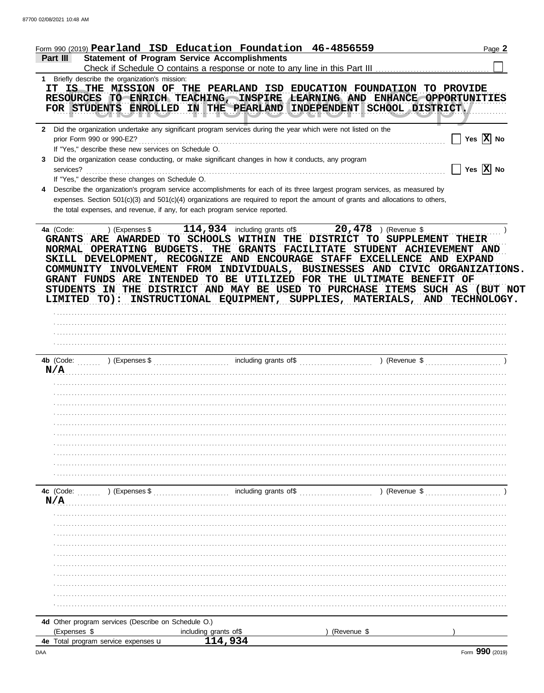|                                                                        | Form 990 (2019) Pearland ISD Education Foundation 46-4856559                                                                                                                                                                                                                                                                                                                                                                                                                                                                                  |               | Page 2                                                                           |
|------------------------------------------------------------------------|-----------------------------------------------------------------------------------------------------------------------------------------------------------------------------------------------------------------------------------------------------------------------------------------------------------------------------------------------------------------------------------------------------------------------------------------------------------------------------------------------------------------------------------------------|---------------|----------------------------------------------------------------------------------|
| Part III                                                               | <b>Statement of Program Service Accomplishments</b>                                                                                                                                                                                                                                                                                                                                                                                                                                                                                           |               |                                                                                  |
|                                                                        |                                                                                                                                                                                                                                                                                                                                                                                                                                                                                                                                               |               |                                                                                  |
| 1 Briefly describe the organization's mission:                         | IT IS THE MISSION OF THE PEARLAND ISD EDUCATION FOUNDATION TO PROVIDE<br>RESOURCES TO ENRICH TEACHING, INSPIRE LEARNING AND ENHANCE OPPORTUNITIES<br>FOR STUDENTS ENROLLED IN THE PEARLAND INDEPENDENT SCHOOL DISTRICT.                                                                                                                                                                                                                                                                                                                       |               |                                                                                  |
|                                                                        | 2 Did the organization undertake any significant program services during the year which were not listed on the                                                                                                                                                                                                                                                                                                                                                                                                                                |               |                                                                                  |
| If "Yes," describe these new services on Schedule O.<br>3<br>services? | Did the organization cease conducting, or make significant changes in how it conducts, any program                                                                                                                                                                                                                                                                                                                                                                                                                                            |               | Yes $\boxed{\mathbf{X}}$ No<br>$\boxed{\phantom{1}}$ Yes $\boxed{\mathbf{X}}$ No |
| If "Yes," describe these changes on Schedule O.<br>4                   | Describe the organization's program service accomplishments for each of its three largest program services, as measured by<br>expenses. Section 501(c)(3) and 501(c)(4) organizations are required to report the amount of grants and allocations to others,<br>the total expenses, and revenue, if any, for each program service reported.                                                                                                                                                                                                   |               |                                                                                  |
| 4a (Code:                                                              | GRANTS ARE AWARDED TO SCHOOLS WITHIN THE DISTRICT TO SUPPLEMENT THEIR<br>NORMAL OPERATING BUDGETS. THE GRANTS FACILITATE STUDENT ACHIEVEMENT AND<br>SKILL DEVELOPMENT, RECOGNIZE AND ENCOURAGE STAFF EXCELLENCE AND EXPAND<br>COMMUNITY INVOLVEMENT FROM INDIVIDUALS, BUSINESSES AND CIVIC ORGANIZATIONS.<br>GRANT FUNDS ARE INTENDED TO BE UTILIZED FOR THE ULTIMATE BENEFIT OF<br>STUDENTS IN THE DISTRICT AND MAY BE USED TO PURCHASE ITEMS SUCH AS (BUT NOT<br>LIMITED TO): INSTRUCTIONAL EQUIPMENT, SUPPLIES, MATERIALS, AND TECHNOLOGY. |               |                                                                                  |
|                                                                        |                                                                                                                                                                                                                                                                                                                                                                                                                                                                                                                                               |               |                                                                                  |
|                                                                        | N/A                                                                                                                                                                                                                                                                                                                                                                                                                                                                                                                                           |               |                                                                                  |
|                                                                        |                                                                                                                                                                                                                                                                                                                                                                                                                                                                                                                                               |               |                                                                                  |
|                                                                        |                                                                                                                                                                                                                                                                                                                                                                                                                                                                                                                                               |               |                                                                                  |
| $\ldots$ , $(1)$ (Expenses \$<br>4c (Code:<br>N/A                      | including grants of\$                                                                                                                                                                                                                                                                                                                                                                                                                                                                                                                         | ) (Revenue \$ |                                                                                  |
|                                                                        |                                                                                                                                                                                                                                                                                                                                                                                                                                                                                                                                               |               |                                                                                  |
|                                                                        |                                                                                                                                                                                                                                                                                                                                                                                                                                                                                                                                               |               |                                                                                  |
|                                                                        |                                                                                                                                                                                                                                                                                                                                                                                                                                                                                                                                               |               |                                                                                  |
|                                                                        |                                                                                                                                                                                                                                                                                                                                                                                                                                                                                                                                               |               |                                                                                  |
|                                                                        |                                                                                                                                                                                                                                                                                                                                                                                                                                                                                                                                               |               |                                                                                  |
|                                                                        |                                                                                                                                                                                                                                                                                                                                                                                                                                                                                                                                               |               |                                                                                  |
|                                                                        |                                                                                                                                                                                                                                                                                                                                                                                                                                                                                                                                               |               |                                                                                  |
|                                                                        |                                                                                                                                                                                                                                                                                                                                                                                                                                                                                                                                               |               |                                                                                  |
|                                                                        |                                                                                                                                                                                                                                                                                                                                                                                                                                                                                                                                               |               |                                                                                  |
|                                                                        |                                                                                                                                                                                                                                                                                                                                                                                                                                                                                                                                               |               |                                                                                  |
| 4d Other program services (Describe on Schedule O.)<br>(Expenses \$    | including grants of\$<br>114,934                                                                                                                                                                                                                                                                                                                                                                                                                                                                                                              | (Revenue \$   |                                                                                  |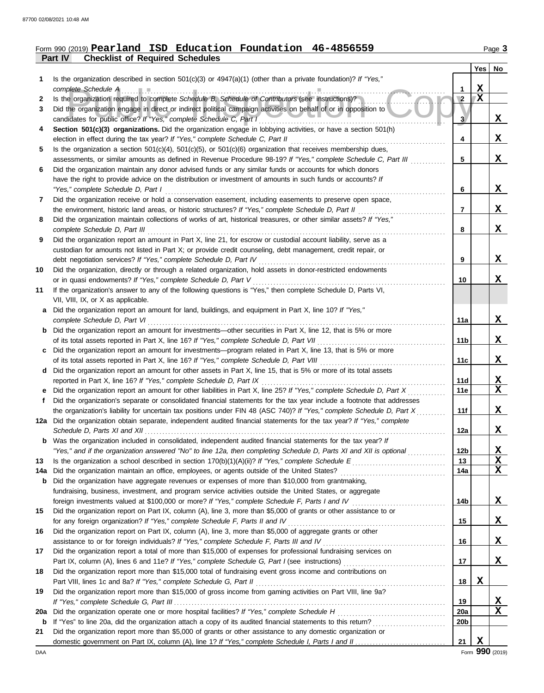## **Part IV Checklist of Required Schedules** Form 990 (2019) Page **3 Pearland ISD Education Foundation 46-4856559**

|             |                                                                                                                                                                                                                                 |                       | <b>Yes</b>  | No              |
|-------------|---------------------------------------------------------------------------------------------------------------------------------------------------------------------------------------------------------------------------------|-----------------------|-------------|-----------------|
| 1           | Is the organization described in section $501(c)(3)$ or $4947(a)(1)$ (other than a private foundation)? If "Yes,"                                                                                                               |                       |             |                 |
|             | complete Schedule A                                                                                                                                                                                                             |                       | X           |                 |
| 2           | Is the organization required to complete Schedule B, Schedule of Contributors (see instructions)?                                                                                                                               | $\sqrt{2}$            | $\mathbf X$ |                 |
| 3           | Did the organization engage in direct or indirect political campaign activities on behalf of or in opposition to<br>candidates for public office? If "Yes," complete Schedule C, Part I                                         | $\mathbf{3}$          |             | X               |
| 4           | Section 501(c)(3) organizations. Did the organization engage in lobbying activities, or have a section 501(h)                                                                                                                   |                       |             |                 |
|             | election in effect during the tax year? If "Yes," complete Schedule C, Part II                                                                                                                                                  | 4                     |             | X               |
| 5           | Is the organization a section $501(c)(4)$ , $501(c)(5)$ , or $501(c)(6)$ organization that receives membership dues,                                                                                                            |                       |             |                 |
|             | assessments, or similar amounts as defined in Revenue Procedure 98-19? If "Yes," complete Schedule C, Part III                                                                                                                  | 5                     |             | X               |
| 6           | Did the organization maintain any donor advised funds or any similar funds or accounts for which donors                                                                                                                         |                       |             |                 |
|             | have the right to provide advice on the distribution or investment of amounts in such funds or accounts? If                                                                                                                     |                       |             |                 |
|             | "Yes," complete Schedule D, Part I                                                                                                                                                                                              | 6                     |             | X               |
| 7           | Did the organization receive or hold a conservation easement, including easements to preserve open space,                                                                                                                       |                       |             |                 |
|             | the environment, historic land areas, or historic structures? If "Yes," complete Schedule D, Part II                                                                                                                            | 7                     |             | X               |
| 8           | Did the organization maintain collections of works of art, historical treasures, or other similar assets? If "Yes,"                                                                                                             |                       |             |                 |
|             | complete Schedule D, Part III                                                                                                                                                                                                   | 8                     |             | X               |
| 9           | Did the organization report an amount in Part X, line 21, for escrow or custodial account liability, serve as a<br>custodian for amounts not listed in Part X; or provide credit counseling, debt management, credit repair, or |                       |             |                 |
|             | debt negotiation services? If "Yes," complete Schedule D, Part IV                                                                                                                                                               | 9                     |             | X               |
| 10          | Did the organization, directly or through a related organization, hold assets in donor-restricted endowments                                                                                                                    |                       |             |                 |
|             | or in quasi endowments? If "Yes," complete Schedule D, Part V                                                                                                                                                                   | 10                    |             | X               |
| 11          | If the organization's answer to any of the following questions is "Yes," then complete Schedule D, Parts VI,                                                                                                                    |                       |             |                 |
|             | VII, VIII, IX, or X as applicable.                                                                                                                                                                                              |                       |             |                 |
|             | Did the organization report an amount for land, buildings, and equipment in Part X, line 10? If "Yes,"                                                                                                                          |                       |             |                 |
|             | complete Schedule D, Part VI                                                                                                                                                                                                    | 11a                   |             | X               |
| b           | Did the organization report an amount for investments—other securities in Part X, line 12, that is 5% or more                                                                                                                   |                       |             |                 |
|             | of its total assets reported in Part X, line 16? If "Yes," complete Schedule D, Part VII                                                                                                                                        | 11b                   |             | X               |
|             | Did the organization report an amount for investments—program related in Part X, line 13, that is 5% or more<br>of its total assets reported in Part X, line 16? If "Yes," complete Schedule D, Part VIII                       | 11c                   |             | x               |
| d           | Did the organization report an amount for other assets in Part X, line 15, that is 5% or more of its total assets                                                                                                               |                       |             |                 |
|             | reported in Part X, line 16? If "Yes," complete Schedule D, Part IX                                                                                                                                                             | 11d                   |             | $\mathbf x$     |
|             | Did the organization report an amount for other liabilities in Part X, line 25? If "Yes," complete Schedule D, Part X                                                                                                           | 11e                   |             | $\mathbf x$     |
| f           | Did the organization's separate or consolidated financial statements for the tax year include a footnote that addresses                                                                                                         |                       |             |                 |
|             | the organization's liability for uncertain tax positions under FIN 48 (ASC 740)? If "Yes," complete Schedule D, Part X                                                                                                          | 11f                   |             | X               |
|             | 12a Did the organization obtain separate, independent audited financial statements for the tax year? If "Yes," complete                                                                                                         |                       |             |                 |
|             | Schedule D, Parts XI and XII                                                                                                                                                                                                    | 12a                   |             | X               |
|             | Was the organization included in consolidated, independent audited financial statements for the tax year? If                                                                                                                    |                       |             |                 |
|             | "Yes," and if the organization answered "No" to line 12a, then completing Schedule D, Parts XI and XII is optional                                                                                                              | 12 <sub>b</sub><br>13 |             | <u>x</u><br>X   |
| 13<br>14a   | Did the organization maintain an office, employees, or agents outside of the United States?                                                                                                                                     | 14a                   |             | X               |
| b           | Did the organization have aggregate revenues or expenses of more than \$10,000 from grantmaking,                                                                                                                                |                       |             |                 |
|             | fundraising, business, investment, and program service activities outside the United States, or aggregate                                                                                                                       |                       |             |                 |
|             |                                                                                                                                                                                                                                 | 14b                   |             | X               |
| 15          | Did the organization report on Part IX, column (A), line 3, more than \$5,000 of grants or other assistance to or                                                                                                               |                       |             |                 |
|             | for any foreign organization? If "Yes," complete Schedule F, Parts II and IV                                                                                                                                                    | 15                    |             | X,              |
| 16          | Did the organization report on Part IX, column (A), line 3, more than \$5,000 of aggregate grants or other                                                                                                                      |                       |             |                 |
|             | assistance to or for foreign individuals? If "Yes," complete Schedule F, Parts III and IV                                                                                                                                       | 16                    |             | X               |
| 17          | Did the organization report a total of more than \$15,000 of expenses for professional fundraising services on                                                                                                                  |                       |             |                 |
|             |                                                                                                                                                                                                                                 | 17                    |             | X               |
| 18          | Did the organization report more than \$15,000 total of fundraising event gross income and contributions on<br>Part VIII, lines 1c and 8a? If "Yes," complete Schedule G, Part II                                               | 18                    | X           |                 |
| 19          | Did the organization report more than \$15,000 of gross income from gaming activities on Part VIII, line 9a?                                                                                                                    |                       |             |                 |
|             |                                                                                                                                                                                                                                 | 19                    |             | X               |
| 20a         | Did the organization operate one or more hospital facilities? If "Yes," complete Schedule H                                                                                                                                     | 20a                   |             | X               |
| $\mathbf b$ |                                                                                                                                                                                                                                 | 20b                   |             |                 |
| 21          | Did the organization report more than \$5,000 of grants or other assistance to any domestic organization or                                                                                                                     |                       |             |                 |
|             |                                                                                                                                                                                                                                 | 21                    | X           |                 |
| DAA         |                                                                                                                                                                                                                                 |                       |             | Form 990 (2019) |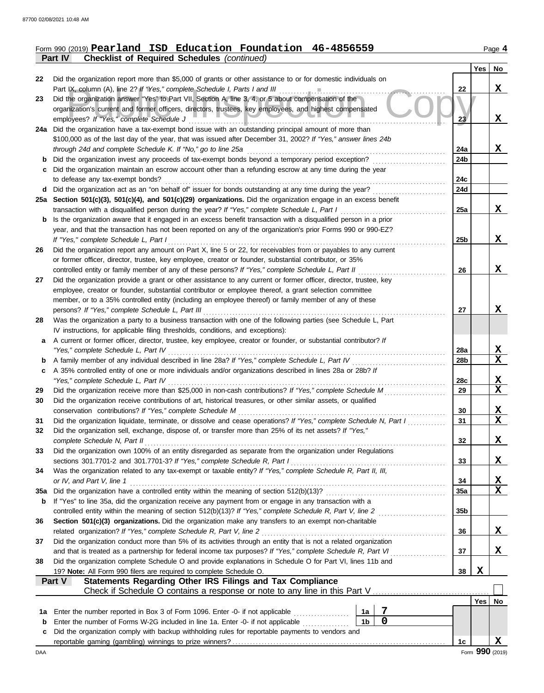#### Form 990 (2019) Page **4 Part IV Checklist of Required Schedules** *(continued)* **Pearland ISD Education Foundation 46-4856559**

|          |                                                                                                                                                                                                                                   |                 | Yes        | No               |
|----------|-----------------------------------------------------------------------------------------------------------------------------------------------------------------------------------------------------------------------------------|-----------------|------------|------------------|
| 22       | Did the organization report more than \$5,000 of grants or other assistance to or for domestic individuals on                                                                                                                     |                 |            |                  |
|          | Part IX, column (A), line 2? If "Yes," complete Schedule I, Parts I and III                                                                                                                                                       | 22              |            | X                |
| 23       | Did the organization answer "Yes" to Part VII, Section A, line 3, 4, or 5 about compensation of the<br>organization's current and former officers, directors, trustees, key employees, and highest compensated                    |                 |            |                  |
|          | employees? If "Yes," complete Schedule J                                                                                                                                                                                          | 23              |            | X                |
| 24a      | Did the organization have a tax-exempt bond issue with an outstanding principal amount of more than                                                                                                                               |                 |            |                  |
|          | \$100,000 as of the last day of the year, that was issued after December 31, 2002? If "Yes," answer lines 24b                                                                                                                     |                 |            |                  |
|          | through 24d and complete Schedule K. If "No," go to line 25a                                                                                                                                                                      | 24a             |            | X                |
| b        | Did the organization invest any proceeds of tax-exempt bonds beyond a temporary period exception?                                                                                                                                 | 24b             |            |                  |
| с        | Did the organization maintain an escrow account other than a refunding escrow at any time during the year                                                                                                                         |                 |            |                  |
|          | to defease any tax-exempt bonds?                                                                                                                                                                                                  | 24c             |            |                  |
| d        | Did the organization act as an "on behalf of" issuer for bonds outstanding at any time during the year?                                                                                                                           | 24d             |            |                  |
| 25а      | Section 501(c)(3), 501(c)(4), and 501(c)(29) organizations. Did the organization engage in an excess benefit                                                                                                                      |                 |            |                  |
|          | transaction with a disqualified person during the year? If "Yes," complete Schedule L, Part I                                                                                                                                     | 25a             |            | X                |
| b        | Is the organization aware that it engaged in an excess benefit transaction with a disqualified person in a prior                                                                                                                  |                 |            |                  |
|          | year, and that the transaction has not been reported on any of the organization's prior Forms 990 or 990-EZ?                                                                                                                      | 25 <sub>b</sub> |            | X                |
| 26       | If "Yes," complete Schedule L, Part I<br>Did the organization report any amount on Part X, line 5 or 22, for receivables from or payables to any current                                                                          |                 |            |                  |
|          | or former officer, director, trustee, key employee, creator or founder, substantial contributor, or 35%                                                                                                                           |                 |            |                  |
|          | controlled entity or family member of any of these persons? If "Yes," complete Schedule L, Part II                                                                                                                                | 26              |            | X                |
| 27       | Did the organization provide a grant or other assistance to any current or former officer, director, trustee, key                                                                                                                 |                 |            |                  |
|          | employee, creator or founder, substantial contributor or employee thereof, a grant selection committee                                                                                                                            |                 |            |                  |
|          | member, or to a 35% controlled entity (including an employee thereof) or family member of any of these                                                                                                                            |                 |            |                  |
|          | persons? If "Yes," complete Schedule L, Part III                                                                                                                                                                                  | 27              |            | X                |
| 28       | Was the organization a party to a business transaction with one of the following parties (see Schedule L, Part                                                                                                                    |                 |            |                  |
|          | IV instructions, for applicable filing thresholds, conditions, and exceptions):                                                                                                                                                   |                 |            |                  |
| a        | A current or former officer, director, trustee, key employee, creator or founder, or substantial contributor? If                                                                                                                  |                 |            |                  |
|          | "Yes," complete Schedule L, Part IV                                                                                                                                                                                               | <b>28a</b>      |            | X                |
| b        |                                                                                                                                                                                                                                   | 28b             |            | $\mathbf X$      |
| c        | A 35% controlled entity of one or more individuals and/or organizations described in lines 28a or 28b? If                                                                                                                         |                 |            |                  |
|          | "Yes," complete Schedule L, Part IV<br>Did the organization receive more than \$25,000 in non-cash contributions? If "Yes," complete Schedule M                                                                                   | 28c<br>29       |            | $\mathbf x$<br>X |
| 29<br>30 | Did the organization receive contributions of art, historical treasures, or other similar assets, or qualified                                                                                                                    |                 |            |                  |
|          | conservation contributions? If "Yes," complete Schedule M                                                                                                                                                                         | 30              |            | X                |
| 31       | Did the organization liquidate, terminate, or dissolve and cease operations? If "Yes," complete Schedule N, Part I                                                                                                                | 31              |            | $\mathbf X$      |
| 32       | Did the organization sell, exchange, dispose of, or transfer more than 25% of its net assets? If "Yes,"                                                                                                                           |                 |            |                  |
|          | complete Schedule N, Part II                                                                                                                                                                                                      | 32              |            | X                |
| 33       | Did the organization own 100% of an entity disregarded as separate from the organization under Regulations                                                                                                                        |                 |            |                  |
|          | sections 301.7701-2 and 301.7701-3? If "Yes," complete Schedule R, Part I                                                                                                                                                         | 33              |            | <u>x</u>         |
| 34       | Was the organization related to any tax-exempt or taxable entity? If "Yes," complete Schedule R, Part II, III,                                                                                                                    |                 |            |                  |
|          | or IV, and Part V, line 1                                                                                                                                                                                                         | 34              |            | <u>x</u>         |
| 35a      |                                                                                                                                                                                                                                   | 35a             |            | $\underline{x}$  |
| b        | If "Yes" to line 35a, did the organization receive any payment from or engage in any transaction with a                                                                                                                           |                 |            |                  |
|          | controlled entity within the meaning of section 512(b)(13)? If "Yes," complete Schedule R, Part V, line 2                                                                                                                         | 35 <sub>b</sub> |            |                  |
| 36       | Section 501(c)(3) organizations. Did the organization make any transfers to an exempt non-charitable                                                                                                                              |                 |            |                  |
|          | related organization? If "Yes," complete Schedule R, Part V, line 2                                                                                                                                                               | 36              |            | <u>x</u>         |
| 37       | Did the organization conduct more than 5% of its activities through an entity that is not a related organization<br>and that is treated as a partnership for federal income tax purposes? If "Yes," complete Schedule R, Part VI. | 37              |            | X                |
| 38       | Did the organization complete Schedule O and provide explanations in Schedule O for Part VI, lines 11b and                                                                                                                        |                 |            |                  |
|          | 19? Note: All Form 990 filers are required to complete Schedule O.                                                                                                                                                                | 38              | X          |                  |
|          | <b>Statements Regarding Other IRS Filings and Tax Compliance</b><br><b>Part V</b>                                                                                                                                                 |                 |            |                  |
|          |                                                                                                                                                                                                                                   |                 |            |                  |
|          |                                                                                                                                                                                                                                   |                 | <b>Yes</b> | No               |
| 1а       | 7<br>Enter the number reported in Box 3 of Form 1096. Enter -0- if not applicable <i>mimimimimimimimimimi</i><br>1a                                                                                                               |                 |            |                  |
| b        | $\mathbf 0$<br>1 <sub>b</sub><br>Enter the number of Forms W-2G included in line 1a. Enter -0- if not applicable                                                                                                                  |                 |            |                  |
| c        | Did the organization comply with backup withholding rules for reportable payments to vendors and                                                                                                                                  |                 |            |                  |
|          |                                                                                                                                                                                                                                   | 1c              |            | X                |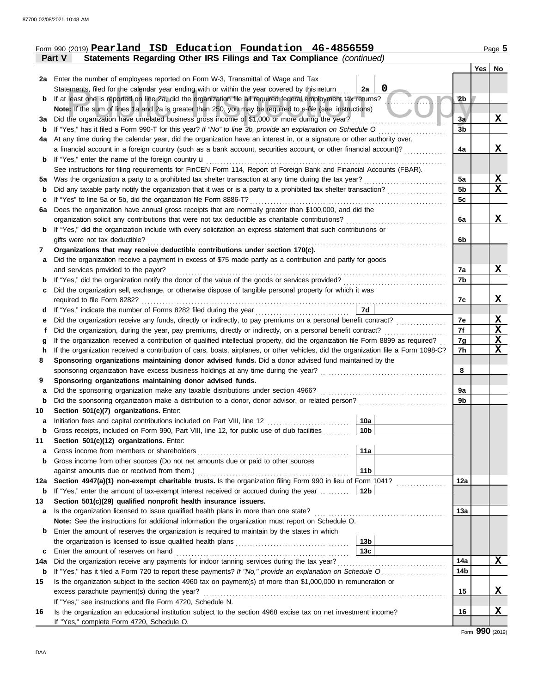| Form 990 (2019) Pearland ISD Education Foundation 46-4856559 |  |  | Page 5 |
|--------------------------------------------------------------|--|--|--------|
|                                                              |  |  |        |

|         | Statements Regarding Other IRS Filings and Tax Compliance (continued)<br>Part V                                                                                                                                                                                        |                 |     |                            |  |
|---------|------------------------------------------------------------------------------------------------------------------------------------------------------------------------------------------------------------------------------------------------------------------------|-----------------|-----|----------------------------|--|
|         |                                                                                                                                                                                                                                                                        |                 | Yes | No                         |  |
| 2a      | Enter the number of employees reported on Form W-3, Transmittal of Wage and Tax                                                                                                                                                                                        |                 |     |                            |  |
|         | 0<br>Statements, filed for the calendar year ending with or within the year covered by this return<br>2a                                                                                                                                                               |                 |     |                            |  |
| b       | If at least one is reported on line 2a, did the organization file all required federal employment tax returns?                                                                                                                                                         | 2 <sub>b</sub>  |     |                            |  |
|         | Note: If the sum of lines 1a and 2a is greater than 250, you may be required to e-file (see instructions)                                                                                                                                                              |                 |     |                            |  |
| За      | Did the organization have unrelated business gross income of \$1,000 or more during the year?                                                                                                                                                                          | 3a              |     | X                          |  |
| b       | If "Yes," has it filed a Form 990-T for this year? If "No" to line 3b, provide an explanation on Schedule O                                                                                                                                                            | 3 <sub>b</sub>  |     |                            |  |
| 4a      | At any time during the calendar year, did the organization have an interest in, or a signature or other authority over,                                                                                                                                                |                 |     | X                          |  |
|         | a financial account in a foreign country (such as a bank account, securities account, or other financial account)?<br>If "Yes," enter the name of the foreign country $\mathbf u$                                                                                      | 4a              |     |                            |  |
| b       | See instructions for filing requirements for FinCEN Form 114, Report of Foreign Bank and Financial Accounts (FBAR).                                                                                                                                                    |                 |     |                            |  |
| 5a      | Was the organization a party to a prohibited tax shelter transaction at any time during the tax year?                                                                                                                                                                  | 5a              |     | <u>x</u>                   |  |
| b       | Did any taxable party notify the organization that it was or is a party to a prohibited tax shelter transaction?                                                                                                                                                       | 5 <sub>b</sub>  |     | $\mathbf X$                |  |
| c       | If "Yes" to line 5a or 5b, did the organization file Form 8886-T?                                                                                                                                                                                                      | 5c              |     |                            |  |
| 6a      | Does the organization have annual gross receipts that are normally greater than \$100,000, and did the                                                                                                                                                                 |                 |     |                            |  |
|         | organization solicit any contributions that were not tax deductible as charitable contributions?                                                                                                                                                                       | 6a              |     | X                          |  |
| b       | If "Yes," did the organization include with every solicitation an express statement that such contributions or                                                                                                                                                         |                 |     |                            |  |
|         | gifts were not tax deductible?                                                                                                                                                                                                                                         | 6b              |     |                            |  |
| 7       | Organizations that may receive deductible contributions under section 170(c).                                                                                                                                                                                          |                 |     |                            |  |
| a       | Did the organization receive a payment in excess of \$75 made partly as a contribution and partly for goods                                                                                                                                                            |                 |     |                            |  |
|         | and services provided to the payor?                                                                                                                                                                                                                                    | 7a              |     | X                          |  |
| b       | If "Yes," did the organization notify the donor of the value of the goods or services provided?                                                                                                                                                                        | 7b              |     |                            |  |
| c       | Did the organization sell, exchange, or otherwise dispose of tangible personal property for which it was                                                                                                                                                               |                 |     |                            |  |
|         | required to file Form 8282?                                                                                                                                                                                                                                            | 7c              |     | X                          |  |
| d       | 7d<br>If "Yes," indicate the number of Forms 8282 filed during the year<br>[[[[[[[[[[[[[]]]]]                                                                                                                                                                          |                 |     |                            |  |
| е       | Did the organization receive any funds, directly or indirectly, to pay premiums on a personal benefit contract?                                                                                                                                                        | 7e<br>7f        |     | <u>x</u><br>$\mathbf x$    |  |
| f       | Did the organization, during the year, pay premiums, directly or indirectly, on a personal benefit contract?                                                                                                                                                           |                 |     |                            |  |
| g<br>h  | If the organization received a contribution of qualified intellectual property, did the organization file Form 8899 as required?<br>If the organization received a contribution of cars, boats, airplanes, or other vehicles, did the organization file a Form 1098-C? | <u>7g</u><br>7h |     | $\mathbf X$<br>$\mathbf X$ |  |
| 8       | Sponsoring organizations maintaining donor advised funds. Did a donor advised fund maintained by the                                                                                                                                                                   |                 |     |                            |  |
|         | sponsoring organization have excess business holdings at any time during the year?                                                                                                                                                                                     | 8               |     |                            |  |
| 9       | Sponsoring organizations maintaining donor advised funds.                                                                                                                                                                                                              |                 |     |                            |  |
| a       | Did the sponsoring organization make any taxable distributions under section 4966?                                                                                                                                                                                     | 9a              |     |                            |  |
| b       | Did the sponsoring organization make a distribution to a donor, donor advisor, or related person?                                                                                                                                                                      | 9b              |     |                            |  |
| 10      | Section 501(c)(7) organizations. Enter:                                                                                                                                                                                                                                |                 |     |                            |  |
| а       | 10a<br>Initiation fees and capital contributions included on Part VIII, line 12                                                                                                                                                                                        |                 |     |                            |  |
|         | 10 <sub>b</sub><br>Gross receipts, included on Form 990, Part VIII, line 12, for public use of club facilities                                                                                                                                                         |                 |     |                            |  |
| 11      | Section 501(c)(12) organizations. Enter:                                                                                                                                                                                                                               |                 |     |                            |  |
| a       | 11a<br>Gross income from members or shareholders                                                                                                                                                                                                                       |                 |     |                            |  |
| b       | Gross income from other sources (Do not net amounts due or paid to other sources                                                                                                                                                                                       |                 |     |                            |  |
|         | 11 <sub>b</sub><br>against amounts due or received from them.)                                                                                                                                                                                                         |                 |     |                            |  |
| 12a     | Section 4947(a)(1) non-exempt charitable trusts. Is the organization filing Form 990 in lieu of Form 1041?                                                                                                                                                             | 12a             |     |                            |  |
| b       | 12b<br>If "Yes," enter the amount of tax-exempt interest received or accrued during the year                                                                                                                                                                           |                 |     |                            |  |
| 13<br>a | Section 501(c)(29) qualified nonprofit health insurance issuers.<br>Is the organization licensed to issue qualified health plans in more than one state?                                                                                                               | 13a             |     |                            |  |
|         | Note: See the instructions for additional information the organization must report on Schedule O.                                                                                                                                                                      |                 |     |                            |  |
| b       | Enter the amount of reserves the organization is required to maintain by the states in which                                                                                                                                                                           |                 |     |                            |  |
|         | 13 <sub>b</sub>                                                                                                                                                                                                                                                        |                 |     |                            |  |
| c       | 13 <sub>c</sub><br>Enter the amount of reserves on hand                                                                                                                                                                                                                |                 |     |                            |  |
| 14a     | Did the organization receive any payments for indoor tanning services during the tax year?                                                                                                                                                                             | 14a             |     | X                          |  |
| b       |                                                                                                                                                                                                                                                                        | 14b             |     |                            |  |
| 15      | Is the organization subject to the section 4960 tax on payment(s) of more than \$1,000,000 in remuneration or                                                                                                                                                          |                 |     |                            |  |
|         | excess parachute payment(s) during the year?                                                                                                                                                                                                                           | 15              |     | X                          |  |
|         | If "Yes," see instructions and file Form 4720, Schedule N.                                                                                                                                                                                                             |                 |     |                            |  |
| 16      | Is the organization an educational institution subject to the section 4968 excise tax on net investment income?                                                                                                                                                        | 16              |     | X                          |  |
|         | If "Yes," complete Form 4720, Schedule O.                                                                                                                                                                                                                              |                 |     |                            |  |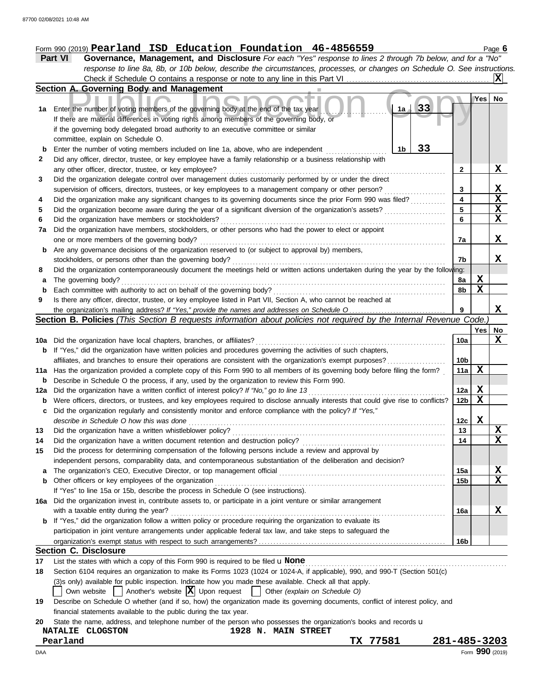|  | Form 990 (2019) $\texttt{Pearland}$ ISD Education Foundation $46-4856559$ |  | Page 6 |
|--|---------------------------------------------------------------------------|--|--------|
|  |                                                                           |  |        |

| Part VI | Governance, Management, and Disclosure For each "Yes" response to lines 2 through 7b below, and for a "No"                |
|---------|---------------------------------------------------------------------------------------------------------------------------|
|         | response to line 8a, 8b, or 10b below, describe the circumstances, processes, or changes on Schedule O. See instructions. |
|         |                                                                                                                           |

|             | Section A. Governing Body and Management                                                                                            |                         |             |                                 |
|-------------|-------------------------------------------------------------------------------------------------------------------------------------|-------------------------|-------------|---------------------------------|
|             |                                                                                                                                     |                         | Yes   No    |                                 |
| 1a          | 33<br>1a ∥<br>Enter the number of voting members of the governing body at the end of the tax year                                   |                         |             |                                 |
|             | If there are material differences in voting rights among members of the governing body, or                                          |                         |             |                                 |
|             | if the governing body delegated broad authority to an executive committee or similar                                                |                         |             |                                 |
|             | committee, explain on Schedule O.                                                                                                   |                         |             |                                 |
| b           | 33<br>Enter the number of voting members included on line 1a, above, who are independent<br>1b                                      |                         |             |                                 |
| 2           | Did any officer, director, trustee, or key employee have a family relationship or a business relationship with                      |                         |             |                                 |
|             | any other officer, director, trustee, or key employee?                                                                              | 2                       |             | X                               |
| 3           | Did the organization delegate control over management duties customarily performed by or under the direct                           |                         |             |                                 |
|             | supervision of officers, directors, trustees, or key employees to a management company or other person?                             | 3                       |             | X                               |
| 4           | Did the organization make any significant changes to its governing documents since the prior Form 990 was filed?                    | $\overline{\mathbf{4}}$ |             | $\overline{\mathbf{x}}$         |
| 5           | Did the organization become aware during the year of a significant diversion of the organization's assets?                          | 5                       |             |                                 |
|             |                                                                                                                                     | 6                       |             | $\frac{\mathbf{X}}{\mathbf{X}}$ |
| 6           | Did the organization have members or stockholders?                                                                                  |                         |             |                                 |
| 7a          | Did the organization have members, stockholders, or other persons who had the power to elect or appoint                             |                         |             |                                 |
|             | one or more members of the governing body?                                                                                          | 7a                      |             | X                               |
| b           | Are any governance decisions of the organization reserved to (or subject to approval by) members,                                   |                         |             |                                 |
|             | stockholders, or persons other than the governing body?                                                                             | 7b                      |             | X                               |
| 8           | Did the organization contemporaneously document the meetings held or written actions undertaken during the year by the following:   |                         |             |                                 |
| а           | The governing body?                                                                                                                 | 8а                      | <u>х</u>    |                                 |
| $\mathbf b$ | Each committee with authority to act on behalf of the governing body?                                                               | 8b                      | $\mathbf x$ |                                 |
| 9           | Is there any officer, director, trustee, or key employee listed in Part VII, Section A, who cannot be reached at                    |                         |             |                                 |
|             |                                                                                                                                     | 9                       |             | X                               |
|             | Section B. Policies (This Section B requests information about policies not required by the Internal Revenue Code.)                 |                         |             |                                 |
|             |                                                                                                                                     |                         |             | $Yes \mid No$                   |
| 10a         | Did the organization have local chapters, branches, or affiliates?                                                                  | 10a                     |             | $\mathbf{x}$                    |
| b           | If "Yes," did the organization have written policies and procedures governing the activities of such chapters,                      |                         |             |                                 |
|             | affiliates, and branches to ensure their operations are consistent with the organization's exempt purposes?                         | 10 <sub>b</sub>         |             |                                 |
| 11a         | Has the organization provided a complete copy of this Form 990 to all members of its governing body before filing the form?         | 11a                     | $\mathbf X$ |                                 |
| b           | Describe in Schedule O the process, if any, used by the organization to review this Form 990.                                       |                         |             |                                 |
| 12a         | Did the organization have a written conflict of interest policy? If "No," go to line 13                                             | 12a                     | X           |                                 |
| b           | Were officers, directors, or trustees, and key employees required to disclose annually interests that could give rise to conflicts? | 12 <sub>b</sub>         | $\mathbf x$ |                                 |
| c           | Did the organization regularly and consistently monitor and enforce compliance with the policy? If "Yes,"                           |                         |             |                                 |
|             | describe in Schedule O how this was done                                                                                            | 12c                     | $\mathbf X$ |                                 |
| 13          | Did the organization have a written whistleblower policy?                                                                           | 13                      |             | $\frac{X}{X}$                   |
| 14          | Did the organization have a written document retention and destruction policy?                                                      | 14                      |             |                                 |
| 15          | Did the process for determining compensation of the following persons include a review and approval by                              |                         |             |                                 |
|             | independent persons, comparability data, and contemporaneous substantiation of the deliberation and decision?                       |                         |             |                                 |
| a           | The organization's CEO, Executive Director, or top management official                                                              | 15a                     |             | <u>x</u>                        |
| b           | Other officers or key employees of the organization                                                                                 | 15 <sub>b</sub>         |             | $\overline{\mathbf{x}}$         |
|             | If "Yes" to line 15a or 15b, describe the process in Schedule O (see instructions).                                                 |                         |             |                                 |
|             | 16a Did the organization invest in, contribute assets to, or participate in a joint venture or similar arrangement                  |                         |             |                                 |
|             | with a taxable entity during the year?                                                                                              | 16a                     |             | X                               |
| b           | If "Yes," did the organization follow a written policy or procedure requiring the organization to evaluate its                      |                         |             |                                 |
|             | participation in joint venture arrangements under applicable federal tax law, and take steps to safeguard the                       |                         |             |                                 |
|             |                                                                                                                                     | 16b                     |             |                                 |
|             | <b>Section C. Disclosure</b>                                                                                                        |                         |             |                                 |
| 17          | List the states with which a copy of this Form 990 is required to be filed u None                                                   |                         |             |                                 |
| 18          | Section 6104 requires an organization to make its Forms 1023 (1024 or 1024-A, if applicable), 990, and 990-T (Section 501(c)        |                         |             |                                 |
|             | (3)s only) available for public inspection. Indicate how you made these available. Check all that apply.                            |                         |             |                                 |
|             |                                                                                                                                     |                         |             |                                 |
|             | Another's website $ \mathbf{X} $ Upon request<br>Own website<br>Other (explain on Schedule O)                                       |                         |             |                                 |

**19** Describe on Schedule O whether (and if so, how) the organization made its governing documents, conflict of interest policy, and financial statements available to the public during the tax year.

|  | 20 State the name, address, and telephone number of the person who possesses the organization's books and records u |  |  |  |  |  |  |  |  |
|--|---------------------------------------------------------------------------------------------------------------------|--|--|--|--|--|--|--|--|
|--|---------------------------------------------------------------------------------------------------------------------|--|--|--|--|--|--|--|--|

# **NATALIE CLOGSTON 1928 N. MAIN STREET**

**Pearland TX 77581 281-485-3203**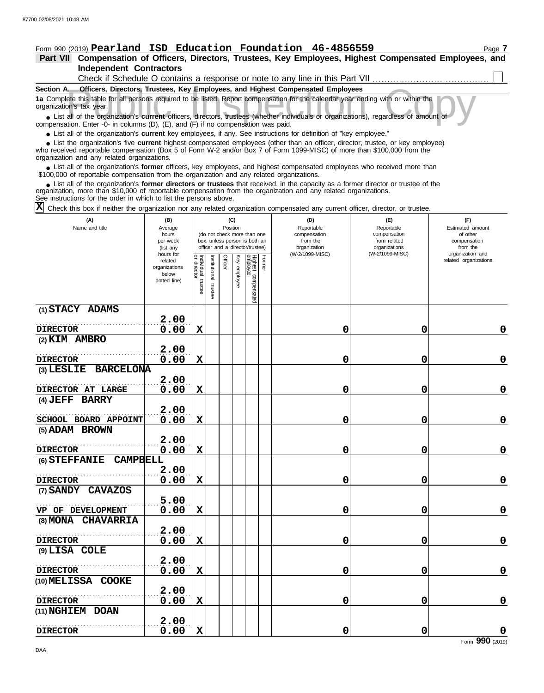## Form 990 (2019) Page **7 Pearland ISD Education Foundation 46-4856559**

**Independent Contractors Part VII Compensation of Officers, Directors, Trustees, Key Employees, Highest Compensated Employees, and**

| Check if Schedule O contains a response or note to any line in this Part VII                                                                                  |
|---------------------------------------------------------------------------------------------------------------------------------------------------------------|
| Section A.<br>Officers, Directors, Trustees, Key Employees, and Highest Compensated Employees                                                                 |
| 1a Complete this table for all persons required to be listed. Report compensation for the calendar year ending with or within the<br>organization's tax year. |
| • List all of the organization's current officers, directors, trustees (whether individuals or organizations), regardless of amount of                        |
| compensation. Enter $-0$ - in columns $(D)$ $(F)$ and $(F)$ if no compensation was paid                                                                       |

compensation. Enter -0- in columns (D), (E), and (F) if no compensation was paid.

● List all of the organization's **current** key employees, if any. See instructions for definition of "key employee."

who received reportable compensation (Box 5 of Form W-2 and/or Box 7 of Form 1099-MISC) of more than \$100,000 from the organization and any related organizations. ■ List the organization's five **current** highest compensated employees (other than an officer, director, trustee, or key employee)<br>
a received reportable compensation (Box 5 of Form W-2 and/or Box 7 of Form 1099-MISC) of

■ List all of the organization's **former** officers, key employees, and highest compensated employees who received more than<br>00,000 of reportable compensation from the organization and any related organizations \$100,000 of reportable compensation from the organization and any related organizations.

■ List all of the organization's **former directors or trustees** that received, in the capacity as a former director or trustee of the<br>enization, more than \$10,000 of reportable compensation from the organization and any r organization, more than \$10,000 of reportable compensation from the organization and any related organizations. See instructions for the order in which to list the persons above.

Check this box if neither the organization nor any related organization compensated any current officer, director, or trustee. **X**

| (A)<br>Name and title                               | (B)<br>Average<br>hours<br>per week<br>(list any               |                                   |                         | (C)<br>Position |                 | (do not check more than one<br>box, unless person is both an<br>officer and a director/trustee) | (D)<br>Reportable<br>compensation<br>from the<br>organization | (E)<br>Reportable<br>compensation<br>from related<br>organizations | (F)<br>Estimated amount<br>of other<br>compensation<br>from the |
|-----------------------------------------------------|----------------------------------------------------------------|-----------------------------------|-------------------------|-----------------|-----------------|-------------------------------------------------------------------------------------------------|---------------------------------------------------------------|--------------------------------------------------------------------|-----------------------------------------------------------------|
|                                                     | hours for<br>related<br>organizations<br>below<br>dotted line) | Individual trustee<br>or director | nstitutional<br>trustee | Officer         | Key<br>employee | Highest compensated<br>employee<br>Former                                                       | (W-2/1099-MISC)                                               | (W-2/1099-MISC)                                                    | organization and<br>related organizations                       |
| (1) STACY ADAMS                                     |                                                                |                                   |                         |                 |                 |                                                                                                 |                                                               |                                                                    |                                                                 |
| <b>DIRECTOR</b>                                     | 2.00<br>0.00                                                   | $\mathbf X$                       |                         |                 |                 |                                                                                                 | 0                                                             | 0                                                                  | 0                                                               |
| (2) KIM AMBRO                                       |                                                                |                                   |                         |                 |                 |                                                                                                 |                                                               |                                                                    |                                                                 |
|                                                     | 2.00                                                           |                                   |                         |                 |                 |                                                                                                 |                                                               |                                                                    |                                                                 |
| <b>DIRECTOR</b>                                     | 0.00                                                           | $\mathbf x$                       |                         |                 |                 |                                                                                                 | 0                                                             | 0                                                                  | $\mathbf 0$                                                     |
| (3) LESLIE BARCELONA                                | 2.00                                                           |                                   |                         |                 |                 |                                                                                                 |                                                               |                                                                    |                                                                 |
| DIRECTOR AT LARGE                                   | 0.00                                                           | $\mathbf x$                       |                         |                 |                 |                                                                                                 | 0                                                             | 0                                                                  | $\mathbf 0$                                                     |
| (4) JEFF BARRY                                      |                                                                |                                   |                         |                 |                 |                                                                                                 |                                                               |                                                                    |                                                                 |
|                                                     | 2.00                                                           |                                   |                         |                 |                 |                                                                                                 |                                                               |                                                                    |                                                                 |
| SCHOOL BOARD APPOINT                                | 0.00                                                           | $\mathbf x$                       |                         |                 |                 |                                                                                                 | 0                                                             | 0                                                                  | $\mathbf 0$                                                     |
| (5) ADAM BROWN                                      |                                                                |                                   |                         |                 |                 |                                                                                                 |                                                               |                                                                    |                                                                 |
|                                                     | 2.00                                                           |                                   |                         |                 |                 |                                                                                                 |                                                               |                                                                    |                                                                 |
| <b>DIRECTOR</b><br>(6) STEFFANIE<br><b>CAMPBELL</b> | 0.00                                                           | $\mathbf x$                       |                         |                 |                 |                                                                                                 | 0                                                             | 0                                                                  | $\mathbf 0$                                                     |
|                                                     | 2.00                                                           |                                   |                         |                 |                 |                                                                                                 |                                                               |                                                                    |                                                                 |
| <b>DIRECTOR</b>                                     | 0.00                                                           | $\mathbf x$                       |                         |                 |                 |                                                                                                 | 0                                                             | 0                                                                  | $\mathbf 0$                                                     |
| (7) SANDY CAVAZOS                                   |                                                                |                                   |                         |                 |                 |                                                                                                 |                                                               |                                                                    |                                                                 |
|                                                     | 5.00                                                           |                                   |                         |                 |                 |                                                                                                 |                                                               |                                                                    |                                                                 |
| VP OF DEVELOPMENT                                   | 0.00                                                           | X                                 |                         |                 |                 |                                                                                                 | 0                                                             | 0                                                                  | $\mathbf 0$                                                     |
| (8) MONA<br><b>CHAVARRIA</b>                        |                                                                |                                   |                         |                 |                 |                                                                                                 |                                                               |                                                                    |                                                                 |
| <b>DIRECTOR</b>                                     | 2.00<br>0.00                                                   | $\mathbf x$                       |                         |                 |                 |                                                                                                 | 0                                                             | 0                                                                  | $\mathbf 0$                                                     |
| (9) LISA COLE                                       |                                                                |                                   |                         |                 |                 |                                                                                                 |                                                               |                                                                    |                                                                 |
|                                                     | 2.00                                                           |                                   |                         |                 |                 |                                                                                                 |                                                               |                                                                    |                                                                 |
| <b>DIRECTOR</b>                                     | 0.00                                                           | $\mathbf x$                       |                         |                 |                 |                                                                                                 | 0                                                             | 0                                                                  | $\mathbf 0$                                                     |
| (10) MELISSA COOKE                                  |                                                                |                                   |                         |                 |                 |                                                                                                 |                                                               |                                                                    |                                                                 |
|                                                     | 2.00                                                           |                                   |                         |                 |                 |                                                                                                 |                                                               |                                                                    |                                                                 |
| <b>DIRECTOR</b>                                     | 0.00                                                           | $\mathbf x$                       |                         |                 |                 |                                                                                                 | 0                                                             | 0                                                                  | $\mathbf 0$                                                     |
| (11) NGHIEM DOAN                                    | 2.00                                                           |                                   |                         |                 |                 |                                                                                                 |                                                               |                                                                    |                                                                 |
| <b>DIRECTOR</b>                                     | 0.00                                                           | $\mathbf x$                       |                         |                 |                 |                                                                                                 | 0                                                             | 0                                                                  | $\mathbf 0$                                                     |
|                                                     |                                                                |                                   |                         |                 |                 |                                                                                                 |                                                               |                                                                    |                                                                 |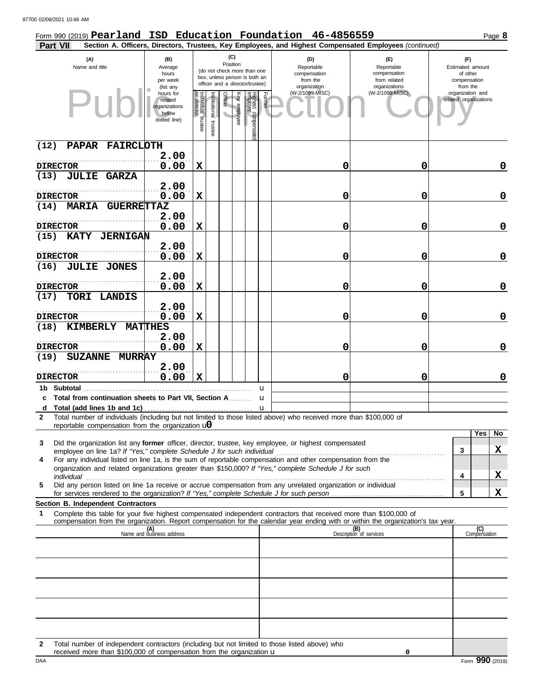| Form 990 (2019) Pearland ISD Education Foundation 46-4856559                                                                                                                                                                                                                                                                                |                                                                |                                   |                          |                 |                     |                                                                                                 |        |                                                               |                                                                                                        |                                                                 | Page 8              |
|---------------------------------------------------------------------------------------------------------------------------------------------------------------------------------------------------------------------------------------------------------------------------------------------------------------------------------------------|----------------------------------------------------------------|-----------------------------------|--------------------------|-----------------|---------------------|-------------------------------------------------------------------------------------------------|--------|---------------------------------------------------------------|--------------------------------------------------------------------------------------------------------|-----------------------------------------------------------------|---------------------|
| Part VII                                                                                                                                                                                                                                                                                                                                    |                                                                |                                   |                          |                 |                     |                                                                                                 |        |                                                               | Section A. Officers, Directors, Trustees, Key Employees, and Highest Compensated Employees (continued) |                                                                 |                     |
| (A)<br>Name and title                                                                                                                                                                                                                                                                                                                       | (B)<br>Average<br>hours<br>per week<br>(list any               |                                   |                          | (C)<br>Position |                     | (do not check more than one<br>box, unless person is both an<br>officer and a director/trustee) |        | (D)<br>Reportable<br>compensation<br>from the<br>organization | (E)<br>Reportable<br>compensation<br>from related<br>organizations                                     | (F)<br>Estimated amount<br>of other<br>compensation<br>from the |                     |
|                                                                                                                                                                                                                                                                                                                                             | hours for<br>related<br>organizations<br>below<br>dotted line) | Individual trustee<br>or director | Institutional<br>trustee | Officer         | <b>Asy</b> employee | Highest compensate<br>amployee                                                                  | Former | (W-2/1099-MISC)                                               | (W-2/1099-MISC)                                                                                        | organization and<br>related organizations                       |                     |
| PAPAR FAIRCLOTH<br>(12)                                                                                                                                                                                                                                                                                                                     |                                                                |                                   |                          |                 |                     |                                                                                                 |        |                                                               |                                                                                                        |                                                                 |                     |
| <b>DIRECTOR</b>                                                                                                                                                                                                                                                                                                                             | 2.00<br>0.00                                                   | X                                 |                          |                 |                     |                                                                                                 |        | 0                                                             | 0                                                                                                      |                                                                 | 0                   |
| (13)<br><b>JULIE GARZA</b>                                                                                                                                                                                                                                                                                                                  |                                                                |                                   |                          |                 |                     |                                                                                                 |        |                                                               |                                                                                                        |                                                                 |                     |
| <b>DIRECTOR</b>                                                                                                                                                                                                                                                                                                                             | 2.00<br>0.00                                                   | $\mathbf x$                       |                          |                 |                     |                                                                                                 |        | 0                                                             | 0                                                                                                      |                                                                 | $\mathbf 0$         |
| <b>GUERRETTAZ</b><br>(14)<br><b>MARIA</b>                                                                                                                                                                                                                                                                                                   |                                                                |                                   |                          |                 |                     |                                                                                                 |        |                                                               |                                                                                                        |                                                                 |                     |
| <b>DIRECTOR</b>                                                                                                                                                                                                                                                                                                                             | 2.00<br>0.00                                                   | $\mathbf X$                       |                          |                 |                     |                                                                                                 |        | 0                                                             | 0                                                                                                      |                                                                 | 0                   |
| KATY JERNIGAN<br>(15)                                                                                                                                                                                                                                                                                                                       |                                                                |                                   |                          |                 |                     |                                                                                                 |        |                                                               |                                                                                                        |                                                                 |                     |
| <b>DIRECTOR</b>                                                                                                                                                                                                                                                                                                                             | 2.00<br>0.00                                                   | X                                 |                          |                 |                     |                                                                                                 |        | 0                                                             | 0                                                                                                      |                                                                 | 0                   |
| <b>JULIE JONES</b><br>(16)                                                                                                                                                                                                                                                                                                                  | 2.00                                                           |                                   |                          |                 |                     |                                                                                                 |        |                                                               |                                                                                                        |                                                                 |                     |
| <b>DIRECTOR</b>                                                                                                                                                                                                                                                                                                                             | 0.00                                                           | X                                 |                          |                 |                     |                                                                                                 |        | 0                                                             | 0                                                                                                      |                                                                 | 0                   |
| TORI LANDIS<br>(17)                                                                                                                                                                                                                                                                                                                         |                                                                |                                   |                          |                 |                     |                                                                                                 |        |                                                               |                                                                                                        |                                                                 |                     |
| <b>DIRECTOR</b>                                                                                                                                                                                                                                                                                                                             | 2.00<br>0.00                                                   | $\mathbf X$                       |                          |                 |                     |                                                                                                 |        | 0                                                             | 0                                                                                                      |                                                                 | 0                   |
| (18)<br>KIMBERLY MATTHES                                                                                                                                                                                                                                                                                                                    |                                                                |                                   |                          |                 |                     |                                                                                                 |        |                                                               |                                                                                                        |                                                                 |                     |
| <b>DIRECTOR</b>                                                                                                                                                                                                                                                                                                                             | 2.00<br>0.00                                                   | $\mathbf x$                       |                          |                 |                     |                                                                                                 |        | 0                                                             | 0                                                                                                      |                                                                 | 0                   |
| (19)<br>SUZANNE MURRAY                                                                                                                                                                                                                                                                                                                      | 2.00                                                           |                                   |                          |                 |                     |                                                                                                 |        |                                                               |                                                                                                        |                                                                 |                     |
| <b>DIRECTOR</b><br>1b Subtotal                                                                                                                                                                                                                                                                                                              | 0.00                                                           | $\mathbf x$                       |                          |                 |                     |                                                                                                 | u      | 0                                                             | 0                                                                                                      |                                                                 | 0                   |
| c Total from continuation sheets to Part VII, Section A                                                                                                                                                                                                                                                                                     |                                                                |                                   |                          |                 |                     |                                                                                                 | u      |                                                               |                                                                                                        |                                                                 |                     |
|                                                                                                                                                                                                                                                                                                                                             |                                                                |                                   |                          |                 |                     |                                                                                                 |        |                                                               |                                                                                                        |                                                                 |                     |
| Total number of individuals (including but not limited to those listed above) who received more than \$100,000 of<br>2<br>reportable compensation from the organization $\mathbf{u}$                                                                                                                                                        |                                                                |                                   |                          |                 |                     |                                                                                                 |        |                                                               |                                                                                                        |                                                                 |                     |
| Did the organization list any former officer, director, trustee, key employee, or highest compensated<br>3                                                                                                                                                                                                                                  |                                                                |                                   |                          |                 |                     |                                                                                                 |        |                                                               |                                                                                                        |                                                                 | No<br>Yes           |
|                                                                                                                                                                                                                                                                                                                                             |                                                                |                                   |                          |                 |                     |                                                                                                 |        |                                                               |                                                                                                        | 3                                                               | X                   |
| For any individual listed on line 1a, is the sum of reportable compensation and other compensation from the<br>4<br>organization and related organizations greater than \$150,000? If "Yes," complete Schedule J for such<br>individual construction of the construction of the construction of the construction of the construction of the |                                                                |                                   |                          |                 |                     |                                                                                                 |        |                                                               |                                                                                                        | 4                                                               | X                   |
| Did any person listed on line 1a receive or accrue compensation from any unrelated organization or individual<br>5                                                                                                                                                                                                                          |                                                                |                                   |                          |                 |                     |                                                                                                 |        |                                                               |                                                                                                        | 5                                                               | X                   |
| Section B. Independent Contractors                                                                                                                                                                                                                                                                                                          |                                                                |                                   |                          |                 |                     |                                                                                                 |        |                                                               |                                                                                                        |                                                                 |                     |
| Complete this table for your five highest compensated independent contractors that received more than \$100,000 of<br>1<br>compensation from the organization. Report compensation for the calendar year ending with or within the organization's tax year.                                                                                 |                                                                |                                   |                          |                 |                     |                                                                                                 |        |                                                               |                                                                                                        |                                                                 |                     |
|                                                                                                                                                                                                                                                                                                                                             | (A)<br>Name and business address                               |                                   |                          |                 |                     |                                                                                                 |        |                                                               | (B)<br>Description of services                                                                         |                                                                 | (C)<br>Compensation |
|                                                                                                                                                                                                                                                                                                                                             |                                                                |                                   |                          |                 |                     |                                                                                                 |        |                                                               |                                                                                                        |                                                                 |                     |
|                                                                                                                                                                                                                                                                                                                                             |                                                                |                                   |                          |                 |                     |                                                                                                 |        |                                                               |                                                                                                        |                                                                 |                     |
|                                                                                                                                                                                                                                                                                                                                             |                                                                |                                   |                          |                 |                     |                                                                                                 |        |                                                               |                                                                                                        |                                                                 |                     |
|                                                                                                                                                                                                                                                                                                                                             |                                                                |                                   |                          |                 |                     |                                                                                                 |        |                                                               |                                                                                                        |                                                                 |                     |
|                                                                                                                                                                                                                                                                                                                                             |                                                                |                                   |                          |                 |                     |                                                                                                 |        |                                                               |                                                                                                        |                                                                 |                     |
|                                                                                                                                                                                                                                                                                                                                             |                                                                |                                   |                          |                 |                     |                                                                                                 |        |                                                               |                                                                                                        |                                                                 |                     |
|                                                                                                                                                                                                                                                                                                                                             |                                                                |                                   |                          |                 |                     |                                                                                                 |        |                                                               |                                                                                                        |                                                                 |                     |
|                                                                                                                                                                                                                                                                                                                                             |                                                                |                                   |                          |                 |                     |                                                                                                 |        |                                                               |                                                                                                        |                                                                 |                     |

| Total number of independent contractors (including but not limited to those listed above) who |
|-----------------------------------------------------------------------------------------------|
| received more than \$100,000 of compensation from the organization <b>u</b>                   |

**0**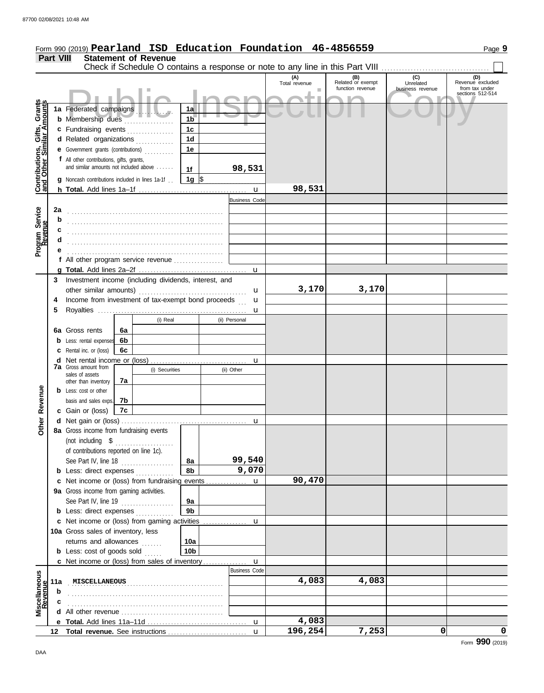|                                                           |                                                         |                                                                                           |    |                             |                      |               |                      | Form 990 (2019) Pearland ISD Education Foundation 46-4856559 |                          |                                                                               | Page 9                             |
|-----------------------------------------------------------|---------------------------------------------------------|-------------------------------------------------------------------------------------------|----|-----------------------------|----------------------|---------------|----------------------|--------------------------------------------------------------|--------------------------|-------------------------------------------------------------------------------|------------------------------------|
|                                                           | <b>Part VIII</b>                                        |                                                                                           |    | <b>Statement of Revenue</b> |                      |               |                      |                                                              |                          |                                                                               |                                    |
|                                                           |                                                         |                                                                                           |    |                             |                      |               |                      |                                                              |                          | Check if Schedule O contains a response or note to any line in this Part VIII |                                    |
|                                                           |                                                         |                                                                                           |    |                             |                      |               |                      | (A)<br>Total revenue                                         | (B)<br>Related or exempt | (C)<br>Unrelated                                                              | (D)<br>Revenue excluded            |
|                                                           |                                                         |                                                                                           |    |                             |                      |               |                      |                                                              | function revenue         | business revenue                                                              | from tax under<br>sections 512-514 |
|                                                           |                                                         |                                                                                           |    |                             |                      |               |                      |                                                              |                          |                                                                               |                                    |
|                                                           |                                                         | 1a Federated campaigns                                                                    |    |                             | 1a                   |               |                      |                                                              |                          |                                                                               |                                    |
|                                                           |                                                         | b Membership dues<br>1 <sub>b</sub><br>c Fundraising events                               |    |                             |                      |               |                      |                                                              |                          |                                                                               |                                    |
| Contributions, Gifts, Grants<br>and Other Similar Amounts |                                                         |                                                                                           |    |                             | 1 <sub>c</sub>       |               |                      |                                                              |                          |                                                                               |                                    |
|                                                           |                                                         | d Related organizations                                                                   |    |                             | 1 <sub>d</sub>       |               |                      |                                                              |                          |                                                                               |                                    |
|                                                           |                                                         | e Government grants (contributions)                                                       |    |                             | 1e                   |               |                      |                                                              |                          |                                                                               |                                    |
|                                                           |                                                         | f All other contributions, gifts, grants,<br>and similar amounts not included above       |    |                             |                      |               |                      |                                                              |                          |                                                                               |                                    |
|                                                           |                                                         |                                                                                           |    |                             | 1f                   |               | 98,531               |                                                              |                          |                                                                               |                                    |
|                                                           |                                                         | <b>g</b> Noncash contributions included in lines 1a-1f.                                   |    |                             | 1g $\sqrt{3}$        |               |                      |                                                              |                          |                                                                               |                                    |
|                                                           |                                                         |                                                                                           |    |                             |                      |               | $\mathbf{u}$         | 98,531                                                       |                          |                                                                               |                                    |
|                                                           |                                                         |                                                                                           |    |                             |                      |               | <b>Business Code</b> |                                                              |                          |                                                                               |                                    |
| Program Service<br>Revenue                                | 2a                                                      |                                                                                           |    |                             |                      |               |                      |                                                              |                          |                                                                               |                                    |
|                                                           | b                                                       |                                                                                           |    |                             |                      |               |                      |                                                              |                          |                                                                               |                                    |
|                                                           |                                                         |                                                                                           |    |                             |                      |               |                      |                                                              |                          |                                                                               |                                    |
|                                                           |                                                         |                                                                                           |    |                             |                      |               |                      |                                                              |                          |                                                                               |                                    |
|                                                           |                                                         |                                                                                           |    |                             |                      |               |                      |                                                              |                          |                                                                               |                                    |
|                                                           |                                                         | f All other program service revenue                                                       |    |                             |                      |               |                      |                                                              |                          |                                                                               |                                    |
|                                                           |                                                         |                                                                                           |    |                             |                      |               | u                    |                                                              |                          |                                                                               |                                    |
|                                                           |                                                         | 3 Investment income (including dividends, interest, and                                   |    |                             |                      |               |                      |                                                              |                          |                                                                               |                                    |
|                                                           |                                                         |                                                                                           |    |                             |                      |               | u<br>u               | 3,170                                                        | 3,170                    |                                                                               |                                    |
|                                                           | Income from investment of tax-exempt bond proceeds<br>4 |                                                                                           |    |                             |                      |               |                      |                                                              |                          |                                                                               |                                    |
|                                                           | 5                                                       |                                                                                           |    |                             |                      |               | u                    |                                                              |                          |                                                                               |                                    |
|                                                           |                                                         |                                                                                           |    | (i) Real                    |                      | (ii) Personal |                      |                                                              |                          |                                                                               |                                    |
|                                                           |                                                         | 6a Gross rents                                                                            | 6a |                             |                      |               |                      |                                                              |                          |                                                                               |                                    |
|                                                           |                                                         | <b>b</b> Less: rental expenses                                                            | 6b |                             |                      |               |                      |                                                              |                          |                                                                               |                                    |
|                                                           |                                                         | <b>c</b> Rental inc. or (loss)                                                            | 6с |                             |                      |               |                      |                                                              |                          |                                                                               |                                    |
|                                                           |                                                         | <b>7a</b> Gross amount from                                                               |    |                             |                      |               | u                    |                                                              |                          |                                                                               |                                    |
|                                                           |                                                         | sales of assets                                                                           |    | (i) Securities              |                      | (ii) Other    |                      |                                                              |                          |                                                                               |                                    |
|                                                           |                                                         | other than inventory                                                                      | 7a |                             |                      |               |                      |                                                              |                          |                                                                               |                                    |
| Revenue                                                   |                                                         | <b>b</b> Less: cost or other                                                              |    |                             |                      |               |                      |                                                              |                          |                                                                               |                                    |
|                                                           |                                                         | basis and sales exps.                                                                     | 7b |                             |                      |               |                      |                                                              |                          |                                                                               |                                    |
|                                                           |                                                         | c Gain or (loss)                                                                          | 7c |                             |                      |               |                      |                                                              |                          |                                                                               |                                    |
| <b>Other</b>                                              |                                                         | d Net gain or (loss)                                                                      |    |                             |                      |               |                      |                                                              |                          |                                                                               |                                    |
|                                                           |                                                         | 8a Gross income from fundraising events                                                   |    |                             |                      |               |                      |                                                              |                          |                                                                               |                                    |
|                                                           |                                                         | (not including \$                                                                         |    | .                           |                      |               |                      |                                                              |                          |                                                                               |                                    |
|                                                           |                                                         | of contributions reported on line 1c).                                                    |    |                             |                      |               | 99,540               |                                                              |                          |                                                                               |                                    |
|                                                           |                                                         | See Part IV, line 18<br><b>b</b> Less: direct expenses                                    |    |                             | 8a<br>8b             |               | 9,070                |                                                              |                          |                                                                               |                                    |
|                                                           |                                                         |                                                                                           |    |                             |                      |               |                      | 90,470                                                       |                          |                                                                               |                                    |
|                                                           |                                                         | c Net income or (loss) from fundraising events<br>9a Gross income from gaming activities. |    |                             |                      |               | $\mathbf u$          |                                                              |                          |                                                                               |                                    |
|                                                           |                                                         |                                                                                           |    |                             |                      |               |                      |                                                              |                          |                                                                               |                                    |
|                                                           |                                                         | See Part IV, line 19                                                                      |    | .                           | 9а<br>9 <sub>b</sub> |               |                      |                                                              |                          |                                                                               |                                    |
|                                                           |                                                         | <b>b</b> Less: direct expenses<br>c Net income or (loss) from gaming activities           |    |                             |                      |               |                      |                                                              |                          |                                                                               |                                    |
|                                                           |                                                         | 10a Gross sales of inventory, less                                                        |    |                             |                      |               | u                    |                                                              |                          |                                                                               |                                    |
|                                                           |                                                         | returns and allowances                                                                    |    |                             | 10a                  |               |                      |                                                              |                          |                                                                               |                                    |
|                                                           |                                                         |                                                                                           |    |                             | 10 <sub>b</sub>      |               |                      |                                                              |                          |                                                                               |                                    |
|                                                           |                                                         | <b>b</b> Less: cost of goods sold<br>c Net income or (loss) from sales of inventory       |    |                             |                      |               | $\mathbf{u}$         |                                                              |                          |                                                                               |                                    |
|                                                           |                                                         |                                                                                           |    |                             |                      |               | <b>Business Code</b> |                                                              |                          |                                                                               |                                    |
|                                                           | 11a                                                     | MISCELLANEOUS                                                                             |    |                             |                      |               |                      | 4,083                                                        | 4,083                    |                                                                               |                                    |
|                                                           |                                                         |                                                                                           |    |                             |                      |               |                      |                                                              |                          |                                                                               |                                    |
| Miscellaneous<br>Revenue                                  | b                                                       |                                                                                           |    |                             |                      |               |                      |                                                              |                          |                                                                               |                                    |
|                                                           |                                                         |                                                                                           |    |                             |                      |               |                      |                                                              |                          |                                                                               |                                    |
|                                                           |                                                         |                                                                                           |    |                             |                      |               |                      | 4,083                                                        |                          |                                                                               |                                    |
|                                                           |                                                         |                                                                                           |    |                             |                      |               | $\mathbf{u}$         | 196,254                                                      | 7,253                    | $\mathbf{0}$                                                                  | 0                                  |
|                                                           |                                                         |                                                                                           |    |                             |                      |               |                      |                                                              |                          |                                                                               |                                    |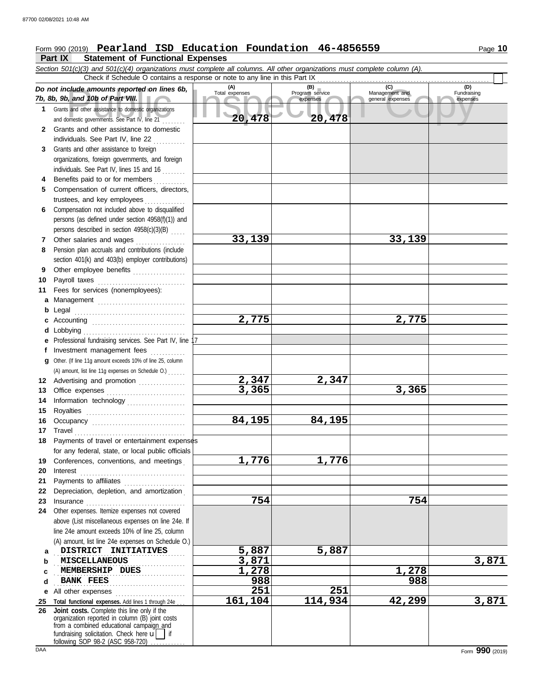## Form 990 (2019) Page **10 Pearland ISD Education Foundation 46-4856559**

# **Part IX Statement of Functional Expenses**<br>Section 501(c)(3) and 501(c)(4) organizations must complete a

|          | Section 501(c)(3) and 501(c)(4) organizations must complete all columns. All other organizations must complete column (A).                                                                                                                                                                                                                                                                                                                                                                                                  |                       |                                    |                                           |                                |
|----------|-----------------------------------------------------------------------------------------------------------------------------------------------------------------------------------------------------------------------------------------------------------------------------------------------------------------------------------------------------------------------------------------------------------------------------------------------------------------------------------------------------------------------------|-----------------------|------------------------------------|-------------------------------------------|--------------------------------|
|          | Check if Schedule O contains a response or note to any line in this Part IX                                                                                                                                                                                                                                                                                                                                                                                                                                                 |                       |                                    |                                           |                                |
|          | Do not include amounts reported on lines 6b,<br>7b, 8b, 9b, and 10b of Part VIII.                                                                                                                                                                                                                                                                                                                                                                                                                                           | (A)<br>Total expenses | (B)<br>Program service<br>expenses | (C)<br>Management and<br>general expenses | (D)<br>Fundraising<br>expenses |
| 1.       | Grants and other assistance to domestic organizations<br>and domestic governments. See Part IV, line 21                                                                                                                                                                                                                                                                                                                                                                                                                     | 20,478                | 20,478                             |                                           |                                |
| 2        | Grants and other assistance to domestic<br>individuals. See Part IV, line 22                                                                                                                                                                                                                                                                                                                                                                                                                                                |                       |                                    |                                           |                                |
|          |                                                                                                                                                                                                                                                                                                                                                                                                                                                                                                                             |                       |                                    |                                           |                                |
| 3        | Grants and other assistance to foreign                                                                                                                                                                                                                                                                                                                                                                                                                                                                                      |                       |                                    |                                           |                                |
|          | organizations, foreign governments, and foreign<br>individuals. See Part IV, lines 15 and 16                                                                                                                                                                                                                                                                                                                                                                                                                                |                       |                                    |                                           |                                |
|          |                                                                                                                                                                                                                                                                                                                                                                                                                                                                                                                             |                       |                                    |                                           |                                |
| 4<br>5   | Benefits paid to or for members<br>Compensation of current officers, directors,                                                                                                                                                                                                                                                                                                                                                                                                                                             |                       |                                    |                                           |                                |
|          |                                                                                                                                                                                                                                                                                                                                                                                                                                                                                                                             |                       |                                    |                                           |                                |
|          | trustees, and key employees                                                                                                                                                                                                                                                                                                                                                                                                                                                                                                 |                       |                                    |                                           |                                |
| 6        | Compensation not included above to disqualified                                                                                                                                                                                                                                                                                                                                                                                                                                                                             |                       |                                    |                                           |                                |
|          | persons (as defined under section 4958(f)(1)) and                                                                                                                                                                                                                                                                                                                                                                                                                                                                           |                       |                                    |                                           |                                |
|          | persons described in section 4958(c)(3)(B)                                                                                                                                                                                                                                                                                                                                                                                                                                                                                  | 33,139                |                                    |                                           |                                |
| 7        | Other salaries and wages<br>an an Dùbhlachd a bhaile an Dùbhail an Dùbhail an Dùbhail an Dùbhail an Dùbhail an Dùbhail an Dùbhail an Dùbha                                                                                                                                                                                                                                                                                                                                                                                  |                       |                                    | 33,139                                    |                                |
| 8        | Pension plan accruals and contributions (include                                                                                                                                                                                                                                                                                                                                                                                                                                                                            |                       |                                    |                                           |                                |
|          | section 401(k) and 403(b) employer contributions)                                                                                                                                                                                                                                                                                                                                                                                                                                                                           |                       |                                    |                                           |                                |
| 9        | Other employee benefits                                                                                                                                                                                                                                                                                                                                                                                                                                                                                                     |                       |                                    |                                           |                                |
| 10<br>11 | Payroll taxes                                                                                                                                                                                                                                                                                                                                                                                                                                                                                                               |                       |                                    |                                           |                                |
|          | Fees for services (nonemployees):                                                                                                                                                                                                                                                                                                                                                                                                                                                                                           |                       |                                    |                                           |                                |
| a        | Management                                                                                                                                                                                                                                                                                                                                                                                                                                                                                                                  |                       |                                    |                                           |                                |
| b        |                                                                                                                                                                                                                                                                                                                                                                                                                                                                                                                             | 2,775                 |                                    | 2,775                                     |                                |
| c<br>d   | Lobbying                                                                                                                                                                                                                                                                                                                                                                                                                                                                                                                    |                       |                                    |                                           |                                |
| е        | Professional fundraising services. See Part IV, line 17                                                                                                                                                                                                                                                                                                                                                                                                                                                                     |                       |                                    |                                           |                                |
| Ť.       | Investment management fees                                                                                                                                                                                                                                                                                                                                                                                                                                                                                                  |                       |                                    |                                           |                                |
| a        | Other. (If line 11g amount exceeds 10% of line 25, column                                                                                                                                                                                                                                                                                                                                                                                                                                                                   |                       |                                    |                                           |                                |
|          | (A) amount, list line 11g expenses on Schedule O.)                                                                                                                                                                                                                                                                                                                                                                                                                                                                          |                       |                                    |                                           |                                |
|          | 12 Advertising and promotion                                                                                                                                                                                                                                                                                                                                                                                                                                                                                                | 2,347                 | 2,347                              |                                           |                                |
| 13       | Office expenses                                                                                                                                                                                                                                                                                                                                                                                                                                                                                                             | 3,365                 |                                    | 3,365                                     |                                |
| 14       | Information technology                                                                                                                                                                                                                                                                                                                                                                                                                                                                                                      |                       |                                    |                                           |                                |
| 15       |                                                                                                                                                                                                                                                                                                                                                                                                                                                                                                                             |                       |                                    |                                           |                                |
| 16       | Occupancy                                                                                                                                                                                                                                                                                                                                                                                                                                                                                                                   | 84,195                | 84,195                             |                                           |                                |
| 17       | $\begin{minipage}[c]{0.9\linewidth} \begin{tabular}{l} \textbf{Travel} \end{tabular} \end{minipage} \end{minipage} \begin{minipage}[c]{0.9\linewidth} \begin{tabular}{l} \textbf{True} \end{tabular} \end{minipage} \end{minipage} \begin{minipage}[c]{0.9\linewidth} \begin{tabular}{l} \textbf{True} \end{tabular} \end{minipage} \end{minipage} \begin{minipage}[c]{0.9\linewidth} \begin{tabular}{l} \textbf{True} \end{tabular} \end{minipage} \end{minipage} \begin{minipage}[c]{0.9\linewidth} \begin{tabular}{l} \$ |                       |                                    |                                           |                                |
| 18       | Payments of travel or entertainment expenses                                                                                                                                                                                                                                                                                                                                                                                                                                                                                |                       |                                    |                                           |                                |
|          | for any federal, state, or local public officials                                                                                                                                                                                                                                                                                                                                                                                                                                                                           |                       |                                    |                                           |                                |
| 19       | Conferences, conventions, and meetings                                                                                                                                                                                                                                                                                                                                                                                                                                                                                      | 1,776                 | 1,776                              |                                           |                                |
| 20       | Interest                                                                                                                                                                                                                                                                                                                                                                                                                                                                                                                    |                       |                                    |                                           |                                |
| 21       | Payments to affiliates                                                                                                                                                                                                                                                                                                                                                                                                                                                                                                      |                       |                                    |                                           |                                |
| 22       | Depreciation, depletion, and amortization                                                                                                                                                                                                                                                                                                                                                                                                                                                                                   |                       |                                    |                                           |                                |
| 23       |                                                                                                                                                                                                                                                                                                                                                                                                                                                                                                                             | 754                   |                                    | 754                                       |                                |
| 24       | Other expenses. Itemize expenses not covered                                                                                                                                                                                                                                                                                                                                                                                                                                                                                |                       |                                    |                                           |                                |
|          | above (List miscellaneous expenses on line 24e. If                                                                                                                                                                                                                                                                                                                                                                                                                                                                          |                       |                                    |                                           |                                |
|          | line 24e amount exceeds 10% of line 25, column                                                                                                                                                                                                                                                                                                                                                                                                                                                                              |                       |                                    |                                           |                                |
|          | (A) amount, list line 24e expenses on Schedule O.)                                                                                                                                                                                                                                                                                                                                                                                                                                                                          |                       |                                    |                                           |                                |
| a        | DISTRICT INITIATIVES                                                                                                                                                                                                                                                                                                                                                                                                                                                                                                        | 5,887                 | 5,887                              |                                           |                                |
| b        | <b>MISCELLANEOUS</b>                                                                                                                                                                                                                                                                                                                                                                                                                                                                                                        | 3,871<br>1,278        |                                    |                                           | 3,871                          |
| C        | MEMBERSHIP DUES                                                                                                                                                                                                                                                                                                                                                                                                                                                                                                             | 988                   |                                    | 1,278<br>988                              |                                |
| d        | <b>BANK FEES</b><br>.                                                                                                                                                                                                                                                                                                                                                                                                                                                                                                       | 251                   | 251                                |                                           |                                |
| е<br>25  | All other expenses<br>Total functional expenses. Add lines 1 through 24e                                                                                                                                                                                                                                                                                                                                                                                                                                                    | 161,104               | 114,934                            | 42,299                                    | 3,871                          |
| 26       | Joint costs. Complete this line only if the                                                                                                                                                                                                                                                                                                                                                                                                                                                                                 |                       |                                    |                                           |                                |
|          | organization reported in column (B) joint costs                                                                                                                                                                                                                                                                                                                                                                                                                                                                             |                       |                                    |                                           |                                |
|          | from a combined educational campaign and                                                                                                                                                                                                                                                                                                                                                                                                                                                                                    |                       |                                    |                                           |                                |
|          | fundraising solicitation. Check here $\vec{u}$   if<br>following SOP 98-2 (ASC 958-720).                                                                                                                                                                                                                                                                                                                                                                                                                                    |                       |                                    |                                           |                                |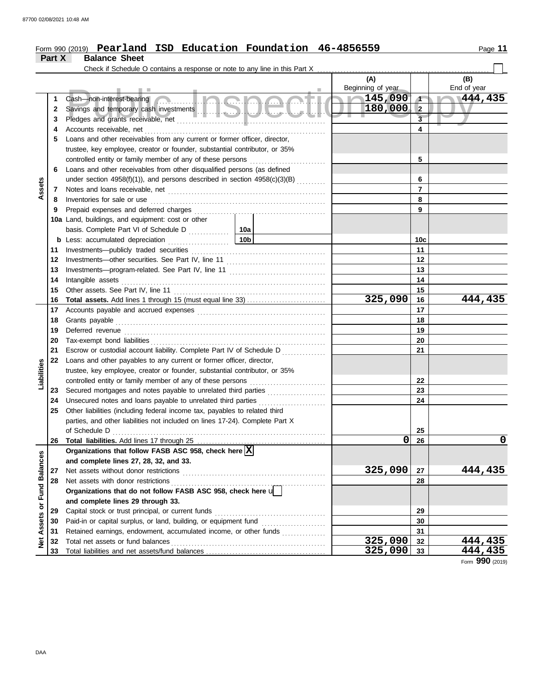#### Form 990 (2019) Page **11 Pearland ISD Education Foundation 46-4856559**

|                      | Part X   | <b>Balance Sheet</b>                                                                                                           |                 |                   |                         |             |
|----------------------|----------|--------------------------------------------------------------------------------------------------------------------------------|-----------------|-------------------|-------------------------|-------------|
|                      |          | Check if Schedule O contains a response or note to any line in this Part X                                                     |                 |                   |                         |             |
|                      |          |                                                                                                                                |                 | (A)               |                         | (B)         |
|                      |          |                                                                                                                                |                 | Beginning of year |                         | End of year |
|                      | 1        | Cash-non-interest-bearing                                                                                                      | 5 Inche Al      | 145,090           | $\sqrt{2}$              | 444,435     |
|                      | 2        |                                                                                                                                |                 | 180,000           | $\vert$ 2               |             |
|                      | 3        |                                                                                                                                |                 |                   | $\overline{\mathbf{3}}$ |             |
|                      | 4        |                                                                                                                                |                 |                   | 4                       |             |
|                      | 5        | Loans and other receivables from any current or former officer, director,                                                      |                 |                   |                         |             |
|                      |          | trustee, key employee, creator or founder, substantial contributor, or 35%                                                     |                 |                   |                         |             |
|                      |          | controlled entity or family member of any of these persons                                                                     |                 |                   | 5                       |             |
|                      | 6        | Loans and other receivables from other disqualified persons (as defined                                                        |                 |                   |                         |             |
|                      |          | under section $4958(f)(1)$ ), and persons described in section $4958(c)(3)(B)$                                                 |                 |                   | 6                       |             |
| Assets               | 7        |                                                                                                                                |                 |                   | $\overline{7}$          |             |
|                      | 8        | Inventories for sale or use                                                                                                    |                 |                   | 8                       |             |
|                      | 9        | Prepaid expenses and deferred charges                                                                                          |                 |                   | 9                       |             |
|                      |          | 10a Land, buildings, and equipment: cost or other                                                                              |                 |                   |                         |             |
|                      |          |                                                                                                                                |                 |                   |                         |             |
|                      |          | <b>b</b> Less: accumulated depreciation<br>.                                                                                   | 10 <sub>b</sub> |                   | 10c                     |             |
|                      | 11       | Investments-publicly traded securities                                                                                         |                 |                   | 11                      |             |
|                      | 12       |                                                                                                                                |                 |                   | 12                      |             |
|                      | 13       |                                                                                                                                |                 |                   | 13                      |             |
|                      | 14       | Intangible assets                                                                                                              |                 |                   | 14                      |             |
|                      | 15       | Other assets. See Part IV. line 11                                                                                             |                 |                   | 15                      |             |
|                      | 16       |                                                                                                                                |                 | 325,090           | 16                      | 444,435     |
|                      | 17       |                                                                                                                                |                 |                   | 17                      |             |
|                      | 18       | Grants payable                                                                                                                 |                 |                   | 18                      |             |
|                      | 19       |                                                                                                                                |                 |                   | 19                      |             |
|                      | 20       |                                                                                                                                |                 |                   | 20                      |             |
|                      | 21       | Escrow or custodial account liability. Complete Part IV of Schedule D                                                          |                 |                   | 21                      |             |
| Liabilities          | 22       | Loans and other payables to any current or former officer, director,                                                           |                 |                   |                         |             |
|                      |          | trustee, key employee, creator or founder, substantial contributor, or 35%                                                     |                 |                   |                         |             |
|                      |          |                                                                                                                                |                 |                   | 22<br>23                |             |
|                      | 23<br>24 | Secured mortgages and notes payable to unrelated third parties<br>Unsecured notes and loans payable to unrelated third parties |                 |                   | 24                      |             |
|                      | 25       | Other liabilities (including federal income tax, payables to related third                                                     |                 |                   |                         |             |
|                      |          | parties, and other liabilities not included on lines 17-24). Complete Part X                                                   |                 |                   |                         |             |
|                      |          | of Schedule D                                                                                                                  |                 |                   | 25                      |             |
|                      | 26       |                                                                                                                                |                 | 0                 | 26                      | $\mathbf 0$ |
|                      |          | Organizations that follow FASB ASC 958, check here $\boxed{\mathbf{X}}$                                                        |                 |                   |                         |             |
| <b>Fund Balances</b> |          | and complete lines 27, 28, 32, and 33.                                                                                         |                 |                   |                         |             |
|                      | 27       | Net assets without donor restrictions                                                                                          |                 | 325,090           | 27                      | 444,435     |
|                      | 28       | Net assets with donor restrictions                                                                                             |                 |                   | 28                      |             |
|                      |          | Organizations that do not follow FASB ASC 958, check here u                                                                    |                 |                   |                         |             |
|                      |          | and complete lines 29 through 33.                                                                                              |                 |                   |                         |             |
| ŏ                    | 29       | Capital stock or trust principal, or current funds                                                                             |                 |                   | 29                      |             |
|                      | 30       | Paid-in or capital surplus, or land, building, or equipment fund                                                               |                 |                   | 30                      |             |
|                      | 31       | Retained earnings, endowment, accumulated income, or other funds                                                               |                 |                   | 31                      |             |
| <b>Net Assets</b>    | 32       | Total net assets or fund balances                                                                                              |                 | 325,090           | 32                      | 444,435     |
|                      | 33       |                                                                                                                                |                 | 325,090           | 33                      | 444,435     |
|                      |          |                                                                                                                                |                 |                   |                         |             |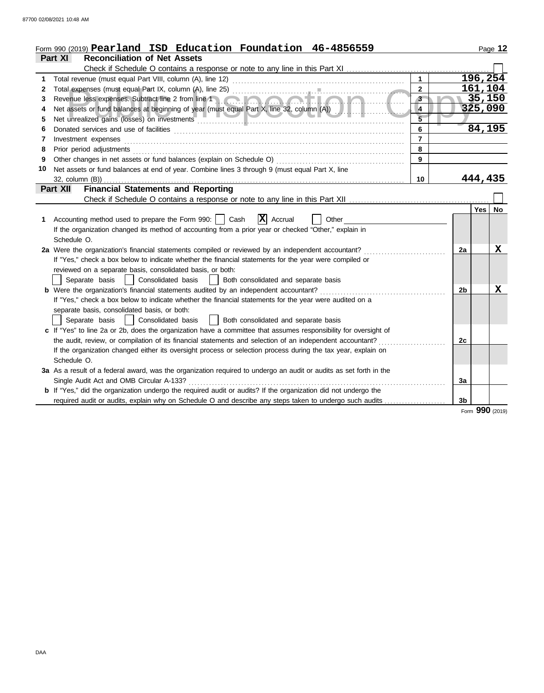|    | Form 990 (2019) Pearland ISD Education Foundation 46-4856559                                                                                                               |                |                | Page 12            |
|----|----------------------------------------------------------------------------------------------------------------------------------------------------------------------------|----------------|----------------|--------------------|
|    | <b>Reconciliation of Net Assets</b><br>Part XI                                                                                                                             |                |                |                    |
|    | Check if Schedule O contains a response or note to any line in this Part XI                                                                                                |                |                |                    |
| 1  | Total revenue (must equal Part VIII, column (A), line 12)                                                                                                                  | $\mathbf{1}$   |                | 196, 254           |
| 2  |                                                                                                                                                                            | $\overline{2}$ |                | 161,104            |
| 3  | Revenue less expenses. Subtract line 2 from line 1                                                                                                                         | 3 <sup>2</sup> |                | 35,150             |
| 4  | Net assets or fund balances at beginning of year (must equal Part X, line 32, column (A))                                                                                  | $\overline{4}$ |                | 325,090            |
| 5  | Net unrealized gains (losses) on investments [1999] Martin Martin Martin Martin Martin Martin Martin Martin Mar                                                            |                |                |                    |
| 6  |                                                                                                                                                                            | 6              |                | 84,195             |
| 7  | Investment expenses                                                                                                                                                        | $\overline{7}$ |                |                    |
| 8  | Prior period adjustments                                                                                                                                                   | 8              |                |                    |
| 9  | Other changes in net assets or fund balances (explain on Schedule O)                                                                                                       | $\overline{9}$ |                |                    |
| 10 | Net assets or fund balances at end of year. Combine lines 3 through 9 (must equal Part X, line                                                                             |                |                |                    |
|    | 32, column (B))                                                                                                                                                            | 10             |                | 444,435            |
|    | <b>Financial Statements and Reporting</b><br>Part XII                                                                                                                      |                |                |                    |
|    |                                                                                                                                                                            |                |                |                    |
|    | $ \mathbf{X} $ Accrual                                                                                                                                                     |                |                | Yes  <br><b>No</b> |
| 1. | Accounting method used to prepare the Form 990:     Cash<br>Other<br>If the organization changed its method of accounting from a prior year or checked "Other," explain in |                |                |                    |
|    | Schedule O.                                                                                                                                                                |                |                |                    |
|    | 2a Were the organization's financial statements compiled or reviewed by an independent accountant?                                                                         |                | 2a             | x                  |
|    | If "Yes," check a box below to indicate whether the financial statements for the year were compiled or                                                                     |                |                |                    |
|    | reviewed on a separate basis, consolidated basis, or both:                                                                                                                 |                |                |                    |
|    | Both consolidated and separate basis<br>Separate basis<br>Consolidated basis<br>$\mathcal{L}$                                                                              |                |                |                    |
|    | <b>b</b> Were the organization's financial statements audited by an independent accountant?                                                                                |                | 2 <sub>b</sub> | X                  |
|    | If "Yes," check a box below to indicate whether the financial statements for the year were audited on a                                                                    |                |                |                    |
|    | separate basis, consolidated basis, or both:                                                                                                                               |                |                |                    |
|    | Separate basis<br>Consolidated basis<br>  Both consolidated and separate basis                                                                                             |                |                |                    |
|    | c If "Yes" to line 2a or 2b, does the organization have a committee that assumes responsibility for oversight of                                                           |                |                |                    |
|    | the audit, review, or compilation of its financial statements and selection of an independent accountant?                                                                  |                | 2c             |                    |
|    | If the organization changed either its oversight process or selection process during the tax year, explain on                                                              |                |                |                    |
|    | Schedule O.                                                                                                                                                                |                |                |                    |
|    | 3a As a result of a federal award, was the organization required to undergo an audit or audits as set forth in the                                                         |                |                |                    |
|    | Single Audit Act and OMB Circular A-133?                                                                                                                                   |                | За             |                    |
|    | b If "Yes," did the organization undergo the required audit or audits? If the organization did not undergo the                                                             |                |                |                    |
|    | required audit or audits, explain why on Schedule O and describe any steps taken to undergo such audits                                                                    |                | 3 <sub>b</sub> |                    |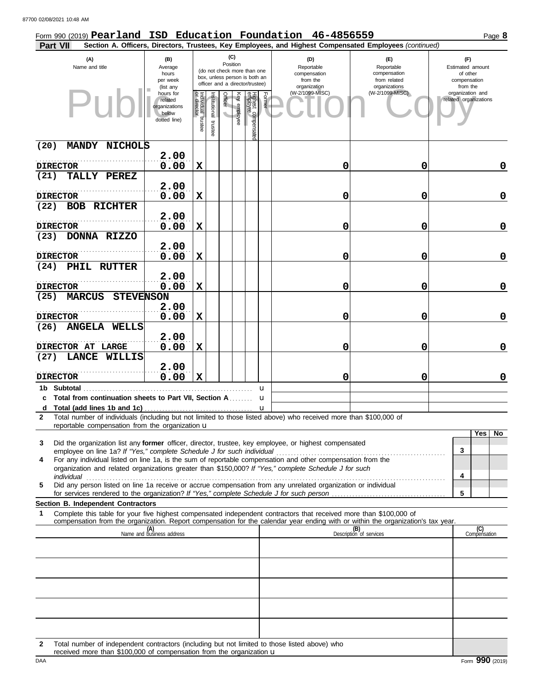| Form 990 (2019) Pearland ISD Education Foundation 46-4856559                                                                                                                                                                                                |                                                                |                                   |                          |         |              |                                |                                                                                  |  |                                                                                       |                                                                                                        |                                                                                     | Page 8                |
|-------------------------------------------------------------------------------------------------------------------------------------------------------------------------------------------------------------------------------------------------------------|----------------------------------------------------------------|-----------------------------------|--------------------------|---------|--------------|--------------------------------|----------------------------------------------------------------------------------|--|---------------------------------------------------------------------------------------|--------------------------------------------------------------------------------------------------------|-------------------------------------------------------------------------------------|-----------------------|
| <b>Part VII</b>                                                                                                                                                                                                                                             |                                                                |                                   |                          |         |              |                                |                                                                                  |  |                                                                                       | Section A. Officers, Directors, Trustees, Key Employees, and Highest Compensated Employees (continued) |                                                                                     |                       |
| (C)<br>(A)<br>(B)<br>Position<br>Name and title<br>Average<br>(do not check more than one<br>hours<br>box, unless person is both an<br>per week<br>officer and a director/trustee)<br>(list any                                                             |                                                                |                                   |                          |         |              |                                | (D)<br>Reportable<br>compensation<br>from the<br>organization<br>(W-2/1099-MISC) |  | (E)<br>Reportable<br>compensation<br>from related<br>organizations<br>(W-2/1099-MISC) |                                                                                                        | (F)<br>Estimated amount<br>of other<br>compensation<br>from the<br>organization and |                       |
|                                                                                                                                                                                                                                                             | hours for<br>related<br>organizations<br>below<br>dotted line) | Individual trustee<br>or director | Institutional<br>trustee | Officer | Key employee | Highest compensate<br>employee | Former                                                                           |  |                                                                                       |                                                                                                        |                                                                                     | related organizations |
| (20)<br>MANDY NICHOLS                                                                                                                                                                                                                                       |                                                                |                                   |                          |         |              |                                |                                                                                  |  |                                                                                       |                                                                                                        |                                                                                     |                       |
|                                                                                                                                                                                                                                                             | 2.00                                                           |                                   |                          |         |              |                                |                                                                                  |  |                                                                                       |                                                                                                        |                                                                                     |                       |
| <b>DIRECTOR</b><br>(21)<br>TALLY PEREZ                                                                                                                                                                                                                      | 0.00                                                           | X                                 |                          |         |              |                                |                                                                                  |  | 0                                                                                     | 0                                                                                                      |                                                                                     | 0                     |
|                                                                                                                                                                                                                                                             | 2.00                                                           |                                   |                          |         |              |                                |                                                                                  |  |                                                                                       |                                                                                                        |                                                                                     |                       |
| <b>DIRECTOR</b>                                                                                                                                                                                                                                             | 0.00                                                           | $\mathbf X$                       |                          |         |              |                                |                                                                                  |  | 0                                                                                     | 0                                                                                                      |                                                                                     | $\mathbf 0$           |
| (22)<br><b>BOB RICHTER</b>                                                                                                                                                                                                                                  | 2.00                                                           |                                   |                          |         |              |                                |                                                                                  |  |                                                                                       |                                                                                                        |                                                                                     |                       |
| <b>DIRECTOR</b>                                                                                                                                                                                                                                             | 0.00                                                           | X                                 |                          |         |              |                                |                                                                                  |  | 0                                                                                     | 0                                                                                                      |                                                                                     | $\mathbf 0$           |
| (23)<br>DONNA RIZZO                                                                                                                                                                                                                                         |                                                                |                                   |                          |         |              |                                |                                                                                  |  |                                                                                       |                                                                                                        |                                                                                     |                       |
|                                                                                                                                                                                                                                                             | 2.00                                                           |                                   |                          |         |              |                                |                                                                                  |  |                                                                                       |                                                                                                        |                                                                                     |                       |
| <b>DIRECTOR</b><br>(24)<br>PHIL RUTTER                                                                                                                                                                                                                      | 0.00                                                           | $\mathbf x$                       |                          |         |              |                                |                                                                                  |  | 0                                                                                     | 0                                                                                                      |                                                                                     | $\mathbf 0$           |
|                                                                                                                                                                                                                                                             | 2.00                                                           |                                   |                          |         |              |                                |                                                                                  |  |                                                                                       |                                                                                                        |                                                                                     |                       |
| <b>DIRECTOR</b>                                                                                                                                                                                                                                             | 0.00                                                           | $\mathbf x$                       |                          |         |              |                                |                                                                                  |  | 0                                                                                     | 0                                                                                                      |                                                                                     | $\mathbf 0$           |
| (25)<br><b>MARCUS</b><br><b>STEVENSON</b>                                                                                                                                                                                                                   |                                                                |                                   |                          |         |              |                                |                                                                                  |  |                                                                                       |                                                                                                        |                                                                                     |                       |
| <b>DIRECTOR</b>                                                                                                                                                                                                                                             | 2.00<br>0.00                                                   | X                                 |                          |         |              |                                |                                                                                  |  | 0                                                                                     | 0                                                                                                      |                                                                                     | $\mathbf 0$           |
| (26)<br><b>ANGELA WELLS</b>                                                                                                                                                                                                                                 |                                                                |                                   |                          |         |              |                                |                                                                                  |  |                                                                                       |                                                                                                        |                                                                                     |                       |
|                                                                                                                                                                                                                                                             | 2.00                                                           |                                   |                          |         |              |                                |                                                                                  |  |                                                                                       |                                                                                                        |                                                                                     |                       |
| DIRECTOR AT LARGE                                                                                                                                                                                                                                           | 0.00                                                           | X                                 |                          |         |              |                                |                                                                                  |  | 0                                                                                     | 0                                                                                                      |                                                                                     | $\mathbf 0$           |
| LANCE WILLIS<br>(27)                                                                                                                                                                                                                                        | 2.00                                                           |                                   |                          |         |              |                                |                                                                                  |  |                                                                                       |                                                                                                        |                                                                                     |                       |
| <b>DIRECTOR</b>                                                                                                                                                                                                                                             | 0.00                                                           | $\mathbf X$                       |                          |         |              |                                |                                                                                  |  | 0                                                                                     | 0                                                                                                      |                                                                                     | 0                     |
| 1b Subtotal<br>c Total from continuation sheets to Part VII, Section A                                                                                                                                                                                      |                                                                |                                   |                          |         |              |                                | u<br>u                                                                           |  |                                                                                       |                                                                                                        |                                                                                     |                       |
|                                                                                                                                                                                                                                                             |                                                                |                                   |                          |         |              |                                |                                                                                  |  |                                                                                       |                                                                                                        |                                                                                     |                       |
| Total number of individuals (including but not limited to those listed above) who received more than \$100,000 of<br>2                                                                                                                                      |                                                                |                                   |                          |         |              |                                |                                                                                  |  |                                                                                       |                                                                                                        |                                                                                     |                       |
| reportable compensation from the organization $\mathbf u$                                                                                                                                                                                                   |                                                                |                                   |                          |         |              |                                |                                                                                  |  |                                                                                       |                                                                                                        |                                                                                     | Yes<br>No.            |
| Did the organization list any former officer, director, trustee, key employee, or highest compensated<br>3                                                                                                                                                  |                                                                |                                   |                          |         |              |                                |                                                                                  |  |                                                                                       |                                                                                                        |                                                                                     |                       |
| For any individual listed on line 1a, is the sum of reportable compensation and other compensation from the<br>4                                                                                                                                            |                                                                |                                   |                          |         |              |                                |                                                                                  |  |                                                                                       |                                                                                                        | 3                                                                                   |                       |
| organization and related organizations greater than \$150,000? If "Yes," complete Schedule J for such                                                                                                                                                       |                                                                |                                   |                          |         |              |                                |                                                                                  |  |                                                                                       |                                                                                                        |                                                                                     |                       |
| Did any person listed on line 1a receive or accrue compensation from any unrelated organization or individual<br>5                                                                                                                                          |                                                                |                                   |                          |         |              |                                |                                                                                  |  |                                                                                       |                                                                                                        | 4                                                                                   |                       |
|                                                                                                                                                                                                                                                             |                                                                |                                   |                          |         |              |                                |                                                                                  |  |                                                                                       |                                                                                                        | 5                                                                                   |                       |
| Section B. Independent Contractors                                                                                                                                                                                                                          |                                                                |                                   |                          |         |              |                                |                                                                                  |  |                                                                                       |                                                                                                        |                                                                                     |                       |
| Complete this table for your five highest compensated independent contractors that received more than \$100,000 of<br>1<br>compensation from the organization. Report compensation for the calendar year ending with or within the organization's tax year. |                                                                |                                   |                          |         |              |                                |                                                                                  |  |                                                                                       |                                                                                                        |                                                                                     |                       |
|                                                                                                                                                                                                                                                             | (A)<br>Name and business address                               |                                   |                          |         |              |                                |                                                                                  |  |                                                                                       | (B)<br>Description of services                                                                         |                                                                                     | (C)<br>Compensation   |
|                                                                                                                                                                                                                                                             |                                                                |                                   |                          |         |              |                                |                                                                                  |  |                                                                                       |                                                                                                        |                                                                                     |                       |
|                                                                                                                                                                                                                                                             |                                                                |                                   |                          |         |              |                                |                                                                                  |  |                                                                                       |                                                                                                        |                                                                                     |                       |
|                                                                                                                                                                                                                                                             |                                                                |                                   |                          |         |              |                                |                                                                                  |  |                                                                                       |                                                                                                        |                                                                                     |                       |
|                                                                                                                                                                                                                                                             |                                                                |                                   |                          |         |              |                                |                                                                                  |  |                                                                                       |                                                                                                        |                                                                                     |                       |
|                                                                                                                                                                                                                                                             |                                                                |                                   |                          |         |              |                                |                                                                                  |  |                                                                                       |                                                                                                        |                                                                                     |                       |
|                                                                                                                                                                                                                                                             |                                                                |                                   |                          |         |              |                                |                                                                                  |  |                                                                                       |                                                                                                        |                                                                                     |                       |
|                                                                                                                                                                                                                                                             |                                                                |                                   |                          |         |              |                                |                                                                                  |  |                                                                                       |                                                                                                        |                                                                                     |                       |
|                                                                                                                                                                                                                                                             |                                                                |                                   |                          |         |              |                                |                                                                                  |  |                                                                                       |                                                                                                        |                                                                                     |                       |

**2** Total number of independent contractors (including but not limited to those listed above) who received more than \$100,000 of compensation from the organization u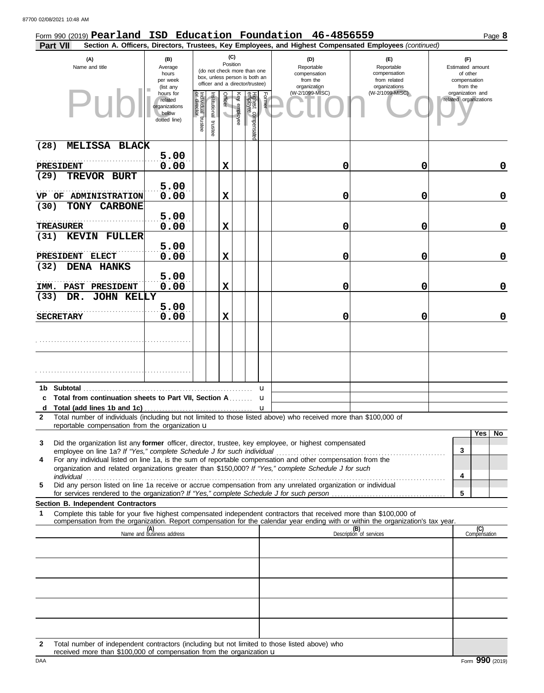| Form 990 (2019) Pearland ISD Education Foundation 46-4856559                                                                                                                                                                                                                                                                                    |                                  |                                   |                          |              |                                 |                                                                                                        |                                  | Page 8                       |
|-------------------------------------------------------------------------------------------------------------------------------------------------------------------------------------------------------------------------------------------------------------------------------------------------------------------------------------------------|----------------------------------|-----------------------------------|--------------------------|--------------|---------------------------------|--------------------------------------------------------------------------------------------------------|----------------------------------|------------------------------|
| Part VII                                                                                                                                                                                                                                                                                                                                        |                                  |                                   |                          |              |                                 | Section A. Officers, Directors, Trustees, Key Employees, and Highest Compensated Employees (continued) |                                  |                              |
| (A)                                                                                                                                                                                                                                                                                                                                             | (B)                              |                                   |                          | (C)          |                                 | (D)                                                                                                    | (F)                              | (F)                          |
| Name and title                                                                                                                                                                                                                                                                                                                                  | Average<br>hours                 |                                   |                          | Position     | (do not check more than one     | Reportable<br>compensation                                                                             | Reportable<br>compensation       | Estimated amount<br>of other |
|                                                                                                                                                                                                                                                                                                                                                 | per week                         |                                   |                          |              | box, unless person is both an   | from the                                                                                               | from related                     | compensation                 |
|                                                                                                                                                                                                                                                                                                                                                 | (list any<br>hours for           |                                   |                          |              | officer and a director/trustee) | organization<br>(W-2/1099-MISC)                                                                        | organizations<br>(W-2/1099-MISC) | from the<br>organization and |
| $\mathsf{P}\mathsf{H}$                                                                                                                                                                                                                                                                                                                          | related                          | Individual trustee<br>or director | Officer<br>Institutional | Key employee | Former                          |                                                                                                        |                                  | related organizations        |
|                                                                                                                                                                                                                                                                                                                                                 | organizations<br>below           |                                   |                          |              |                                 |                                                                                                        |                                  |                              |
|                                                                                                                                                                                                                                                                                                                                                 | dotted line)                     |                                   |                          |              |                                 |                                                                                                        |                                  |                              |
|                                                                                                                                                                                                                                                                                                                                                 |                                  |                                   | trustee                  |              | Highest compensate<br>employee  |                                                                                                        |                                  |                              |
|                                                                                                                                                                                                                                                                                                                                                 |                                  |                                   |                          |              |                                 |                                                                                                        |                                  |                              |
| MELISSA BLACK<br>(28)                                                                                                                                                                                                                                                                                                                           |                                  |                                   |                          |              |                                 |                                                                                                        |                                  |                              |
|                                                                                                                                                                                                                                                                                                                                                 | 5.00                             |                                   |                          |              |                                 |                                                                                                        |                                  |                              |
| PRESIDENT                                                                                                                                                                                                                                                                                                                                       | 0.00                             |                                   | X                        |              |                                 | 0                                                                                                      | 0                                | 0                            |
| (29)<br>TREVOR BURT                                                                                                                                                                                                                                                                                                                             |                                  |                                   |                          |              |                                 |                                                                                                        |                                  |                              |
|                                                                                                                                                                                                                                                                                                                                                 | 5.00                             |                                   |                          |              |                                 |                                                                                                        |                                  |                              |
| VP OF ADMINISTRATION                                                                                                                                                                                                                                                                                                                            | 0.00                             |                                   | X                        |              |                                 | 0                                                                                                      | 0                                | $\mathbf 0$                  |
| TONY CARBONE<br>(30)                                                                                                                                                                                                                                                                                                                            |                                  |                                   |                          |              |                                 |                                                                                                        |                                  |                              |
|                                                                                                                                                                                                                                                                                                                                                 | 5.00                             |                                   |                          |              |                                 |                                                                                                        |                                  |                              |
| <b>TREASURER</b>                                                                                                                                                                                                                                                                                                                                | 0.00                             |                                   | X                        |              |                                 | 0                                                                                                      | 0                                | $\mathbf 0$                  |
| (31)<br><b>KEVIN FULLER</b>                                                                                                                                                                                                                                                                                                                     |                                  |                                   |                          |              |                                 |                                                                                                        |                                  |                              |
|                                                                                                                                                                                                                                                                                                                                                 | 5.00                             |                                   |                          |              |                                 |                                                                                                        |                                  |                              |
| PRESIDENT ELECT                                                                                                                                                                                                                                                                                                                                 | 0.00                             |                                   | X                        |              |                                 | 0                                                                                                      | 0                                | $\mathbf 0$                  |
| (32)<br><b>DENA HANKS</b>                                                                                                                                                                                                                                                                                                                       |                                  |                                   |                          |              |                                 |                                                                                                        |                                  |                              |
|                                                                                                                                                                                                                                                                                                                                                 | 5.00                             |                                   |                          |              |                                 |                                                                                                        |                                  |                              |
| IMM. PAST PRESIDENT                                                                                                                                                                                                                                                                                                                             | 0.00                             |                                   | X                        |              |                                 | 0                                                                                                      | 0                                | $\mathbf 0$                  |
| (33)<br>DR.<br><b>JOHN KELLY</b>                                                                                                                                                                                                                                                                                                                |                                  |                                   |                          |              |                                 |                                                                                                        |                                  |                              |
|                                                                                                                                                                                                                                                                                                                                                 | 5.00                             |                                   |                          |              |                                 |                                                                                                        |                                  |                              |
| <b>SECRETARY</b>                                                                                                                                                                                                                                                                                                                                | 0.00                             |                                   | X                        |              |                                 | 0                                                                                                      | 0                                | $\mathbf 0$                  |
|                                                                                                                                                                                                                                                                                                                                                 |                                  |                                   |                          |              |                                 |                                                                                                        |                                  |                              |
|                                                                                                                                                                                                                                                                                                                                                 |                                  |                                   |                          |              |                                 |                                                                                                        |                                  |                              |
|                                                                                                                                                                                                                                                                                                                                                 |                                  |                                   |                          |              |                                 |                                                                                                        |                                  |                              |
|                                                                                                                                                                                                                                                                                                                                                 |                                  |                                   |                          |              |                                 |                                                                                                        |                                  |                              |
|                                                                                                                                                                                                                                                                                                                                                 |                                  |                                   |                          |              |                                 |                                                                                                        |                                  |                              |
|                                                                                                                                                                                                                                                                                                                                                 |                                  |                                   |                          |              |                                 |                                                                                                        |                                  |                              |
| 1b Subtotal and the Subset of the Subset of the Subset of the Subset of the Subset of the Subset of the Subset of the Subset of the Subset of the Subset of the Subset of the Subset of the Subset of the Subset of the Subset                                                                                                                  |                                  |                                   |                          |              | u                               |                                                                                                        |                                  |                              |
| Total from continuation sheets to Part VII, Section A                                                                                                                                                                                                                                                                                           |                                  |                                   |                          |              | u                               |                                                                                                        |                                  |                              |
|                                                                                                                                                                                                                                                                                                                                                 |                                  |                                   |                          |              |                                 |                                                                                                        |                                  |                              |
| Total number of individuals (including but not limited to those listed above) who received more than \$100,000 of<br>2                                                                                                                                                                                                                          |                                  |                                   |                          |              |                                 |                                                                                                        |                                  |                              |
| reportable compensation from the organization u                                                                                                                                                                                                                                                                                                 |                                  |                                   |                          |              |                                 |                                                                                                        |                                  | Yes<br>No.                   |
| Did the organization list any former officer, director, trustee, key employee, or highest compensated<br>3                                                                                                                                                                                                                                      |                                  |                                   |                          |              |                                 |                                                                                                        |                                  |                              |
|                                                                                                                                                                                                                                                                                                                                                 |                                  |                                   |                          |              |                                 |                                                                                                        |                                  | 3                            |
| For any individual listed on line 1a, is the sum of reportable compensation and other compensation from the<br>4                                                                                                                                                                                                                                |                                  |                                   |                          |              |                                 |                                                                                                        |                                  |                              |
| organization and related organizations greater than \$150,000? If "Yes," complete Schedule J for such                                                                                                                                                                                                                                           |                                  |                                   |                          |              |                                 |                                                                                                        |                                  |                              |
| individual communications and contact the contract of the contract of the contract of the contract of the contract of the contract of the contract of the contract of the contract of the contract of the contract of the cont<br>Did any person listed on line 1a receive or accrue compensation from any unrelated organization or individual |                                  |                                   |                          |              |                                 |                                                                                                        |                                  | 4                            |
| 5                                                                                                                                                                                                                                                                                                                                               |                                  |                                   |                          |              |                                 |                                                                                                        |                                  | 5                            |
| Section B. Independent Contractors                                                                                                                                                                                                                                                                                                              |                                  |                                   |                          |              |                                 |                                                                                                        |                                  |                              |
| Complete this table for your five highest compensated independent contractors that received more than \$100,000 of<br>1                                                                                                                                                                                                                         |                                  |                                   |                          |              |                                 |                                                                                                        |                                  |                              |
| compensation from the organization. Report compensation for the calendar year ending with or within the organization's tax year.                                                                                                                                                                                                                |                                  |                                   |                          |              |                                 |                                                                                                        |                                  |                              |
|                                                                                                                                                                                                                                                                                                                                                 | (A)<br>Name and business address |                                   |                          |              |                                 |                                                                                                        | (B)<br>Description of services   | (C)<br>Compensation          |
|                                                                                                                                                                                                                                                                                                                                                 |                                  |                                   |                          |              |                                 |                                                                                                        |                                  |                              |
|                                                                                                                                                                                                                                                                                                                                                 |                                  |                                   |                          |              |                                 |                                                                                                        |                                  |                              |
|                                                                                                                                                                                                                                                                                                                                                 |                                  |                                   |                          |              |                                 |                                                                                                        |                                  |                              |
|                                                                                                                                                                                                                                                                                                                                                 |                                  |                                   |                          |              |                                 |                                                                                                        |                                  |                              |
|                                                                                                                                                                                                                                                                                                                                                 |                                  |                                   |                          |              |                                 |                                                                                                        |                                  |                              |
|                                                                                                                                                                                                                                                                                                                                                 |                                  |                                   |                          |              |                                 |                                                                                                        |                                  |                              |
|                                                                                                                                                                                                                                                                                                                                                 |                                  |                                   |                          |              |                                 |                                                                                                        |                                  |                              |
|                                                                                                                                                                                                                                                                                                                                                 |                                  |                                   |                          |              |                                 |                                                                                                        |                                  |                              |
|                                                                                                                                                                                                                                                                                                                                                 |                                  |                                   |                          |              |                                 |                                                                                                        |                                  |                              |
|                                                                                                                                                                                                                                                                                                                                                 |                                  |                                   |                          |              |                                 |                                                                                                        |                                  |                              |
|                                                                                                                                                                                                                                                                                                                                                 |                                  |                                   |                          |              |                                 |                                                                                                        |                                  |                              |

**2** Total number of independent contractors (including but not limited to those listed above) who received more than \$100,000 of compensation from the organization u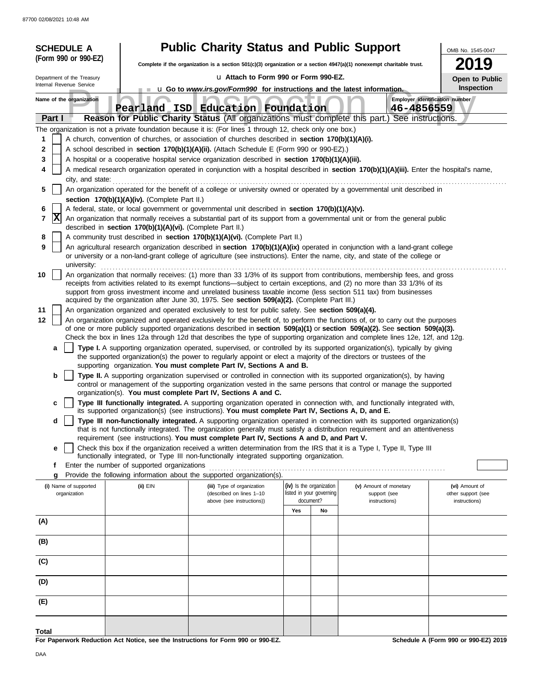| <b>Public Charity Status and Public Support</b><br>(Form 990 or 990-EZ)<br>Complete if the organization is a section $501(c)(3)$ organization or a section $4947(a)(1)$ nonexempt charitable trust.                                                                 | OMB No. 1545-0047<br>9<br>Open to Public |
|---------------------------------------------------------------------------------------------------------------------------------------------------------------------------------------------------------------------------------------------------------------------|------------------------------------------|
|                                                                                                                                                                                                                                                                     |                                          |
| u Attach to Form 990 or Form 990-EZ.<br>Department of the Treasury                                                                                                                                                                                                  |                                          |
| Internal Revenue Service<br><b>u</b> Go to <i>www.irs.gov/Form990</i> for instructions and the latest information.                                                                                                                                                  | Inspection                               |
| Employer identification number<br>Name of the organization<br>Pearland ISD Education Foundation<br>46-4856559                                                                                                                                                       |                                          |
| Part I<br>Reason for Public Charity Status (All organizations must complete this part.) See instructions.                                                                                                                                                           |                                          |
| The organization is not a private foundation because it is: (For lines 1 through 12, check only one box.)                                                                                                                                                           |                                          |
| A church, convention of churches, or association of churches described in section 170(b)(1)(A)(i).<br>1                                                                                                                                                             |                                          |
| A school described in section 170(b)(1)(A)(ii). (Attach Schedule E (Form 990 or 990-EZ).)<br>2<br>A hospital or a cooperative hospital service organization described in section 170(b)(1)(A)(iii).<br>3                                                            |                                          |
| A medical research organization operated in conjunction with a hospital described in section 170(b)(1)(A)(iii). Enter the hospital's name,<br>4                                                                                                                     |                                          |
| city, and state:                                                                                                                                                                                                                                                    |                                          |
| An organization operated for the benefit of a college or university owned or operated by a governmental unit described in<br>5                                                                                                                                      |                                          |
| section 170(b)(1)(A)(iv). (Complete Part II.)<br>A federal, state, or local government or governmental unit described in section 170(b)(1)(A)(v).<br>6                                                                                                              |                                          |
| $ {\bf X} $<br>An organization that normally receives a substantial part of its support from a governmental unit or from the general public<br>7                                                                                                                    |                                          |
| described in section 170(b)(1)(A)(vi). (Complete Part II.)                                                                                                                                                                                                          |                                          |
| A community trust described in section 170(b)(1)(A)(vi). (Complete Part II.)<br>8<br>9<br>An agricultural research organization described in section 170(b)(1)(A)(ix) operated in conjunction with a land-grant college                                             |                                          |
| or university or a non-land-grant college of agriculture (see instructions). Enter the name, city, and state of the college or                                                                                                                                      |                                          |
| university:                                                                                                                                                                                                                                                         |                                          |
| An organization that normally receives: (1) more than 33 1/3% of its support from contributions, membership fees, and gross<br>10<br>receipts from activities related to its exempt functions—subject to certain exceptions, and (2) no more than 33 1/3% of its    |                                          |
| support from gross investment income and unrelated business taxable income (less section 511 tax) from businesses                                                                                                                                                   |                                          |
| acquired by the organization after June 30, 1975. See section 509(a)(2). (Complete Part III.)<br>An organization organized and operated exclusively to test for public safety. See section 509(a)(4).<br>11                                                         |                                          |
| 12<br>An organization organized and operated exclusively for the benefit of, to perform the functions of, or to carry out the purposes                                                                                                                              |                                          |
| of one or more publicly supported organizations described in section 509(a)(1) or section 509(a)(2). See section 509(a)(3).                                                                                                                                         |                                          |
| Check the box in lines 12a through 12d that describes the type of supporting organization and complete lines 12e, 12f, and 12g.<br>Type I. A supporting organization operated, supervised, or controlled by its supported organization(s), typically by giving<br>a |                                          |
| the supported organization(s) the power to regularly appoint or elect a majority of the directors or trustees of the                                                                                                                                                |                                          |
| supporting organization. You must complete Part IV, Sections A and B.                                                                                                                                                                                               |                                          |
| Type II. A supporting organization supervised or controlled in connection with its supported organization(s), by having<br>b<br>control or management of the supporting organization vested in the same persons that control or manage the supported                |                                          |
| organization(s). You must complete Part IV, Sections A and C.                                                                                                                                                                                                       |                                          |
| Type III functionally integrated. A supporting organization operated in connection with, and functionally integrated with,<br>с<br>its supported organization(s) (see instructions). You must complete Part IV, Sections A, D, and E.                               |                                          |
| Type III non-functionally integrated. A supporting organization operated in connection with its supported organization(s)<br>d<br>that is not functionally integrated. The organization generally must satisfy a distribution requirement and an attentiveness      |                                          |
| requirement (see instructions). You must complete Part IV, Sections A and D, and Part V.                                                                                                                                                                            |                                          |
| Check this box if the organization received a written determination from the IRS that it is a Type I, Type II, Type III<br>е                                                                                                                                        |                                          |
| functionally integrated, or Type III non-functionally integrated supporting organization.<br>Enter the number of supported organizations<br>t                                                                                                                       |                                          |
| Provide the following information about the supported organization(s).<br>g                                                                                                                                                                                         |                                          |
| (iv) Is the organization<br>(ii) EIN<br>(i) Name of supported<br>(iii) Type of organization<br>(v) Amount of monetary<br>listed in your governing<br>(described on lines 1-10<br>organization<br>support (see                                                       | (vi) Amount of<br>other support (see     |
| document?<br>above (see instructions))<br>instructions)                                                                                                                                                                                                             | instructions)                            |
| Yes<br>No                                                                                                                                                                                                                                                           |                                          |
| (A)                                                                                                                                                                                                                                                                 |                                          |
| (B)                                                                                                                                                                                                                                                                 |                                          |
| (C)                                                                                                                                                                                                                                                                 |                                          |
| (D)                                                                                                                                                                                                                                                                 |                                          |
| (E)                                                                                                                                                                                                                                                                 |                                          |
|                                                                                                                                                                                                                                                                     |                                          |
| Total<br>For Paperwork Reduction Act Notice, see the Instructions for Form 990 or 990-EZ.                                                                                                                                                                           | Schedule A (Form 990 or 990-EZ) 2019     |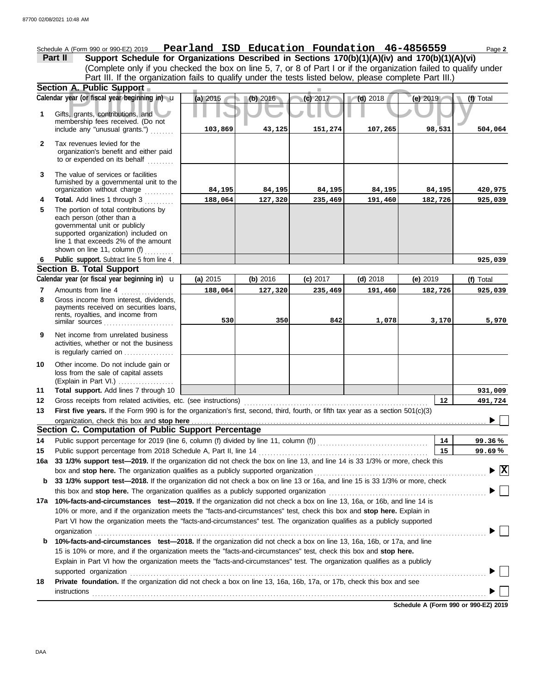**A. Public Support**<br>year (or fiscal year beginning in) **u** (a) 2015<br>s, grants, contributions, and therefore received. (Do not (Explain in Part VI.) . . . . . . . . . . . . . . . . . . . governmental unit or publicly **Section A. Public Support Total support.** Add lines 7 through 10 loss from the sale of capital assets Other income. Do not include gain or is regularly carried on ................. activities, whether or not the business Net income from unrelated business rents, royalties, and income from payments received on securities loans, Gross income from interest, dividends, line 1 that exceeds 2% of the amount supported organization) included on each person (other than a The portion of total contributions by **Total.** Add lines 1 through 3 .......... The value of services or facilities to or expended on its behalf ......... organization's benefit and either paid Tax revenues levied for the First five years. If the Form 990 is for the organization's first, second, third, fourth, or fifth tax year as a section 501(c)(3) Gross receipts from related activities, etc. (see instructions) . . . . . . . . . . . . . . . . . . . . . . . . . . . . . . . . . . . . . . . . . . . . . . . . . . . . . . . . . . . . . . . Amounts from line 4 Public support. Subtract line 5 from line 4 include any "unusual grants.") . . . . . . . . membership fees received. (Do not Gifts, grants, contributions, and Schedule A (Form 990 or 990-EZ) 2019 Page **2 Pearland ISD Education Foundation 46-4856559 13 12 11 9 8 6 4 3 2 1 (a)** 2015 **(b)** 2016 **(c)** 2017 **(d)** 2018 **(e)** 2019 (Complete only if you checked the box on line 5, 7, or 8 of Part I or if the organization failed to qualify under **Part II Support Schedule for Organizations Described in Sections 170(b)(1)(A)(iv) and 170(b)(1)(A)(vi)** Calendar year (or fiscal year beginning in)  $\cdot$  **(a)** 2015 (b) 2016 (c) 2017 (d) 2018 (e) 2018 (e) 2019 (f) Total furnished by a governmental unit to the organization without charge **5 Section B. Total Support 7** similar sources **10** organization, check this box and stop here **Section C. Computation of Public Support Percentage 12 14** Public support percentage for 2019 (line 6, column (f) divided by line 11, column (f)) . . . . . . . . . . . . . . . . . . . . . . . . . . . . . . . . . . . . . . Public support percentage from 2018 Schedule A, Part II, line 14 . . . . . . . . . . . . . . . . . . . . . . . . . . . . . . . . . . . . . . . . . . . . . . . . . . . . . . . . . . **15 16a 33 1/3% support test—2019.** If the organization did not check the box on line 13, and line 14 is 33 1/3% or more, check this box and stop here. The organization qualifies as a publicly supported organization .............. **b 33 1/3% support test—2018.** If the organization did not check a box on line 13 or 16a, and line 15 is 33 1/3% or more, check this box and **stop here.** The organization qualifies as a publicly supported organization . . . . . . . . . . . . . . . . . . . . . . . . . . . . . . . . . . . . . . . . . . . . . . . . . . . . . . **17a 10%-facts-and-circumstances test—2019.** If the organization did not check a box on line 13, 16a, or 16b, and line 14 is 10% or more, and if the organization meets the "facts-and-circumstances" test, check this box and **stop here.** Explain in Part VI how the organization meets the "facts-and-circumstances" test. The organization qualifies as a publicly supported **b 10%-facts-and-circumstances test—2018.** If the organization did not check a box on line 13, 16a, 16b, or 17a, and line Explain in Part VI how the organization meets the "facts-and-circumstances" test. The organization qualifies as a publicly 15 is 10% or more, and if the organization meets the "facts-and-circumstances" test, check this box and **stop here. 18 Private foundation.** If the organization did not check a box on line 13, 16a, 16b, 17a, or 17b, check this box and see **14 15 % 99.36 % 99.69** Calendar year (or fiscal year beginning in)  $\mathbf{u}$  (a) 2015 (b) 2016 (c) 2017 (d) 2018 (e) 2019 (f) Total Part III. If the organization fails to qualify under the tests listed below, please complete Part III.) **(a)** 2015 shown on line 11, column (f)  $\ldots$ organization . . . . . . . . . . . . . . . . . . . . . . . . . . . . . . . . . . . . . . . . . . . . . . . . . . . . . . . . . . . . . . . . . . . . . . . . . . . . . . . . . . . . . . . . . . . . . . . . . . . . . . . . . . . . . . . . . . . . . . . . . . . . . . . . . . . . . . supported organization . . . . . . . . . . . . . . . . . . . . . . . . . . . . . . . . . . . . . . . . . . . . . . . . . . . . . . . . . . . . . . . . . . . . . . . . . . . . . . . . . . . . . . . . . . . . . . . . . . . . . . . . . . . . . . . . . . . . . . . . . . instructions . . . . . . . . . . . . . . . . . . . . . . . . . . . . . . . . . . . . . . . . . . . . . . . . . . . . . . . . . . . . . . . . . . . . . . . . . . . . . . . . . . . . . . . . . . . . . . . . . . . . . . . . . . . . . . . . . . . . . . . . . . . . . . . . . . . . . . . u **(b)** 2016 **(c)** 2017 **(d)** 2018 **(e)** 2019 **103,869 43,125 151,274 107,265 98,531 504,064 84,195 84,195 84,195 84,195 84,195 420,975 188,064 127,320 235,469 191,460 182,726 925,039 925,039 188,064 127,320 235,469 191,460 182,726 925,039 530 350 842 1,078 3,170 5,970 931,009 491,724 X**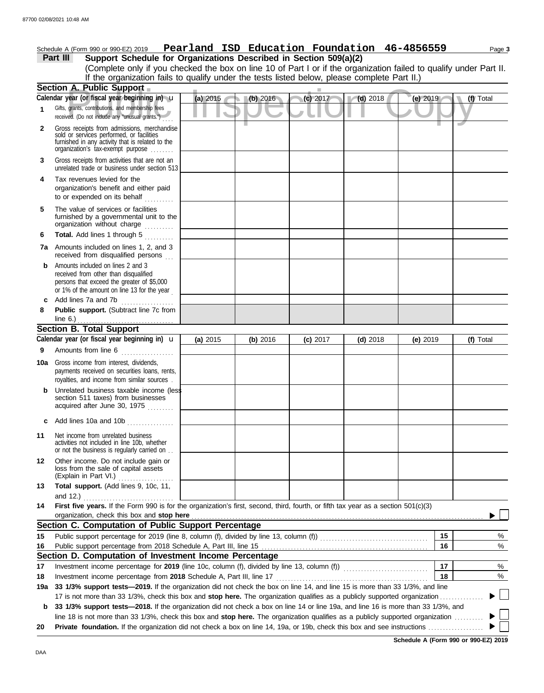|     | Schedule A (Form 990 or 990-EZ) 2019                                                                                                                                                                                                                                                  |          | Pearland ISD Education Foundation 46-4856559 |            |            |            | Page 3    |
|-----|---------------------------------------------------------------------------------------------------------------------------------------------------------------------------------------------------------------------------------------------------------------------------------------|----------|----------------------------------------------|------------|------------|------------|-----------|
|     | Support Schedule for Organizations Described in Section 509(a)(2)<br>Part III                                                                                                                                                                                                         |          |                                              |            |            |            |           |
|     | (Complete only if you checked the box on line 10 of Part I or if the organization failed to qualify under Part II.                                                                                                                                                                    |          |                                              |            |            |            |           |
|     | If the organization fails to qualify under the tests listed below, please complete Part II.)                                                                                                                                                                                          |          |                                              |            |            |            |           |
|     | Section A. Public Support                                                                                                                                                                                                                                                             |          |                                              |            |            |            |           |
|     | Calendar year (or fiscal year beginning in) u                                                                                                                                                                                                                                         | (a) 2015 | (b) 2016                                     | (c) 2017   | $(d)$ 2018 | $(e)$ 2019 | (f) Total |
| 1   | Gifts, grants, contributions, and membership fees<br>received. (Do not include any "unusual grants.")                                                                                                                                                                                 |          |                                              |            |            |            |           |
| 2   | Gross receipts from admissions, merchandise<br>sold or services performed, or facilities<br>furnished in any activity that is related to the<br>organization's tax-exempt purpose                                                                                                     |          |                                              |            |            |            |           |
| 3   | Gross receipts from activities that are not an<br>unrelated trade or business under section 513                                                                                                                                                                                       |          |                                              |            |            |            |           |
| 4   | Tax revenues levied for the<br>organization's benefit and either paid<br>to or expended on its behalf                                                                                                                                                                                 |          |                                              |            |            |            |           |
| 5   | The value of services or facilities<br>furnished by a governmental unit to the<br>organization without charge<br>.                                                                                                                                                                    |          |                                              |            |            |            |           |
| 6   | Total. Add lines 1 through 5<br>.                                                                                                                                                                                                                                                     |          |                                              |            |            |            |           |
| 7a  | Amounts included on lines 1, 2, and 3<br>received from disqualified persons                                                                                                                                                                                                           |          |                                              |            |            |            |           |
| b   | Amounts included on lines 2 and 3<br>received from other than disqualified<br>persons that exceed the greater of \$5,000<br>or 1% of the amount on line 13 for the year                                                                                                               |          |                                              |            |            |            |           |
| c   | Add lines 7a and 7b<br>.                                                                                                                                                                                                                                                              |          |                                              |            |            |            |           |
| 8   | Public support. (Subtract line 7c from<br>line $6.$ )                                                                                                                                                                                                                                 |          |                                              |            |            |            |           |
|     | <b>Section B. Total Support</b>                                                                                                                                                                                                                                                       |          |                                              |            |            |            |           |
|     | Calendar year (or fiscal year beginning in) $\mathbf u$                                                                                                                                                                                                                               | (a) 2015 | (b) 2016                                     | $(c)$ 2017 | $(d)$ 2018 | (e) $2019$ | (f) Total |
| 9   | Amounts from line 6                                                                                                                                                                                                                                                                   |          |                                              |            |            |            |           |
| 10a | Gross income from interest, dividends,<br>payments received on securities loans, rents,<br>royalties, and income from similar sources.                                                                                                                                                |          |                                              |            |            |            |           |
|     | Unrelated business taxable income (less<br>section 511 taxes) from businesses<br>acquired after June 30, 1975<br>de de decembre                                                                                                                                                       |          |                                              |            |            |            |           |
| c   | Add lines 10a and 10b                                                                                                                                                                                                                                                                 |          |                                              |            |            |            |           |
| 11  | Net income from unrelated business<br>activities not included in line 10b, whether<br>or not the business is regularly carried on                                                                                                                                                     |          |                                              |            |            |            |           |
| 12  | Other income. Do not include gain or<br>loss from the sale of capital assets<br>(Explain in Part VI.)<br>.                                                                                                                                                                            |          |                                              |            |            |            |           |
| 13  | Total support. (Add lines 9, 10c, 11,<br>and 12.)                                                                                                                                                                                                                                     |          |                                              |            |            |            |           |
| 14  | First five years. If the Form 990 is for the organization's first, second, third, fourth, or fifth tax year as a section $501(c)(3)$<br>organization, check this box and stop here                                                                                                    |          |                                              |            |            |            |           |
|     | Section C. Computation of Public Support Percentage                                                                                                                                                                                                                                   |          |                                              |            |            |            |           |
| 15  |                                                                                                                                                                                                                                                                                       |          |                                              |            |            | 15         | %         |
| 16  |                                                                                                                                                                                                                                                                                       |          |                                              |            |            | 16         | %         |
|     | Section D. Computation of Investment Income Percentage                                                                                                                                                                                                                                |          |                                              |            |            |            |           |
| 17  |                                                                                                                                                                                                                                                                                       |          |                                              |            |            | 17         | %         |
| 18  |                                                                                                                                                                                                                                                                                       |          |                                              |            |            | 18         | %         |
| 19a | 33 1/3% support tests-2019. If the organization did not check the box on line 14, and line 15 is more than 33 1/3%, and line                                                                                                                                                          |          |                                              |            |            |            |           |
|     | 17 is not more than 33 1/3%, check this box and stop here. The organization qualifies as a publicly supported organization                                                                                                                                                            |          |                                              |            |            |            |           |
| b   | 33 1/3% support tests-2018. If the organization did not check a box on line 14 or line 19a, and line 16 is more than 33 1/3%, and                                                                                                                                                     |          |                                              |            |            |            |           |
|     | line 18 is not more than 33 1/3%, check this box and stop here. The organization qualifies as a publicly supported organization<br><b>Private foundation.</b> If the organization did not check a box on line 14, 19a, or 19b, check this box and see instructions <i>manumenting</i> |          |                                              |            |            |            |           |
| 20  |                                                                                                                                                                                                                                                                                       |          |                                              |            |            |            |           |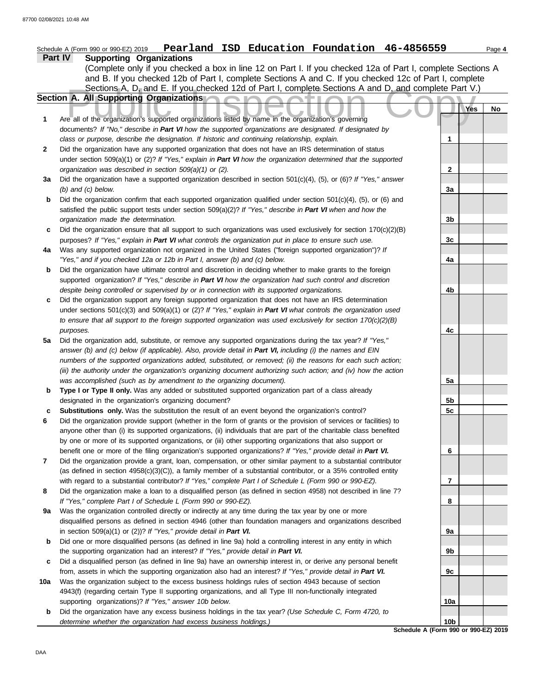|     | Pearland ISD Education Foundation 46-4856559<br>Schedule A (Form 990 or 990-EZ) 2019                                                                         |                         |     | Page 4 |
|-----|--------------------------------------------------------------------------------------------------------------------------------------------------------------|-------------------------|-----|--------|
|     | <b>Supporting Organizations</b><br><b>Part IV</b>                                                                                                            |                         |     |        |
|     | (Complete only if you checked a box in line 12 on Part I. If you checked 12a of Part I, complete Sections A                                                  |                         |     |        |
|     | and B. If you checked 12b of Part I, complete Sections A and C. If you checked 12c of Part I, complete                                                       |                         |     |        |
|     | Sections A, D, and E. If you checked 12d of Part I, complete Sections A and D, and complete Part V.)                                                         |                         |     |        |
|     | Section A. All Supporting Organizations                                                                                                                      |                         |     |        |
|     |                                                                                                                                                              |                         | Yes | No     |
| 1   | Are all of the organization's supported organizations listed by name in the organization's governing                                                         |                         |     |        |
|     | documents? If "No," describe in Part VI how the supported organizations are designated. If designated by                                                     |                         |     |        |
|     | class or purpose, describe the designation. If historic and continuing relationship, explain.                                                                | 1                       |     |        |
| 2   | Did the organization have any supported organization that does not have an IRS determination of status                                                       |                         |     |        |
|     | under section 509(a)(1) or (2)? If "Yes," explain in Part VI how the organization determined that the supported                                              |                         |     |        |
|     | organization was described in section 509(a)(1) or (2).                                                                                                      | $\overline{\mathbf{2}}$ |     |        |
| За  | Did the organization have a supported organization described in section 501(c)(4), (5), or (6)? If "Yes," answer                                             |                         |     |        |
|     | $(b)$ and $(c)$ below.                                                                                                                                       | 3a                      |     |        |
| b   | Did the organization confirm that each supported organization qualified under section 501(c)(4), (5), or (6) and                                             |                         |     |        |
|     | satisfied the public support tests under section 509(a)(2)? If "Yes," describe in Part VI when and how the                                                   |                         |     |        |
|     | organization made the determination.                                                                                                                         | 3b                      |     |        |
| c   | Did the organization ensure that all support to such organizations was used exclusively for section $170(c)(2)(B)$                                           |                         |     |        |
|     | purposes? If "Yes," explain in Part VI what controls the organization put in place to ensure such use.                                                       | 3c                      |     |        |
| 4a  | Was any supported organization not organized in the United States ("foreign supported organization")? If                                                     |                         |     |        |
|     | "Yes," and if you checked 12a or 12b in Part I, answer (b) and (c) below.                                                                                    | 4a                      |     |        |
| b   | Did the organization have ultimate control and discretion in deciding whether to make grants to the foreign                                                  |                         |     |        |
|     | supported organization? If "Yes," describe in Part VI how the organization had such control and discretion                                                   |                         |     |        |
|     | despite being controlled or supervised by or in connection with its supported organizations.                                                                 | 4b                      |     |        |
| c   | Did the organization support any foreign supported organization that does not have an IRS determination                                                      |                         |     |        |
|     | under sections $501(c)(3)$ and $509(a)(1)$ or (2)? If "Yes," explain in Part VI what controls the organization used                                          |                         |     |        |
|     | to ensure that all support to the foreign supported organization was used exclusively for section $170(c)(2)(B)$                                             |                         |     |        |
|     | purposes.                                                                                                                                                    | 4c                      |     |        |
| 5a  | Did the organization add, substitute, or remove any supported organizations during the tax year? If "Yes,"                                                   |                         |     |        |
|     | answer (b) and (c) below (if applicable). Also, provide detail in Part VI, including (i) the names and EIN                                                   |                         |     |        |
|     | numbers of the supported organizations added, substituted, or removed; (ii) the reasons for each such action;                                                |                         |     |        |
|     | (iii) the authority under the organization's organizing document authorizing such action; and (iv) how the action                                            |                         |     |        |
|     | was accomplished (such as by amendment to the organizing document).                                                                                          | 5a                      |     |        |
| b   | Type I or Type II only. Was any added or substituted supported organization part of a class already<br>designated in the organization's organizing document? | 5b                      |     |        |
|     | Substitutions only. Was the substitution the result of an event beyond the organization's control?                                                           | 5c                      |     |        |
|     | Did the organization provide support (whether in the form of grants or the provision of services or facilities) to                                           |                         |     |        |
| 6   | anyone other than (i) its supported organizations, (ii) individuals that are part of the charitable class benefited                                          |                         |     |        |
|     | by one or more of its supported organizations, or (iii) other supporting organizations that also support or                                                  |                         |     |        |
|     | benefit one or more of the filing organization's supported organizations? If "Yes," provide detail in Part VI.                                               | 6                       |     |        |
| 7   | Did the organization provide a grant, loan, compensation, or other similar payment to a substantial contributor                                              |                         |     |        |
|     | (as defined in section $4958(c)(3)(C)$ ), a family member of a substantial contributor, or a 35% controlled entity                                           |                         |     |        |
|     | with regard to a substantial contributor? If "Yes," complete Part I of Schedule L (Form 990 or 990-EZ).                                                      | 7                       |     |        |
| 8   | Did the organization make a loan to a disqualified person (as defined in section 4958) not described in line 7?                                              |                         |     |        |
|     | If "Yes," complete Part I of Schedule L (Form 990 or 990-EZ).                                                                                                | 8                       |     |        |
| 9a  | Was the organization controlled directly or indirectly at any time during the tax year by one or more                                                        |                         |     |        |
|     | disqualified persons as defined in section 4946 (other than foundation managers and organizations described                                                  |                         |     |        |
|     | in section $509(a)(1)$ or $(2)$ ? If "Yes," provide detail in Part VI.                                                                                       | 9а                      |     |        |
| b   | Did one or more disqualified persons (as defined in line 9a) hold a controlling interest in any entity in which                                              |                         |     |        |
|     | the supporting organization had an interest? If "Yes," provide detail in Part VI.                                                                            | 9b                      |     |        |
| c   | Did a disqualified person (as defined in line 9a) have an ownership interest in, or derive any personal benefit                                              |                         |     |        |
|     | from, assets in which the supporting organization also had an interest? If "Yes," provide detail in Part VI.                                                 | 9с                      |     |        |
| 10a | Was the organization subject to the excess business holdings rules of section 4943 because of section                                                        |                         |     |        |
|     | 4943(f) (regarding certain Type II supporting organizations, and all Type III non-functionally integrated                                                    |                         |     |        |
|     | supporting organizations)? If "Yes," answer 10b below.                                                                                                       | 10a                     |     |        |
| b   | Did the organization have any excess business holdings in the tax year? (Use Schedule C, Form 4720, to                                                       |                         |     |        |
|     | determine whether the organization had excess business holdings.)                                                                                            | 10b                     |     |        |
|     | Schedule A (Form 990 or 990-EZ) 2019                                                                                                                         |                         |     |        |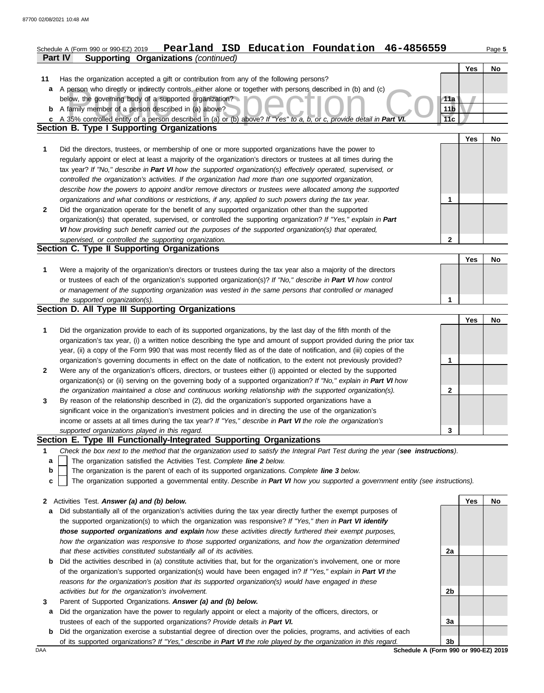|              | Pearland ISD Education Foundation 46-4856559<br>Schedule A (Form 990 or 990-EZ) 2019                                                                                                                                                            |                 |            | Page 5    |
|--------------|-------------------------------------------------------------------------------------------------------------------------------------------------------------------------------------------------------------------------------------------------|-----------------|------------|-----------|
|              | <b>Supporting Organizations (continued)</b><br>Part IV                                                                                                                                                                                          |                 |            |           |
| 11           |                                                                                                                                                                                                                                                 |                 | Yes        | No        |
| а            | Has the organization accepted a gift or contribution from any of the following persons?<br>A person who directly or indirectly controls, either alone or together with persons described in (b) and (c)                                         |                 |            |           |
|              | below, the governing body of a supported organization?                                                                                                                                                                                          | 11a             |            |           |
|              | <b>b</b> A family member of a person described in (a) above?                                                                                                                                                                                    | 11 <sub>b</sub> |            |           |
|              | c A 35% controlled entity of a person described in (a) or (b) above? If "Yes" to a, b, or c, provide detail in Part VI.                                                                                                                         | 11c             |            |           |
|              | <b>Section B. Type I Supporting Organizations</b>                                                                                                                                                                                               |                 |            |           |
|              |                                                                                                                                                                                                                                                 |                 | <b>Yes</b> | No        |
| 1            | Did the directors, trustees, or membership of one or more supported organizations have the power to                                                                                                                                             |                 |            |           |
|              | regularly appoint or elect at least a majority of the organization's directors or trustees at all times during the                                                                                                                              |                 |            |           |
|              | tax year? If "No," describe in Part VI how the supported organization(s) effectively operated, supervised, or                                                                                                                                   |                 |            |           |
|              | controlled the organization's activities. If the organization had more than one supported organization,                                                                                                                                         |                 |            |           |
|              | describe how the powers to appoint and/or remove directors or trustees were allocated among the supported                                                                                                                                       |                 |            |           |
|              | organizations and what conditions or restrictions, if any, applied to such powers during the tax year.                                                                                                                                          | 1               |            |           |
| $\mathbf{2}$ | Did the organization operate for the benefit of any supported organization other than the supported                                                                                                                                             |                 |            |           |
|              | organization(s) that operated, supervised, or controlled the supporting organization? If "Yes," explain in Part                                                                                                                                 |                 |            |           |
|              | VI how providing such benefit carried out the purposes of the supported organization(s) that operated,                                                                                                                                          |                 |            |           |
|              | supervised, or controlled the supporting organization.                                                                                                                                                                                          | $\mathbf{2}$    |            |           |
|              | Section C. Type II Supporting Organizations                                                                                                                                                                                                     |                 |            |           |
|              |                                                                                                                                                                                                                                                 |                 | Yes        | No        |
| 1            | Were a majority of the organization's directors or trustees during the tax year also a majority of the directors                                                                                                                                |                 |            |           |
|              | or trustees of each of the organization's supported organization(s)? If "No," describe in Part VI how control                                                                                                                                   |                 |            |           |
|              | or management of the supporting organization was vested in the same persons that controlled or managed                                                                                                                                          |                 |            |           |
|              | the supported organization(s).<br>Section D. All Type III Supporting Organizations                                                                                                                                                              | 1               |            |           |
|              |                                                                                                                                                                                                                                                 |                 |            |           |
|              |                                                                                                                                                                                                                                                 |                 | Yes        | <b>No</b> |
| 1            | Did the organization provide to each of its supported organizations, by the last day of the fifth month of the                                                                                                                                  |                 |            |           |
|              | organization's tax year, (i) a written notice describing the type and amount of support provided during the prior tax<br>year, (ii) a copy of the Form 990 that was most recently filed as of the date of notification, and (iii) copies of the |                 |            |           |
|              | organization's governing documents in effect on the date of notification, to the extent not previously provided?                                                                                                                                | 1               |            |           |
| $\mathbf{2}$ | Were any of the organization's officers, directors, or trustees either (i) appointed or elected by the supported                                                                                                                                |                 |            |           |
|              | organization(s) or (ii) serving on the governing body of a supported organization? If "No," explain in Part VI how                                                                                                                              |                 |            |           |
|              | the organization maintained a close and continuous working relationship with the supported organization(s).                                                                                                                                     | 2               |            |           |
| 3            | By reason of the relationship described in (2), did the organization's supported organizations have a                                                                                                                                           |                 |            |           |
|              | significant voice in the organization's investment policies and in directing the use of the organization's                                                                                                                                      |                 |            |           |
|              | income or assets at all times during the tax year? If "Yes," describe in Part VI the role the organization's                                                                                                                                    |                 |            |           |
|              | supported organizations played in this regard.                                                                                                                                                                                                  | 3               |            |           |
|              | Section E. Type III Functionally-Integrated Supporting Organizations                                                                                                                                                                            |                 |            |           |
| 1            | Check the box next to the method that the organization used to satisfy the Integral Part Test during the year (see instructions).                                                                                                               |                 |            |           |
| a            | The organization satisfied the Activities Test. Complete line 2 below.                                                                                                                                                                          |                 |            |           |
| b            | The organization is the parent of each of its supported organizations. Complete line 3 below.                                                                                                                                                   |                 |            |           |
| c            | The organization supported a governmental entity. Describe in Part VI how you supported a government entity (see instructions).                                                                                                                 |                 |            |           |
| $\mathbf{2}$ | Activities Test. Answer (a) and (b) below.                                                                                                                                                                                                      |                 | Yes        | No        |
| a            | Did substantially all of the organization's activities during the tax year directly further the exempt purposes of                                                                                                                              |                 |            |           |
|              | the supported organization(s) to which the organization was responsive? If "Yes," then in Part VI identify                                                                                                                                      |                 |            |           |
|              | those supported organizations and explain how these activities directly furthered their exempt purposes,                                                                                                                                        |                 |            |           |
|              | how the organization was responsive to those supported organizations, and how the organization determined                                                                                                                                       |                 |            |           |
|              | that these activities constituted substantially all of its activities.                                                                                                                                                                          | 2a              |            |           |

- **b** Did the activities described in (a) constitute activities that, but for the organization's involvement, one or more of the organization's supported organization(s) would have been engaged in? *If "Yes," explain in Part VI the reasons for the organization's position that its supported organization(s) would have engaged in these activities but for the organization's involvement.*
- **3** Parent of Supported Organizations. *Answer (a) and (b) below.*
	- **a** Did the organization have the power to regularly appoint or elect a majority of the officers, directors, or trustees of each of the supported organizations? *Provide details in Part VI.*
- **b** Did the organization exercise a substantial degree of direction over the policies, programs, and activities of each of its supported organizations? *If "Yes," describe in Part VI the role played by the organization in this regard.*

**2a 2b 3a 3b**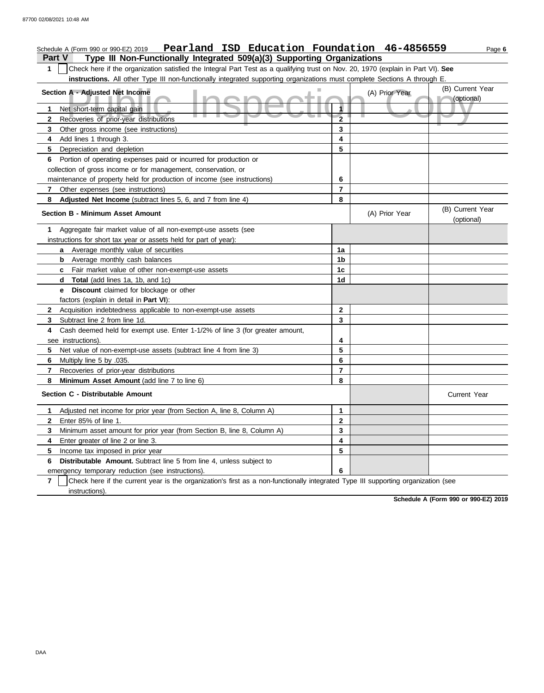#### A - Adjusted Net Income<br>et short-term capital gain<br>ecoveries of prior-year distributions **Part V Type III Non-Functionally Integrated 509(a)(3) Supporting Organizations** Schedule A (Form 990 or 990-EZ) 2019 Page **6 Pearland ISD Education Foundation 46-4856559 1** Check here if the organization satisfied the Integral Part Test as a qualifying trust on Nov. 20, 1970 (explain in Part VI). **See instructions.** All other Type III non-functionally integrated supporting organizations must complete Sections A through E. **1** Net short-term capital gain **2 3 4** Add lines 1 through 3. **5** Depreciation and depletion **6** Portion of operating expenses paid or incurred for production or **7 8 Adjusted Net Income** (subtract lines 5, 6, and 7 from line 4) **1** Aggregate fair market value of all non-exempt-use assets (see **Section A - Adjusted Net Income** Recoveries of prior-year distributions Other gross income (see instructions) collection of gross income or for management, conservation, or maintenance of property held for production of income (see instructions) Other expenses (see instructions) **Section B - Minimum Asset Amount** instructions for short tax year or assets held for part of year): **a** Average monthly value of securities **b** Average monthly cash balances **c** Fair market value of other non-exempt-use assets **d Total** (add lines 1a, 1b, and 1c) **e Discount** claimed for blockage or other factors (explain in detail in **Part VI**): **8 Minimum Asset Amount** (add line 7 to line 6) **7 6** Multiply line 5 by .035. **5** Net value of non-exempt-use assets (subtract line 4 from line 3) **4** Cash deemed held for exempt use. Enter 1-1/2% of line 3 (for greater amount, **3** Subtract line 2 from line 1d. **2** Acquisition indebtedness applicable to non-exempt-use assets see instructions). Recoveries of prior-year distributions **Section C - Distributable Amount 7 6 Distributable Amount.** Subtract line 5 from line 4, unless subject to **5** Income tax imposed in prior year **4** Enter greater of line 2 or line 3. **3 2 1** Adjusted net income for prior year (from Section A, line 8, Column A) Enter 85% of line 1. Minimum asset amount for prior year (from Section B, line 8, Column A) emergency temporary reduction (see instructions). instructions). Check here if the current year is the organization's first as a non-functionally integrated Type III supporting organization (see **8 7 6 5 4 3 2 1** (A) Prior Year (B) Current Year (optional) (optional) (B) Current Year (A) Prior Year **1a 1b 1c 1d 2 3 4 5 6 7 8 3 2 1 6 5 4** Current Year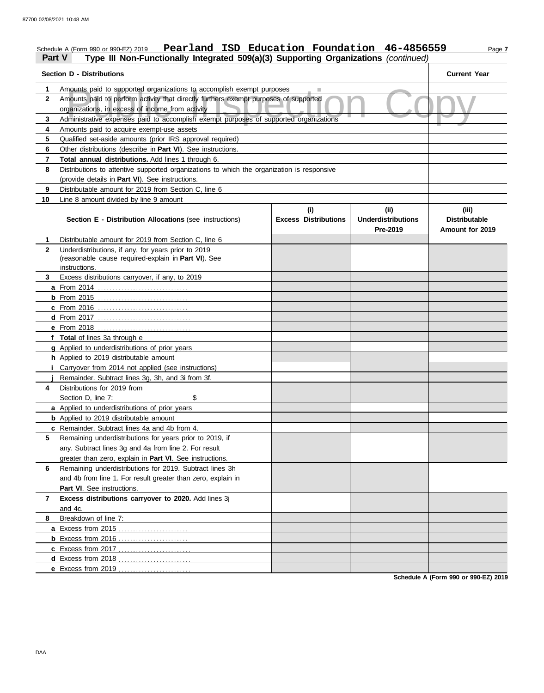## Schedule A (Form 990 or 990-EZ) 2019 Page **7 Pearland ISD Education Foundation 46-4856559 Part V Type III Non-Functionally Integrated 509(a)(3) Supporting Organizations** *(continued)*

| <b>Section D - Distributions</b> |                                                                                                                                                               | <b>Current Year</b>         |                           |                        |
|----------------------------------|---------------------------------------------------------------------------------------------------------------------------------------------------------------|-----------------------------|---------------------------|------------------------|
| 1                                |                                                                                                                                                               |                             |                           |                        |
| $\mathbf{2}$                     | Amounts paid to supported organizations to accomplish exempt purposes<br>Amounts paid to perform activity that directly furthers exempt purposes of supported |                             |                           |                        |
|                                  | organizations, in excess of income from activity                                                                                                              |                             |                           |                        |
| 3                                | Administrative expenses paid to accomplish exempt purposes of supported organizations                                                                         |                             |                           |                        |
| 4                                | Amounts paid to acquire exempt-use assets                                                                                                                     |                             |                           |                        |
| 5                                | Qualified set-aside amounts (prior IRS approval required)                                                                                                     |                             |                           |                        |
| 6                                | Other distributions (describe in Part VI). See instructions.                                                                                                  |                             |                           |                        |
| 7                                | Total annual distributions. Add lines 1 through 6.                                                                                                            |                             |                           |                        |
| 8                                | Distributions to attentive supported organizations to which the organization is responsive                                                                    |                             |                           |                        |
|                                  | (provide details in Part VI). See instructions.                                                                                                               |                             |                           |                        |
| 9                                | Distributable amount for 2019 from Section C, line 6                                                                                                          |                             |                           |                        |
| 10                               | Line 8 amount divided by line 9 amount                                                                                                                        |                             |                           |                        |
|                                  |                                                                                                                                                               | (i)                         | (ii)                      | (iii)                  |
|                                  | <b>Section E - Distribution Allocations (see instructions)</b>                                                                                                | <b>Excess Distributions</b> | <b>Underdistributions</b> | <b>Distributable</b>   |
|                                  |                                                                                                                                                               |                             | Pre-2019                  | <b>Amount for 2019</b> |
| 1.                               | Distributable amount for 2019 from Section C, line 6                                                                                                          |                             |                           |                        |
| $\mathbf{2}$                     | Underdistributions, if any, for years prior to 2019                                                                                                           |                             |                           |                        |
|                                  | (reasonable cause required-explain in Part VI). See                                                                                                           |                             |                           |                        |
|                                  | instructions.                                                                                                                                                 |                             |                           |                        |
| 3                                | Excess distributions carryover, if any, to 2019                                                                                                               |                             |                           |                        |
|                                  |                                                                                                                                                               |                             |                           |                        |
|                                  |                                                                                                                                                               |                             |                           |                        |
|                                  | c From 2016                                                                                                                                                   |                             |                           |                        |
|                                  |                                                                                                                                                               |                             |                           |                        |
|                                  | f Total of lines 3a through e                                                                                                                                 |                             |                           |                        |
|                                  | g Applied to underdistributions of prior years                                                                                                                |                             |                           |                        |
|                                  | h Applied to 2019 distributable amount                                                                                                                        |                             |                           |                        |
| Ť                                | Carryover from 2014 not applied (see instructions)                                                                                                            |                             |                           |                        |
|                                  | Remainder. Subtract lines 3g, 3h, and 3i from 3f.                                                                                                             |                             |                           |                        |
| 4                                | Distributions for 2019 from                                                                                                                                   |                             |                           |                        |
|                                  | \$<br>Section D. line 7:                                                                                                                                      |                             |                           |                        |
|                                  | <b>a</b> Applied to underdistributions of prior years                                                                                                         |                             |                           |                        |
|                                  | <b>b</b> Applied to 2019 distributable amount                                                                                                                 |                             |                           |                        |
|                                  | c Remainder. Subtract lines 4a and 4b from 4.                                                                                                                 |                             |                           |                        |
| 5                                | Remaining underdistributions for years prior to 2019, if                                                                                                      |                             |                           |                        |
|                                  | any. Subtract lines 3g and 4a from line 2. For result                                                                                                         |                             |                           |                        |
|                                  | greater than zero, explain in Part VI. See instructions.                                                                                                      |                             |                           |                        |
| 6                                | Remaining underdistributions for 2019. Subtract lines 3h                                                                                                      |                             |                           |                        |
|                                  | and 4b from line 1. For result greater than zero, explain in                                                                                                  |                             |                           |                        |
|                                  | Part VI. See instructions.                                                                                                                                    |                             |                           |                        |
| 7                                | Excess distributions carryover to 2020. Add lines 3j                                                                                                          |                             |                           |                        |
|                                  | and 4c.                                                                                                                                                       |                             |                           |                        |
| 8                                | Breakdown of line 7:                                                                                                                                          |                             |                           |                        |
|                                  |                                                                                                                                                               |                             |                           |                        |
|                                  | <b>b</b> Excess from 2016                                                                                                                                     |                             |                           |                        |
|                                  |                                                                                                                                                               |                             |                           |                        |
|                                  | d Excess from 2018                                                                                                                                            |                             |                           |                        |
|                                  | e Excess from 2019                                                                                                                                            |                             |                           |                        |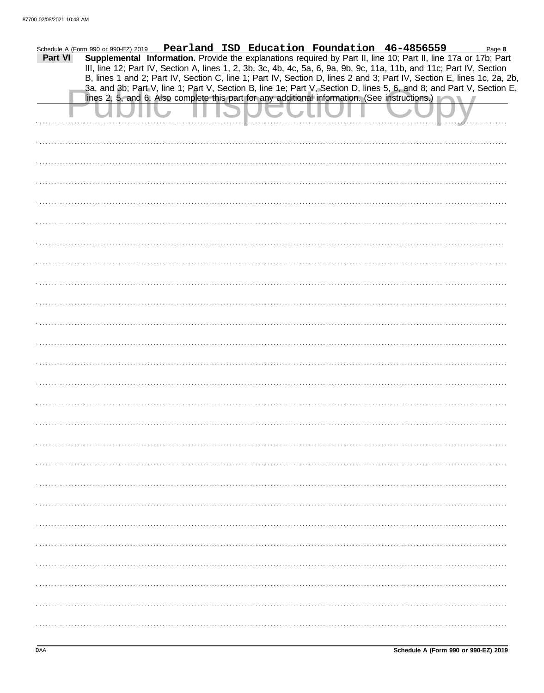|         | Schedule A (Form 990 or 990-EZ) 2019 |                                                                                                |  | Pearland ISD Education Foundation 46-4856559                                                                                                                                                                                            | Page 8 |
|---------|--------------------------------------|------------------------------------------------------------------------------------------------|--|-----------------------------------------------------------------------------------------------------------------------------------------------------------------------------------------------------------------------------------------|--------|
| Part VI |                                      |                                                                                                |  | Supplemental Information. Provide the explanations required by Part II, line 10; Part II, line 17a or 17b; Part<br>III, line 12; Part IV, Section A, lines 1, 2, 3b, 3c, 4b, 4c, 5a, 6, 9a, 9b, 9c, 11a, 11b, and 11c; Part IV, Section |        |
|         |                                      |                                                                                                |  | B, lines 1 and 2; Part IV, Section C, line 1; Part IV, Section D, lines 2 and 3; Part IV, Section E, lines 1c, 2a, 2b,                                                                                                                  |        |
|         |                                      |                                                                                                |  | 3a, and 3b; Part V, line 1; Part V, Section B, line 1e; Part V, Section D, lines 5, 6, and 8; and Part V, Section E,                                                                                                                    |        |
|         |                                      | lines 2, 5, and 6. Also complete this part for any additional information. (See instructions.) |  |                                                                                                                                                                                                                                         |        |
|         |                                      |                                                                                                |  |                                                                                                                                                                                                                                         |        |
|         |                                      |                                                                                                |  |                                                                                                                                                                                                                                         |        |
|         |                                      |                                                                                                |  |                                                                                                                                                                                                                                         |        |
|         |                                      |                                                                                                |  |                                                                                                                                                                                                                                         |        |
|         |                                      |                                                                                                |  |                                                                                                                                                                                                                                         |        |
|         |                                      |                                                                                                |  |                                                                                                                                                                                                                                         |        |
|         |                                      |                                                                                                |  |                                                                                                                                                                                                                                         |        |
|         |                                      |                                                                                                |  |                                                                                                                                                                                                                                         |        |
|         |                                      |                                                                                                |  |                                                                                                                                                                                                                                         |        |
|         |                                      |                                                                                                |  |                                                                                                                                                                                                                                         |        |
|         |                                      |                                                                                                |  |                                                                                                                                                                                                                                         |        |
|         |                                      |                                                                                                |  |                                                                                                                                                                                                                                         |        |
|         |                                      |                                                                                                |  |                                                                                                                                                                                                                                         |        |
|         |                                      |                                                                                                |  |                                                                                                                                                                                                                                         |        |
|         |                                      |                                                                                                |  |                                                                                                                                                                                                                                         |        |
|         |                                      |                                                                                                |  |                                                                                                                                                                                                                                         |        |
|         |                                      |                                                                                                |  |                                                                                                                                                                                                                                         |        |
|         |                                      |                                                                                                |  |                                                                                                                                                                                                                                         |        |
|         |                                      |                                                                                                |  |                                                                                                                                                                                                                                         |        |
|         |                                      |                                                                                                |  |                                                                                                                                                                                                                                         |        |
|         |                                      |                                                                                                |  |                                                                                                                                                                                                                                         |        |
|         |                                      |                                                                                                |  |                                                                                                                                                                                                                                         |        |
|         |                                      |                                                                                                |  |                                                                                                                                                                                                                                         |        |
|         |                                      |                                                                                                |  |                                                                                                                                                                                                                                         |        |
|         |                                      |                                                                                                |  |                                                                                                                                                                                                                                         |        |
|         |                                      |                                                                                                |  |                                                                                                                                                                                                                                         |        |
|         |                                      |                                                                                                |  |                                                                                                                                                                                                                                         |        |
|         |                                      |                                                                                                |  |                                                                                                                                                                                                                                         |        |
|         |                                      |                                                                                                |  |                                                                                                                                                                                                                                         |        |
|         |                                      |                                                                                                |  |                                                                                                                                                                                                                                         |        |
|         |                                      |                                                                                                |  |                                                                                                                                                                                                                                         |        |
|         |                                      |                                                                                                |  |                                                                                                                                                                                                                                         |        |
|         |                                      |                                                                                                |  |                                                                                                                                                                                                                                         |        |
|         |                                      |                                                                                                |  |                                                                                                                                                                                                                                         |        |
|         |                                      |                                                                                                |  |                                                                                                                                                                                                                                         |        |
|         |                                      |                                                                                                |  |                                                                                                                                                                                                                                         |        |
|         |                                      |                                                                                                |  |                                                                                                                                                                                                                                         |        |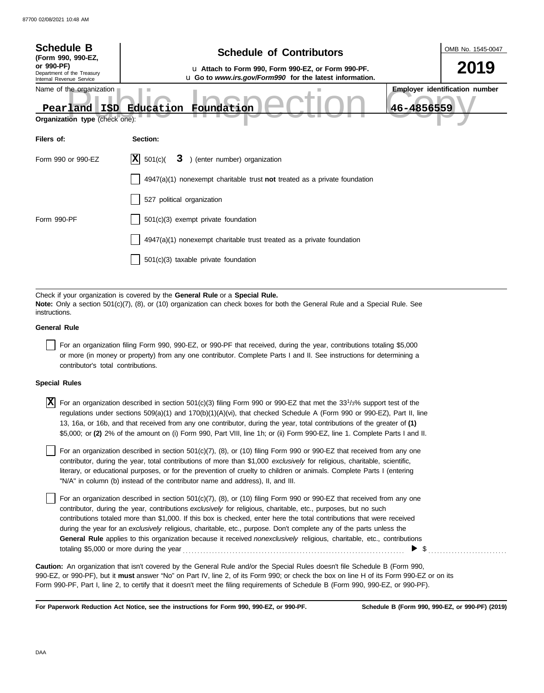| <b>Schedule B</b><br>(Form 990, 990-EZ,                                           | <b>Schedule of Contributors</b>                                                                                                                                                                             | OMB No. 1545-0047                                   |
|-----------------------------------------------------------------------------------|-------------------------------------------------------------------------------------------------------------------------------------------------------------------------------------------------------------|-----------------------------------------------------|
| or 990-PF)<br>Department of the Treasury<br>Internal Revenue Service              | u Attach to Form 990, Form 990-EZ, or Form 990-PF.<br>u Go to www.irs.gov/Form990 for the latest information.                                                                                               | 2019                                                |
| Name of the organization<br>Pearland ISD<br><b>Organization type (check one):</b> | Foundation<br>Education                                                                                                                                                                                     | <b>Employer identification number</b><br>46-4856559 |
| Filers of:                                                                        | Section:                                                                                                                                                                                                    |                                                     |
| Form 990 or 990-EZ                                                                | X <br>501(c)<br>3 ) (enter number) organization                                                                                                                                                             |                                                     |
|                                                                                   | $4947(a)(1)$ nonexempt charitable trust <b>not</b> treated as a private foundation                                                                                                                          |                                                     |
|                                                                                   | 527 political organization                                                                                                                                                                                  |                                                     |
| Form 990-PF                                                                       | 501(c)(3) exempt private foundation                                                                                                                                                                         |                                                     |
|                                                                                   | 4947(a)(1) nonexempt charitable trust treated as a private foundation                                                                                                                                       |                                                     |
|                                                                                   | 501(c)(3) taxable private foundation                                                                                                                                                                        |                                                     |
|                                                                                   |                                                                                                                                                                                                             |                                                     |
| instructions.                                                                     | Check if your organization is covered by the General Rule or a Special Rule.<br>Note: Only a section 501(c)(7), (8), or (10) organization can check boxes for both the General Rule and a Special Rule. See |                                                     |
| <b>General Rule</b>                                                               |                                                                                                                                                                                                             |                                                     |

For an organization filing Form 990, 990-EZ, or 990-PF that received, during the year, contributions totaling \$5,000 or more (in money or property) from any one contributor. Complete Parts I and II. See instructions for determining a contributor's total contributions.

#### **Special Rules**

 $\overline{X}$  For an organization described in section 501(c)(3) filing Form 990 or 990-EZ that met the 33<sup>1</sup>/3% support test of the regulations under sections 509(a)(1) and 170(b)(1)(A)(vi), that checked Schedule A (Form 990 or 990-EZ), Part II, line 13, 16a, or 16b, and that received from any one contributor, during the year, total contributions of the greater of **(1)** \$5,000; or **(2)** 2% of the amount on (i) Form 990, Part VIII, line 1h; or (ii) Form 990-EZ, line 1. Complete Parts I and II.

literary, or educational purposes, or for the prevention of cruelty to children or animals. Complete Parts I (entering For an organization described in section 501(c)(7), (8), or (10) filing Form 990 or 990-EZ that received from any one contributor, during the year, total contributions of more than \$1,000 *exclusively* for religious, charitable, scientific, "N/A" in column (b) instead of the contributor name and address), II, and III.

For an organization described in section 501(c)(7), (8), or (10) filing Form 990 or 990-EZ that received from any one contributor, during the year, contributions *exclusively* for religious, charitable, etc., purposes, but no such contributions totaled more than \$1,000. If this box is checked, enter here the total contributions that were received during the year for an *exclusively* religious, charitable, etc., purpose. Don't complete any of the parts unless the **General Rule** applies to this organization because it received *nonexclusively* religious, charitable, etc., contributions totaling \$5,000 or more during the year . . . . . . . . . . . . . . . . . . . . . . . . . . . . . . . . . . . . . . . . . . . . . . . . . . . . . . . . . . . . . . . . . . . . . . . . . . . .  $\triangleright$  \$

990-EZ, or 990-PF), but it **must** answer "No" on Part IV, line 2, of its Form 990; or check the box on line H of its Form 990-EZ or on its Form 990-PF, Part I, line 2, to certify that it doesn't meet the filing requirements of Schedule B (Form 990, 990-EZ, or 990-PF). **Caution:** An organization that isn't covered by the General Rule and/or the Special Rules doesn't file Schedule B (Form 990,

**For Paperwork Reduction Act Notice, see the instructions for Form 990, 990-EZ, or 990-PF.**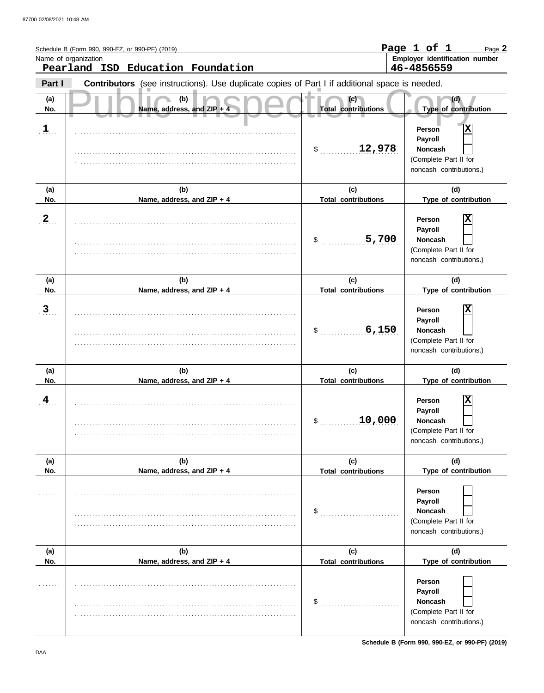|                         | Schedule B (Form 990, 990-EZ, or 990-PF) (2019)<br>Name of organization                        |                                   | Page 1 of 1<br>Page 2<br>Employer identification number                                      |
|-------------------------|------------------------------------------------------------------------------------------------|-----------------------------------|----------------------------------------------------------------------------------------------|
|                         | Pearland ISD Education Foundation                                                              |                                   | 46-4856559                                                                                   |
| Part I                  | Contributors (see instructions). Use duplicate copies of Part I if additional space is needed. |                                   |                                                                                              |
| (a)<br>No.              | (b)<br>Name, address, and ZIP + 4                                                              | (c)<br><b>Total contributions</b> | (d)<br>Type of contribution                                                                  |
| $\mathbf{1}$            |                                                                                                | 12,978<br>$\sim$                  | X<br>Person<br>Payroll<br><b>Noncash</b><br>(Complete Part II for<br>noncash contributions.) |
| (a)<br>No.              | (b)<br>Name, address, and ZIP + 4                                                              | (c)<br><b>Total contributions</b> | (d)<br>Type of contribution                                                                  |
| $\mathbf{2}$            |                                                                                                | 5,700<br>\$                       | Х<br>Person<br>Payroll<br><b>Noncash</b><br>(Complete Part II for<br>noncash contributions.) |
| (a)                     | (b)                                                                                            | (c)<br><b>Total contributions</b> | (d)<br>Type of contribution                                                                  |
| No.<br>$\overline{3}$   | Name, address, and ZIP + 4                                                                     | 6,150<br>\$                       | X<br>Person<br>Payroll<br><b>Noncash</b><br>(Complete Part II for<br>noncash contributions.) |
| (a)<br>No.              | (b)<br>Name, address, and ZIP + 4                                                              | (c)<br><b>Total contributions</b> | (d)<br>Type of contribution                                                                  |
| $\overline{\mathbf{4}}$ |                                                                                                | 10,000<br>\$                      | Χ<br>Person<br>Payroll<br>Noncash<br>(Complete Part II for<br>noncash contributions.)        |
| (a)<br>No.              | (b)<br>Name, address, and ZIP + 4                                                              | (c)<br><b>Total contributions</b> | (d)<br>Type of contribution                                                                  |
|                         |                                                                                                | \$                                | Person<br>Payroll<br>Noncash<br>(Complete Part II for<br>noncash contributions.)             |
| (a)<br>No.              | (b)<br>Name, address, and ZIP + 4                                                              | (c)<br><b>Total contributions</b> | (d)<br>Type of contribution                                                                  |
|                         |                                                                                                | \$                                | Person<br>Payroll<br><b>Noncash</b><br>(Complete Part II for<br>noncash contributions.)      |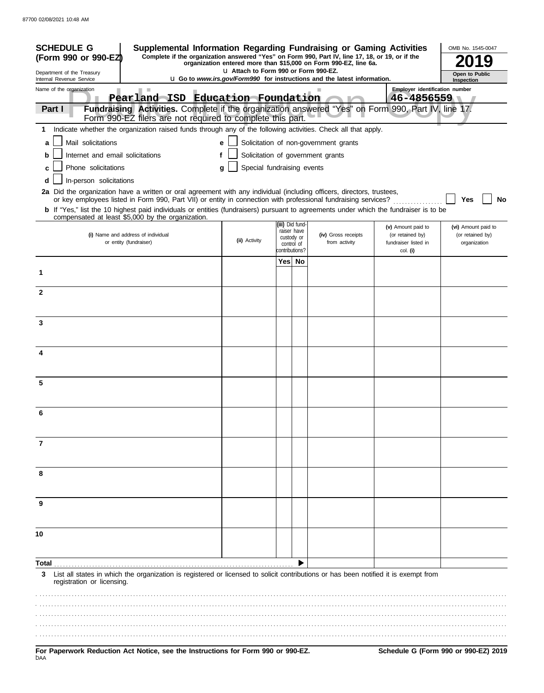| <b>SCHEDULE G</b><br>Supplemental Information Regarding Fundraising or Gaming Activities<br>Complete if the organization answered "Yes" on Form 990, Part IV, line 17, 18, or 19, or if the<br>(Form 990 or 990-EZ)<br>organization entered more than \$15,000 on Form 990-EZ, line 6a.                                                                                                                                                                                       |                                       | OMB No. 1545-0047                                                            |  |                                                                                 |                                                                            |                                                         |  |  |  |
|-------------------------------------------------------------------------------------------------------------------------------------------------------------------------------------------------------------------------------------------------------------------------------------------------------------------------------------------------------------------------------------------------------------------------------------------------------------------------------|---------------------------------------|------------------------------------------------------------------------------|--|---------------------------------------------------------------------------------|----------------------------------------------------------------------------|---------------------------------------------------------|--|--|--|
| Department of the Treasury<br>Internal Revenue Service                                                                                                                                                                                                                                                                                                                                                                                                                        | LI Attach to Form 990 or Form 990-EZ. |                                                                              |  | <b>u</b> Go to www.irs.gov/Form990 for instructions and the latest information. |                                                                            | Open to Public<br>Inspection                            |  |  |  |
| Name of the organization<br>Pearland ISD Education Foundation<br>Fundraising Activities. Complete if the organization answered "Yes" on Form 990, Part IV, line 17.<br>Part I<br>Form 990-EZ filers are not required to complete this part.                                                                                                                                                                                                                                   |                                       |                                                                              |  |                                                                                 | Employer identification number<br>46-4856559                               |                                                         |  |  |  |
| Indicate whether the organization raised funds through any of the following activities. Check all that apply.<br>1                                                                                                                                                                                                                                                                                                                                                            |                                       |                                                                              |  |                                                                                 |                                                                            |                                                         |  |  |  |
| Mail solicitations<br>a                                                                                                                                                                                                                                                                                                                                                                                                                                                       | e                                     |                                                                              |  | Solicitation of non-government grants                                           |                                                                            |                                                         |  |  |  |
| Solicitation of government grants<br>Internet and email solicitations<br>b<br>Phone solicitations<br>Special fundraising events<br>a<br>c                                                                                                                                                                                                                                                                                                                                     |                                       |                                                                              |  |                                                                                 |                                                                            |                                                         |  |  |  |
| In-person solicitations<br>d<br>2a Did the organization have a written or oral agreement with any individual (including officers, directors, trustees,<br>or key employees listed in Form 990, Part VII) or entity in connection with professional fundraising services?<br><b>b</b> If "Yes," list the 10 highest paid individuals or entities (fundraisers) pursuant to agreements under which the fundraiser is to be<br>compensated at least \$5,000 by the organization. |                                       |                                                                              |  |                                                                                 |                                                                            | Yes<br>No                                               |  |  |  |
| (i) Name and address of individual<br>or entity (fundraiser)                                                                                                                                                                                                                                                                                                                                                                                                                  | (ii) Activity                         | (iii) Did fund-<br>raiser have<br>custody or<br>control of<br>contributions? |  | (iv) Gross receipts<br>from activity                                            | (v) Amount paid to<br>(or retained by)<br>fundraiser listed in<br>col. (i) | (vi) Amount paid to<br>(or retained by)<br>organization |  |  |  |
|                                                                                                                                                                                                                                                                                                                                                                                                                                                                               |                                       | Yes No                                                                       |  |                                                                                 |                                                                            |                                                         |  |  |  |
| 1                                                                                                                                                                                                                                                                                                                                                                                                                                                                             |                                       |                                                                              |  |                                                                                 |                                                                            |                                                         |  |  |  |
| $\mathbf{2}$                                                                                                                                                                                                                                                                                                                                                                                                                                                                  |                                       |                                                                              |  |                                                                                 |                                                                            |                                                         |  |  |  |
| 3                                                                                                                                                                                                                                                                                                                                                                                                                                                                             |                                       |                                                                              |  |                                                                                 |                                                                            |                                                         |  |  |  |
| 4                                                                                                                                                                                                                                                                                                                                                                                                                                                                             |                                       |                                                                              |  |                                                                                 |                                                                            |                                                         |  |  |  |
| 5                                                                                                                                                                                                                                                                                                                                                                                                                                                                             |                                       |                                                                              |  |                                                                                 |                                                                            |                                                         |  |  |  |
| 6                                                                                                                                                                                                                                                                                                                                                                                                                                                                             |                                       |                                                                              |  |                                                                                 |                                                                            |                                                         |  |  |  |
| 7                                                                                                                                                                                                                                                                                                                                                                                                                                                                             |                                       |                                                                              |  |                                                                                 |                                                                            |                                                         |  |  |  |
| 8                                                                                                                                                                                                                                                                                                                                                                                                                                                                             |                                       |                                                                              |  |                                                                                 |                                                                            |                                                         |  |  |  |
| 9                                                                                                                                                                                                                                                                                                                                                                                                                                                                             |                                       |                                                                              |  |                                                                                 |                                                                            |                                                         |  |  |  |
| 10                                                                                                                                                                                                                                                                                                                                                                                                                                                                            |                                       |                                                                              |  |                                                                                 |                                                                            |                                                         |  |  |  |
| Total                                                                                                                                                                                                                                                                                                                                                                                                                                                                         |                                       |                                                                              |  |                                                                                 |                                                                            |                                                         |  |  |  |
| List all states in which the organization is registered or licensed to solicit contributions or has been notified it is exempt from<br>3<br>registration or licensing.                                                                                                                                                                                                                                                                                                        |                                       |                                                                              |  |                                                                                 |                                                                            |                                                         |  |  |  |
| For Paperwork Reduction Act Notice, see the Instructions for Form 990 or 990-EZ.<br>DAA                                                                                                                                                                                                                                                                                                                                                                                       |                                       |                                                                              |  |                                                                                 |                                                                            | Schedule G (Form 990 or 990-EZ) 2019                    |  |  |  |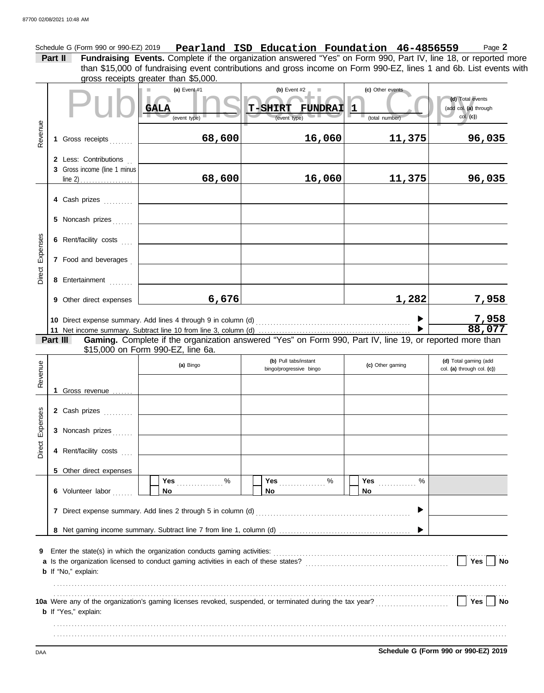|             | Part II | Schedule G (Form 990 or 990-EZ) 2019                  | Fundraising Events. Complete if the organization answered "Yes" on Form 990, Part IV, line 18, or reported more<br>than \$15,000 of fundraising event contributions and gross income on Form 990-EZ, lines 1 and 6b. List events with<br>gross receipts greater than \$5,000. | Pearland ISD Education Foundation 46-4856559                            |                                         | Page 2                                                   |
|-------------|---------|-------------------------------------------------------|-------------------------------------------------------------------------------------------------------------------------------------------------------------------------------------------------------------------------------------------------------------------------------|-------------------------------------------------------------------------|-----------------------------------------|----------------------------------------------------------|
|             |         |                                                       | (a) Event $#1$<br>T.<br><b>GALA</b><br>(event type)                                                                                                                                                                                                                           | (b) Event $#2$<br>ш<br><b>T-SHIRT</b><br><b>FUNDRAI</b><br>(event type) | (c) Other events<br>1<br>(total number) | (d) Total events<br>(add col. (a) through<br>$col.$ (c)) |
| Revenue     |         | 1 Gross receipts                                      | 68,600                                                                                                                                                                                                                                                                        | 16,060                                                                  | 11,375                                  | 96,035                                                   |
|             |         | 2 Less: Contributions<br>3 Gross income (line 1 minus | 68,600                                                                                                                                                                                                                                                                        | 16,060                                                                  | 11,375                                  | 96,035                                                   |
|             |         | 4 Cash prizes                                         |                                                                                                                                                                                                                                                                               |                                                                         |                                         |                                                          |
|             |         | 5 Noncash prizes                                      |                                                                                                                                                                                                                                                                               |                                                                         |                                         |                                                          |
|             |         | 6 Rent/facility costs                                 |                                                                                                                                                                                                                                                                               |                                                                         |                                         |                                                          |
| Expenses    |         | 7 Food and beverages                                  |                                                                                                                                                                                                                                                                               |                                                                         |                                         |                                                          |
| Direct      |         | 8 Entertainment                                       |                                                                                                                                                                                                                                                                               |                                                                         |                                         |                                                          |
|             |         | 9 Other direct expenses                               | 6,676                                                                                                                                                                                                                                                                         |                                                                         | 1,282                                   | 7,958                                                    |
|             |         | Part III                                              | Gaming. Complete if the organization answered "Yes" on Form 990, Part IV, line 19, or reported more than                                                                                                                                                                      |                                                                         |                                         | $\frac{7,958}{88,077}$                                   |
| Revenue     |         |                                                       | \$15,000 on Form 990-EZ, line 6a.<br>(a) Bingo                                                                                                                                                                                                                                | (b) Pull tabs/instant<br>bingo/progressive bingo                        | (c) Other gaming                        | (d) Total gaming (add<br>col. (a) through col. (c))      |
|             |         | 1 Gross revenue                                       |                                                                                                                                                                                                                                                                               |                                                                         |                                         |                                                          |
| 8<br>Expens |         | 2 Cash prizes<br>3 Noncash prizes                     |                                                                                                                                                                                                                                                                               |                                                                         |                                         |                                                          |
| Direct      |         | 4 Rent/facility costs                                 |                                                                                                                                                                                                                                                                               |                                                                         |                                         |                                                          |
|             |         | 5 Other direct expenses<br>6 Volunteer labor          | %<br><b>Yes Martin Property</b><br>No                                                                                                                                                                                                                                         | Yes $%$<br>No                                                           | $\%$<br>Yes<br>No                       |                                                          |
|             |         |                                                       | 7 Direct expense summary. Add lines 2 through 5 in column (d) [1] contently contently contently contently contently contently contently contently contently contently contently contently contently contently contently conten                                                |                                                                         |                                         |                                                          |
|             |         |                                                       |                                                                                                                                                                                                                                                                               |                                                                         |                                         |                                                          |
| 9           |         | <b>b</b> If "No," explain:                            |                                                                                                                                                                                                                                                                               |                                                                         |                                         | Yes $ $<br>No                                            |
|             |         |                                                       |                                                                                                                                                                                                                                                                               |                                                                         |                                         |                                                          |
|             |         |                                                       |                                                                                                                                                                                                                                                                               |                                                                         |                                         |                                                          |
|             |         | <b>b</b> If "Yes," explain:                           |                                                                                                                                                                                                                                                                               |                                                                         |                                         | Yes  <br>No                                              |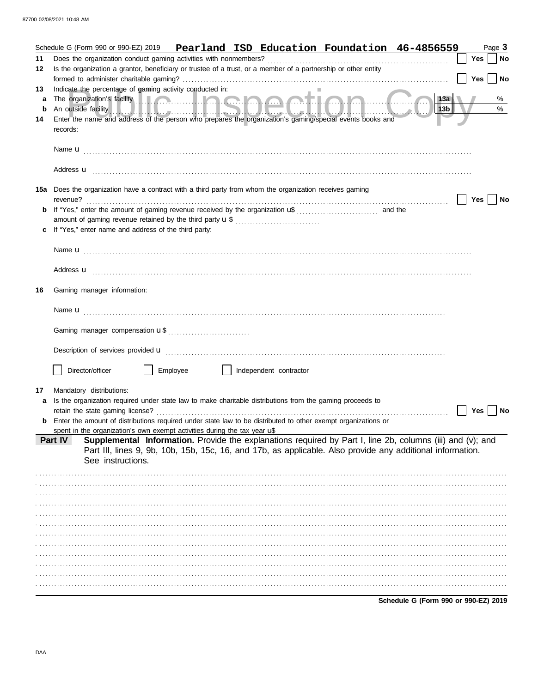|        |          |                                  |                                                                           |  |                                                                                                                           | Schedule G (Form 990 or 990-EZ) 2019  Pearland ISD Education Foundation 46-4856559                                                                                                                                       |                                      |            | Page 3 |
|--------|----------|----------------------------------|---------------------------------------------------------------------------|--|---------------------------------------------------------------------------------------------------------------------------|--------------------------------------------------------------------------------------------------------------------------------------------------------------------------------------------------------------------------|--------------------------------------|------------|--------|
| 11     |          |                                  |                                                                           |  |                                                                                                                           |                                                                                                                                                                                                                          |                                      | <b>Yes</b> | No     |
| 12     |          |                                  |                                                                           |  | Is the organization a grantor, beneficiary or trustee of a trust, or a member of a partnership or other entity            |                                                                                                                                                                                                                          |                                      |            |        |
|        |          |                                  |                                                                           |  |                                                                                                                           |                                                                                                                                                                                                                          |                                      | Yes        | No     |
| 13     |          |                                  | Indicate the percentage of gaming activity conducted in:                  |  |                                                                                                                           |                                                                                                                                                                                                                          |                                      |            |        |
| a<br>b |          |                                  |                                                                           |  | The organization's facility <b>with a community of the organization's facility</b>                                        |                                                                                                                                                                                                                          | 13a<br> 13b                          |            | %<br>% |
| 14     |          |                                  |                                                                           |  | An outside facility <b>And the Contract of Acids and Security Acids and Acids and Acids and Acids and Acids and Acids</b> | Enter the name and address of the person who prepares the organization's gaming/special events books and                                                                                                                 |                                      |            |        |
|        | records: |                                  |                                                                           |  |                                                                                                                           |                                                                                                                                                                                                                          |                                      |            |        |
|        |          |                                  |                                                                           |  |                                                                                                                           |                                                                                                                                                                                                                          |                                      |            |        |
|        |          |                                  |                                                                           |  |                                                                                                                           |                                                                                                                                                                                                                          |                                      |            |        |
|        |          |                                  |                                                                           |  | 15a Does the organization have a contract with a third party from whom the organization receives gaming                   |                                                                                                                                                                                                                          |                                      |            |        |
|        | revenue? |                                  |                                                                           |  |                                                                                                                           |                                                                                                                                                                                                                          |                                      | Yes        | No     |
| b      |          |                                  |                                                                           |  | If "Yes," enter the amount of gaming revenue received by the organization $\mathbf{u}^*$                                  |                                                                                                                                                                                                                          | and the                              |            |        |
|        |          |                                  |                                                                           |  |                                                                                                                           |                                                                                                                                                                                                                          |                                      |            |        |
|        |          |                                  | If "Yes," enter name and address of the third party:                      |  |                                                                                                                           |                                                                                                                                                                                                                          |                                      |            |        |
|        |          |                                  |                                                                           |  |                                                                                                                           |                                                                                                                                                                                                                          |                                      |            |        |
|        |          |                                  |                                                                           |  |                                                                                                                           |                                                                                                                                                                                                                          |                                      |            |        |
|        |          |                                  |                                                                           |  |                                                                                                                           | Address <b>u</b>                                                                                                                                                                                                         |                                      |            |        |
|        |          |                                  |                                                                           |  |                                                                                                                           |                                                                                                                                                                                                                          |                                      |            |        |
| 16     |          | Gaming manager information:      |                                                                           |  |                                                                                                                           |                                                                                                                                                                                                                          |                                      |            |        |
|        |          |                                  |                                                                           |  |                                                                                                                           |                                                                                                                                                                                                                          |                                      |            |        |
|        |          |                                  |                                                                           |  |                                                                                                                           |                                                                                                                                                                                                                          |                                      |            |        |
|        |          |                                  |                                                                           |  |                                                                                                                           |                                                                                                                                                                                                                          |                                      |            |        |
|        |          |                                  |                                                                           |  |                                                                                                                           |                                                                                                                                                                                                                          |                                      |            |        |
|        |          | Director/officer                 | Employee                                                                  |  | Independent contractor                                                                                                    |                                                                                                                                                                                                                          |                                      |            |        |
| 17     |          | Mandatory distributions:         |                                                                           |  |                                                                                                                           |                                                                                                                                                                                                                          |                                      |            |        |
| a      |          |                                  |                                                                           |  | Is the organization required under state law to make charitable distributions from the gaming proceeds to                 |                                                                                                                                                                                                                          |                                      |            |        |
|        |          | retain the state gaming license? |                                                                           |  |                                                                                                                           |                                                                                                                                                                                                                          |                                      | Yes        | No     |
|        |          |                                  |                                                                           |  |                                                                                                                           | <b>b</b> Enter the amount of distributions required under state law to be distributed to other exempt organizations or                                                                                                   |                                      |            |        |
|        |          |                                  | spent in the organization's own exempt activities during the tax year uff |  |                                                                                                                           |                                                                                                                                                                                                                          |                                      |            |        |
|        | Part IV  | See instructions.                |                                                                           |  |                                                                                                                           | Supplemental Information. Provide the explanations required by Part I, line 2b, columns (iii) and (v); and<br>Part III, lines 9, 9b, 10b, 15b, 15c, 16, and 17b, as applicable. Also provide any additional information. |                                      |            |        |
|        |          |                                  |                                                                           |  |                                                                                                                           |                                                                                                                                                                                                                          |                                      |            |        |
|        |          |                                  |                                                                           |  |                                                                                                                           |                                                                                                                                                                                                                          |                                      |            |        |
|        |          |                                  |                                                                           |  |                                                                                                                           |                                                                                                                                                                                                                          |                                      |            |        |
|        |          |                                  |                                                                           |  |                                                                                                                           |                                                                                                                                                                                                                          |                                      |            |        |
|        |          |                                  |                                                                           |  |                                                                                                                           |                                                                                                                                                                                                                          |                                      |            |        |
|        |          |                                  |                                                                           |  |                                                                                                                           |                                                                                                                                                                                                                          |                                      |            |        |
|        |          |                                  |                                                                           |  |                                                                                                                           |                                                                                                                                                                                                                          |                                      |            |        |
|        |          |                                  |                                                                           |  |                                                                                                                           |                                                                                                                                                                                                                          |                                      |            |        |
|        |          |                                  |                                                                           |  |                                                                                                                           |                                                                                                                                                                                                                          |                                      |            |        |
|        |          |                                  |                                                                           |  |                                                                                                                           |                                                                                                                                                                                                                          |                                      |            |        |
|        |          |                                  |                                                                           |  |                                                                                                                           |                                                                                                                                                                                                                          |                                      |            |        |
|        |          |                                  |                                                                           |  |                                                                                                                           |                                                                                                                                                                                                                          |                                      |            |        |
|        |          |                                  |                                                                           |  |                                                                                                                           |                                                                                                                                                                                                                          | Schedule G (Form 990 or 990-EZ) 2019 |            |        |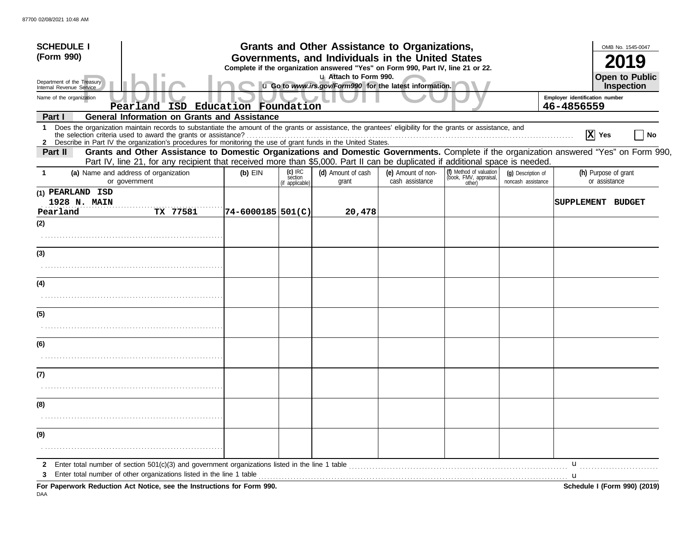| <b>SCHEDULE I</b>                                                                                                                                                                                                                                                                                                  |                   |                                       | <b>Grants and Other Assistance to Organizations,</b>                                                                                  |                                       |                                                             |                                          |                                              | OMB No. 1545-0047                     |  |
|--------------------------------------------------------------------------------------------------------------------------------------------------------------------------------------------------------------------------------------------------------------------------------------------------------------------|-------------------|---------------------------------------|---------------------------------------------------------------------------------------------------------------------------------------|---------------------------------------|-------------------------------------------------------------|------------------------------------------|----------------------------------------------|---------------------------------------|--|
| (Form 990)                                                                                                                                                                                                                                                                                                         |                   |                                       | Governments, and Individuals in the United States<br>Complete if the organization answered "Yes" on Form 990, Part IV, line 21 or 22. |                                       |                                                             |                                          |                                              |                                       |  |
| Department of the Treasury<br>Internal Revenue Service                                                                                                                                                                                                                                                             |                   |                                       | u Attach to Form 990.<br>u Go to www.irs.gov/Form990 for the latest information.                                                      |                                       |                                                             |                                          |                                              | <b>Open to Public</b><br>Inspection   |  |
| Name of the organization<br>Pearland ISD Education Foundation                                                                                                                                                                                                                                                      |                   |                                       |                                                                                                                                       |                                       |                                                             |                                          | Employer identification number<br>46-4856559 |                                       |  |
| <b>General Information on Grants and Assistance</b><br>Part I                                                                                                                                                                                                                                                      |                   |                                       |                                                                                                                                       |                                       |                                                             |                                          |                                              |                                       |  |
| 1 Does the organization maintain records to substantiate the amount of the grants or assistance, the grantees' eligibility for the grants or assistance, and<br>2 Describe in Part IV the organization's procedures for monitoring the use of grant funds in the United States.                                    |                   |                                       |                                                                                                                                       |                                       |                                                             |                                          |                                              | $\overline{X}$ Yes<br>No              |  |
| Grants and Other Assistance to Domestic Organizations and Domestic Governments. Complete if the organization answered "Yes" on Form 990,<br>Part II<br>Part IV, line 21, for any recipient that received more than \$5,000. Part II can be duplicated if additional space is needed.                               |                   |                                       |                                                                                                                                       |                                       |                                                             |                                          |                                              |                                       |  |
| (a) Name and address of organization<br>or government                                                                                                                                                                                                                                                              | $(b)$ EIN         | (c) IRC<br>section<br>(if applicable) | (d) Amount of cash<br>grant                                                                                                           | (e) Amount of non-<br>cash assistance | (f) Method of valuation<br>(book, FMV, appraisal,<br>other) | (g) Description of<br>noncash assistance |                                              | (h) Purpose of grant<br>or assistance |  |
| (1) PEARLAND ISD<br>1928 N. MAIN<br>Pearland<br>TX 77581                                                                                                                                                                                                                                                           |                   |                                       |                                                                                                                                       |                                       |                                                             |                                          | <b>SUPPLEMENT</b>                            | <b>BUDGET</b>                         |  |
| (2)                                                                                                                                                                                                                                                                                                                | 74-6000185 501(C) |                                       | 20,478                                                                                                                                |                                       |                                                             |                                          |                                              |                                       |  |
|                                                                                                                                                                                                                                                                                                                    |                   |                                       |                                                                                                                                       |                                       |                                                             |                                          |                                              |                                       |  |
|                                                                                                                                                                                                                                                                                                                    |                   |                                       |                                                                                                                                       |                                       |                                                             |                                          |                                              |                                       |  |
| (3)                                                                                                                                                                                                                                                                                                                |                   |                                       |                                                                                                                                       |                                       |                                                             |                                          |                                              |                                       |  |
|                                                                                                                                                                                                                                                                                                                    |                   |                                       |                                                                                                                                       |                                       |                                                             |                                          |                                              |                                       |  |
| (4)                                                                                                                                                                                                                                                                                                                |                   |                                       |                                                                                                                                       |                                       |                                                             |                                          |                                              |                                       |  |
|                                                                                                                                                                                                                                                                                                                    |                   |                                       |                                                                                                                                       |                                       |                                                             |                                          |                                              |                                       |  |
|                                                                                                                                                                                                                                                                                                                    |                   |                                       |                                                                                                                                       |                                       |                                                             |                                          |                                              |                                       |  |
| (5)                                                                                                                                                                                                                                                                                                                |                   |                                       |                                                                                                                                       |                                       |                                                             |                                          |                                              |                                       |  |
|                                                                                                                                                                                                                                                                                                                    |                   |                                       |                                                                                                                                       |                                       |                                                             |                                          |                                              |                                       |  |
| (6)                                                                                                                                                                                                                                                                                                                |                   |                                       |                                                                                                                                       |                                       |                                                             |                                          |                                              |                                       |  |
|                                                                                                                                                                                                                                                                                                                    |                   |                                       |                                                                                                                                       |                                       |                                                             |                                          |                                              |                                       |  |
|                                                                                                                                                                                                                                                                                                                    |                   |                                       |                                                                                                                                       |                                       |                                                             |                                          |                                              |                                       |  |
| (7)                                                                                                                                                                                                                                                                                                                |                   |                                       |                                                                                                                                       |                                       |                                                             |                                          |                                              |                                       |  |
|                                                                                                                                                                                                                                                                                                                    |                   |                                       |                                                                                                                                       |                                       |                                                             |                                          |                                              |                                       |  |
| (8)                                                                                                                                                                                                                                                                                                                |                   |                                       |                                                                                                                                       |                                       |                                                             |                                          |                                              |                                       |  |
|                                                                                                                                                                                                                                                                                                                    |                   |                                       |                                                                                                                                       |                                       |                                                             |                                          |                                              |                                       |  |
| (9)                                                                                                                                                                                                                                                                                                                |                   |                                       |                                                                                                                                       |                                       |                                                             |                                          |                                              |                                       |  |
|                                                                                                                                                                                                                                                                                                                    |                   |                                       |                                                                                                                                       |                                       |                                                             |                                          |                                              |                                       |  |
|                                                                                                                                                                                                                                                                                                                    |                   |                                       |                                                                                                                                       |                                       |                                                             |                                          |                                              |                                       |  |
| 2                                                                                                                                                                                                                                                                                                                  |                   |                                       |                                                                                                                                       |                                       |                                                             |                                          | u                                            |                                       |  |
| Enter total number of other organizations listed in the line 1 table <i>manuformation</i> and the manuformation of the manuformation of the line 1 table manuformation of the line 1 table manuformation of the line of the line of<br>3<br>For Paperwork Reduction Act Notice, see the Instructions for Form 990. |                   |                                       |                                                                                                                                       |                                       |                                                             |                                          |                                              |                                       |  |
|                                                                                                                                                                                                                                                                                                                    |                   |                                       |                                                                                                                                       |                                       |                                                             |                                          |                                              | Schedule I (Form 990) (2019)          |  |

DAA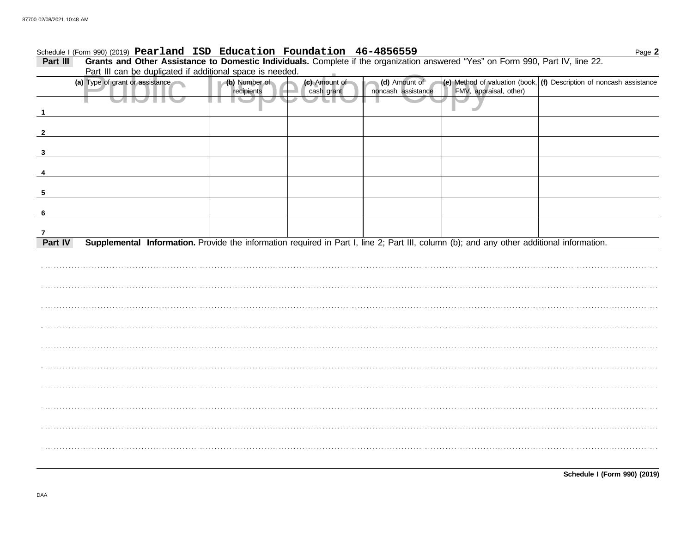### Schedule I (Form 990) (2019) Pearland ISD Education Foundation 46-4856559

Grants and Other Assistance to Domestic Individuals. Complete if the organization answered "Yes" on Form 990, Part IV, line 22. Part III Part III can be duplicated if additional space is needed. (a) Type of grant or assistance (b) Number of (c) Amount of (d) Amount of (e) Method of valuation (book, (f) Description of noncash assistance FMV, appraisal, other) recipients cash grant noncash assistance . .  $\overline{\mathbf{1}}$  $\overline{\mathbf{2}}$  $\mathbf{3}$  $\boldsymbol{\Lambda}$ 5 6 7 Supplemental Information. Provide the information required in Part I, line 2; Part III, column (b); and any other additional information. Part IV 

Page 2